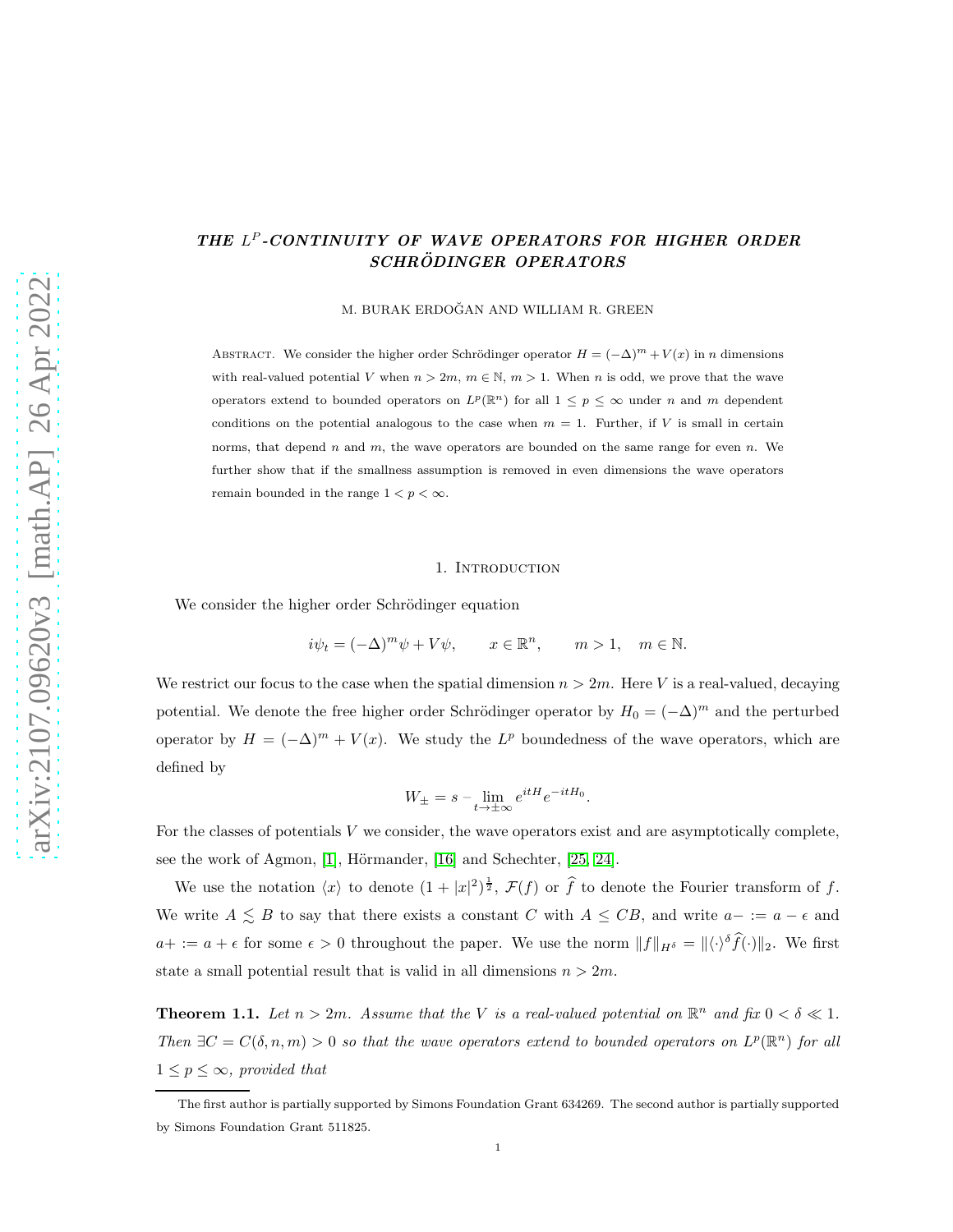# THE L<sup>P</sup>-CONTINUITY OF WAVE OPERATORS FOR HIGHER ORDER SCHRÖDINGER OPERATORS

M. BURAK ERDOĞAN AND WILLIAM R. GREEN

ABSTRACT. We consider the higher order Schrödinger operator  $H = (-\Delta)^m + V(x)$  in n dimensions with real-valued potential V when  $n > 2m$ ,  $m \in \mathbb{N}$ ,  $m > 1$ . When n is odd, we prove that the wave operators extend to bounded operators on  $L^p(\mathbb{R}^n)$  for all  $1 \leq p \leq \infty$  under n and m dependent conditions on the potential analogous to the case when  $m = 1$ . Further, if V is small in certain norms, that depend n and m, the wave operators are bounded on the same range for even n. We further show that if the smallness assumption is removed in even dimensions the wave operators remain bounded in the range  $1 < p < \infty$ .

### 1. INTRODUCTION

We consider the higher order Schrödinger equation

$$
i\psi_t = (-\Delta)^m \psi + V\psi, \qquad x \in \mathbb{R}^n, \qquad m > 1, \quad m \in \mathbb{N}.
$$

We restrict our focus to the case when the spatial dimension  $n > 2m$ . Here V is a real-valued, decaying potential. We denote the free higher order Schrödinger operator by  $H_0 = (-\Delta)^m$  and the perturbed operator by  $H = (-\Delta)^m + V(x)$ . We study the L<sup>p</sup> boundedness of the wave operators, which are defined by

$$
W_{\pm} = s - \lim_{t \to \pm \infty} e^{itH} e^{-itH_0}.
$$

For the classes of potentials V we consider, the wave operators exist and are asymptotically complete, see the work of Agmon,  $[1]$ , Hörmander,  $[16]$  and Schechter,  $[25, 24]$  $[25, 24]$ .

We use the notation  $\langle x \rangle$  to denote  $(1 + |x|^2)^{\frac{1}{2}}$ ,  $\mathcal{F}(f)$  or  $\hat{f}$  to denote the Fourier transform of f. We write  $A \leq B$  to say that there exists a constant C with  $A \leq CB$ , and write  $a- := a - \epsilon$  and  $a+ := a+\epsilon$  for some  $\epsilon > 0$  throughout the paper. We use the norm  $||f||_{H^{\delta}} = ||\langle \cdot \rangle^{\delta} \widehat{f}(\cdot)||_2$ . We first state a small potential result that is valid in all dimensions  $n > 2m$ .

<span id="page-0-0"></span>**Theorem 1.1.** Let  $n > 2m$ . Assume that the V is a real-valued potential on  $\mathbb{R}^n$  and  $\hat{p}x \in \mathbb{R} \ll 1$ . Then  $\exists C = C(\delta, n, m) > 0$  so that the wave operators extend to bounded operators on  $L^p(\mathbb{R}^n)$  for all  $1 \leq p \leq \infty$ , provided that

The first author is partially supported by Simons Foundation Grant 634269. The second author is partially supported by Simons Foundation Grant 511825.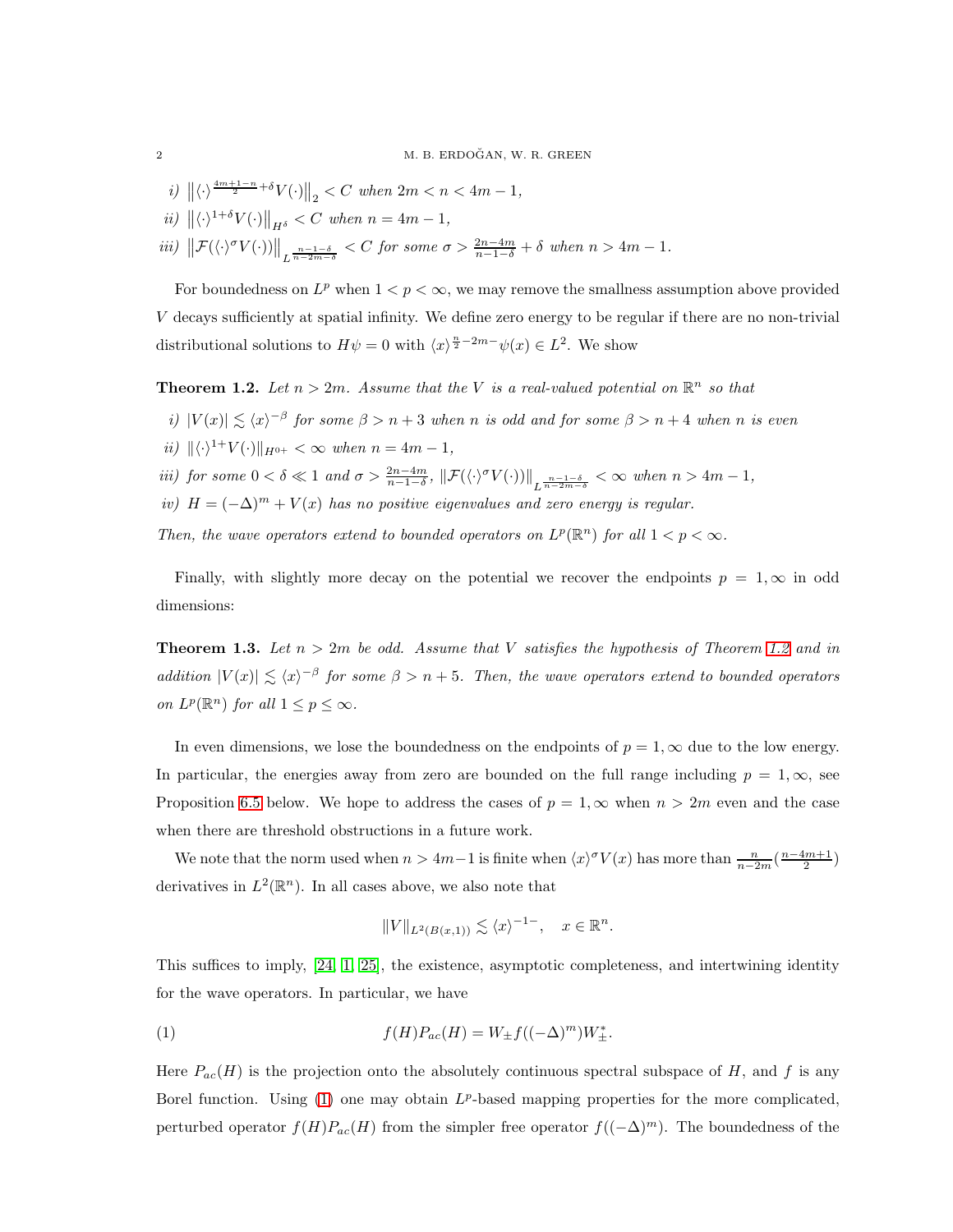i)  $\left\| \langle \cdot \rangle^{\frac{4m+1-n}{2}+\delta} V(\cdot) \right\|_2 < C$  when  $2m < n < 4m - 1$ , ii)  $\left\|\langle \cdot \rangle^{1+\delta} V(\cdot)\right\|_{H^{\delta}} < C$  when  $n = 4m - 1$ , iii)  $\|\mathcal{F}(\langle \cdot \rangle^{\sigma}V(\cdot))\|_{L^{\frac{n-1-\delta}{n-2m-\delta}}} < C$  for some  $\sigma > \frac{2n-4m}{n-1-\delta} + \delta$  when  $n > 4m-1$ .

For boundedness on  $L^p$  when  $1 < p < \infty$ , we may remove the smallness assumption above provided V decays sufficiently at spatial infinity. We define zero energy to be regular if there are no non-trivial distributional solutions to  $H\psi = 0$  with  $\langle x \rangle^{\frac{n}{2}-2m-1} \psi(x) \in L^2$ . We show

<span id="page-1-0"></span>**Theorem 1.2.** Let  $n > 2m$ . Assume that the V is a real-valued potential on  $\mathbb{R}^n$  so that

- i)  $|V(x)| \lesssim \langle x \rangle^{-\beta}$  for some  $\beta > n+3$  when n is odd and for some  $\beta > n+4$  when n is even
- ii)  $\|\langle \cdot \rangle^{1+}V(\cdot)\|_{H^{0+}} < \infty$  when  $n = 4m 1$ ,
- iii) for some  $0 < \delta \ll 1$  and  $\sigma > \frac{2n-4m}{n-1-\delta}$ ,  $\|\mathcal{F}(\langle \cdot \rangle^{\sigma}V(\cdot))\|_{L^{\frac{n-1-\delta}{n-2m-\delta}}} < \infty$  when  $n > 4m-1$ ,
- iv)  $H = (-\Delta)^m + V(x)$  has no positive eigenvalues and zero energy is regular.

Then, the wave operators extend to bounded operators on  $L^p(\mathbb{R}^n)$  for all  $1 < p < \infty$ .

Finally, with slightly more decay on the potential we recover the endpoints  $p = 1, \infty$  in odd dimensions:

<span id="page-1-2"></span>**Theorem 1.3.** Let  $n > 2m$  be odd. Assume that V satisfies the hypothesis of Theorem [1.2](#page-1-0) and in addition  $|V(x)| \lesssim \langle x \rangle^{-\beta}$  for some  $\beta > n+5$ . Then, the wave operators extend to bounded operators on  $L^p(\mathbb{R}^n)$  for all  $1 \leq p \leq \infty$ .

In even dimensions, we lose the boundedness on the endpoints of  $p = 1, \infty$  due to the low energy. In particular, the energies away from zero are bounded on the full range including  $p = 1, \infty$ , see Proposition [6.5](#page-31-0) below. We hope to address the cases of  $p = 1, \infty$  when  $n > 2m$  even and the case when there are threshold obstructions in a future work.

We note that the norm used when  $n > 4m-1$  is finite when  $\langle x \rangle^{\sigma} V(x)$  has more than  $\frac{n}{n-2m}(\frac{n-4m+1}{2})$ derivatives in  $L^2(\mathbb{R}^n)$ . In all cases above, we also note that

$$
||V||_{L^2(B(x,1))} \lesssim \langle x \rangle^{-1-}, \quad x \in \mathbb{R}^n.
$$

This suffices to imply, [\[24,](#page-33-2) [1,](#page-32-0) [25\]](#page-33-1), the existence, asymptotic completeness, and intertwining identity for the wave operators. In particular, we have

<span id="page-1-1"></span>(1) 
$$
f(H)P_{ac}(H) = W_{\pm}f((-\Delta)^m)W_{\pm}^*.
$$

Here  $P_{ac}(H)$  is the projection onto the absolutely continuous spectral subspace of H, and f is any Borel function. Using  $(1)$  one may obtain  $L^p$ -based mapping properties for the more complicated, perturbed operator  $f(H)P_{ac}(H)$  from the simpler free operator  $f((-\Delta)^m)$ . The boundedness of the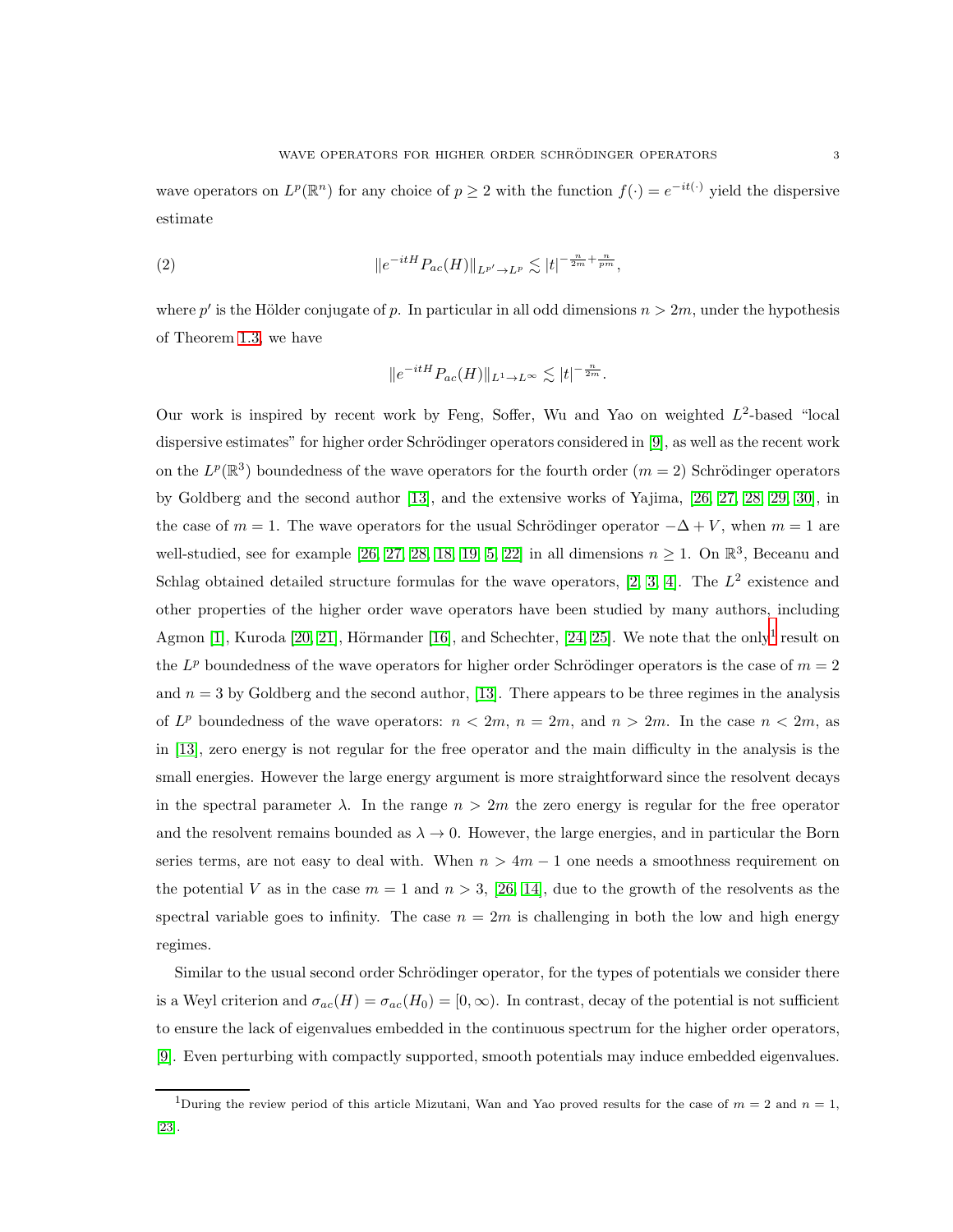wave operators on  $L^p(\mathbb{R}^n)$  for any choice of  $p \geq 2$  with the function  $f(\cdot) = e^{-it(\cdot)}$  yield the dispersive estimate

(2) 
$$
\|e^{-itH}P_{ac}(H)\|_{L^{p'}\to L^p} \lesssim |t|^{-\frac{n}{2m}+\frac{n}{pm}},
$$

where  $p'$  is the Hölder conjugate of p. In particular in all odd dimensions  $n > 2m$ , under the hypothesis of Theorem [1.3,](#page-1-2) we have

$$
||e^{-itH}P_{ac}(H)||_{L^1\to L^\infty} \lesssim |t|^{-\frac{n}{2m}}.
$$

Our work is inspired by recent work by Feng, Soffer, Wu and Yao on weighted  $L^2$ -based "local dispersive estimates" for higher order Schrödinger operators considered in [\[9\]](#page-33-3), as well as the recent work on the  $L^p(\mathbb{R}^3)$  boundedness of the wave operators for the fourth order  $(m=2)$  Schrödinger operators by Goldberg and the second author [\[13\]](#page-33-4), and the extensive works of Yajima, [\[26,](#page-33-5) [27,](#page-33-6) [28,](#page-33-7) [29,](#page-33-8) [30\]](#page-33-9), in the case of  $m = 1$ . The wave operators for the usual Schrödinger operator  $-\Delta + V$ , when  $m = 1$  are well-studied, see for example [\[26,](#page-33-5) [27,](#page-33-6) [28,](#page-33-7) [18,](#page-33-10) [19,](#page-33-11) [5,](#page-32-1) [22\]](#page-33-12) in all dimensions  $n \geq 1$ . On  $\mathbb{R}^3$ , Beceanu and Schlag obtained detailed structure formulas for the wave operators,  $[2, 3, 4]$  $[2, 3, 4]$  $[2, 3, 4]$ . The  $L^2$  existence and other properties of the higher order wave operators have been studied by many authors, including Agmon [\[1\]](#page-32-0), Kuroda [\[20,](#page-33-13) [21\]](#page-33-14), Hörmander [\[16\]](#page-33-0), and Schechter, [\[24,](#page-33-2) [25\]](#page-33-1). We note that the only<sup>[1](#page-2-0)</sup> result on the  $L^p$  boundedness of the wave operators for higher order Schrödinger operators is the case of  $m = 2$ and  $n = 3$  by Goldberg and the second author, [\[13\]](#page-33-4). There appears to be three regimes in the analysis of  $L^p$  boundedness of the wave operators:  $n < 2m$ ,  $n = 2m$ , and  $n > 2m$ . In the case  $n < 2m$ , as in [\[13\]](#page-33-4), zero energy is not regular for the free operator and the main difficulty in the analysis is the small energies. However the large energy argument is more straightforward since the resolvent decays in the spectral parameter  $\lambda$ . In the range  $n > 2m$  the zero energy is regular for the free operator and the resolvent remains bounded as  $\lambda \to 0$ . However, the large energies, and in particular the Born series terms, are not easy to deal with. When  $n > 4m - 1$  one needs a smoothness requirement on the potential V as in the case  $m = 1$  and  $n > 3$ , [\[26,](#page-33-5) [14\]](#page-33-15), due to the growth of the resolvents as the spectral variable goes to infinity. The case  $n = 2m$  is challenging in both the low and high energy regimes.

Similar to the usual second order Schrödinger operator, for the types of potentials we consider there is a Weyl criterion and  $\sigma_{ac}(H) = \sigma_{ac}(H_0) = [0, \infty)$ . In contrast, decay of the potential is not sufficient to ensure the lack of eigenvalues embedded in the continuous spectrum for the higher order operators, [\[9\]](#page-33-3). Even perturbing with compactly supported, smooth potentials may induce embedded eigenvalues.

<span id="page-2-0"></span><sup>&</sup>lt;sup>1</sup>During the review period of this article Mizutani, Wan and Yao proved results for the case of  $m = 2$  and  $n = 1$ , [\[23\]](#page-33-16).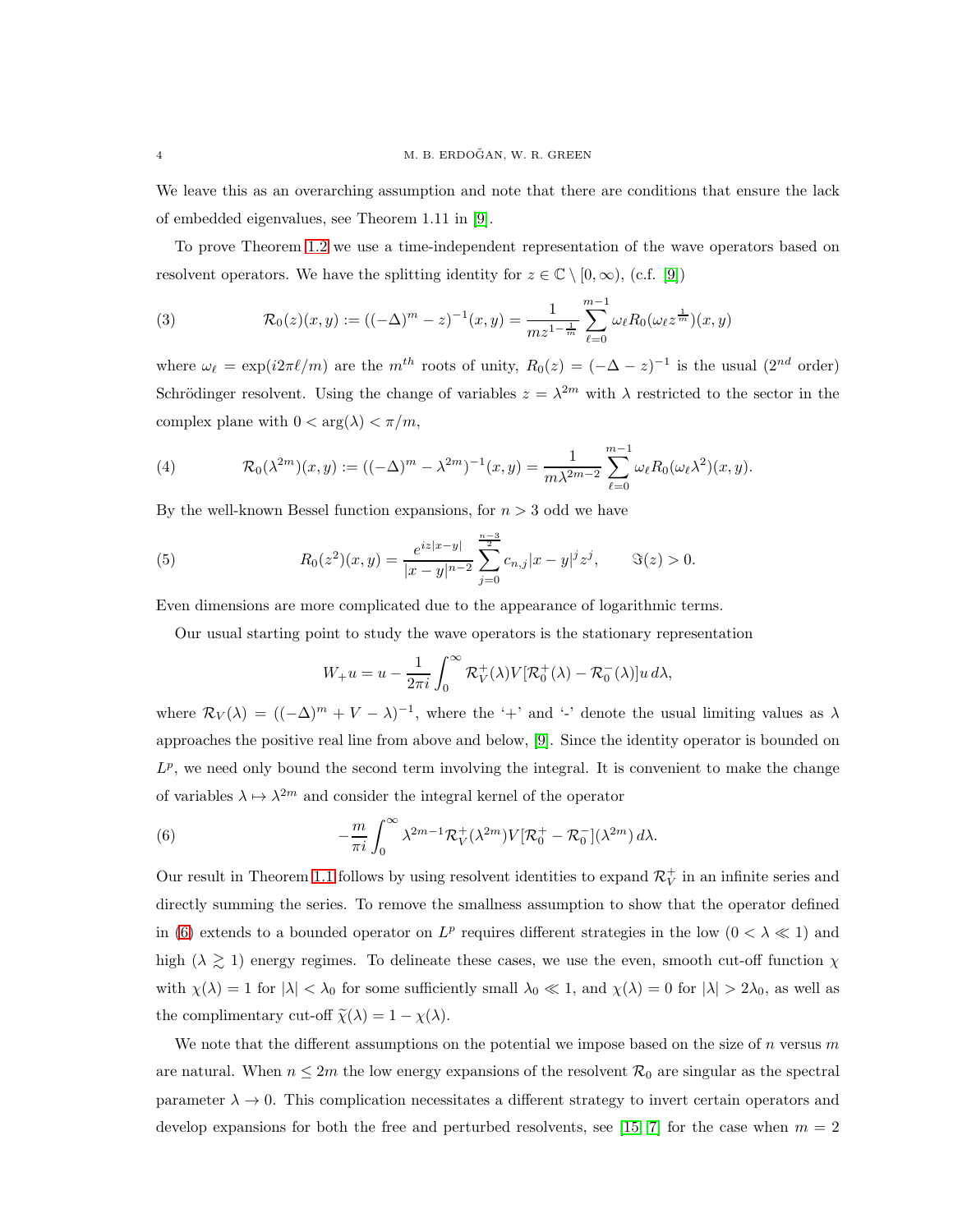We leave this as an overarching assumption and note that there are conditions that ensure the lack of embedded eigenvalues, see Theorem 1.11 in [\[9\]](#page-33-3).

To prove Theorem [1.2](#page-1-0) we use a time-independent representation of the wave operators based on resolvent operators. We have the splitting identity for  $z \in \mathbb{C} \setminus [0,\infty)$ , (c.f. [\[9\]](#page-33-3))

(3) 
$$
\mathcal{R}_0(z)(x,y) := ((-\Delta)^m - z)^{-1}(x,y) = \frac{1}{mz^{1-\frac{1}{m}}} \sum_{\ell=0}^{m-1} \omega_{\ell} R_0(\omega_{\ell} z^{\frac{1}{m}})(x,y)
$$

where  $\omega_{\ell} = \exp(i2\pi\ell/m)$  are the  $m^{th}$  roots of unity,  $R_0(z) = (-\Delta - z)^{-1}$  is the usual  $(2^{nd}$  order) Schrödinger resolvent. Using the change of variables  $z = \lambda^{2m}$  with  $\lambda$  restricted to the sector in the complex plane with  $0 < \arg(\lambda) < \pi/m$ ,

<span id="page-3-2"></span>(4) 
$$
\mathcal{R}_0(\lambda^{2m})(x,y) := ((-\Delta)^m - \lambda^{2m})^{-1}(x,y) = \frac{1}{m\lambda^{2m-2}} \sum_{\ell=0}^{m-1} \omega_{\ell} R_0(\omega_{\ell} \lambda^2)(x,y).
$$

By the well-known Bessel function expansions, for  $n > 3$  odd we have

(5) 
$$
R_0(z^2)(x,y) = \frac{e^{iz|x-y|}}{|x-y|^{n-2}} \sum_{j=0}^{\frac{n-3}{2}} c_{n,j} |x-y|^j z^j, \qquad \Im(z) > 0.
$$

Even dimensions are more complicated due to the appearance of logarithmic terms.

Our usual starting point to study the wave operators is the stationary representation

<span id="page-3-1"></span>
$$
W_{+}u = u - \frac{1}{2\pi i} \int_0^{\infty} \mathcal{R}_V^{+}(\lambda) V[\mathcal{R}_0^{+}(\lambda) - \mathcal{R}_0^{-}(\lambda)] u \, d\lambda,
$$

where  $\mathcal{R}_V(\lambda) = ((-\Delta)^m + V - \lambda)^{-1}$ , where the '+' and '-' denote the usual limiting values as  $\lambda$ approaches the positive real line from above and below, [\[9\]](#page-33-3). Since the identity operator is bounded on  $L^p$ , we need only bound the second term involving the integral. It is convenient to make the change of variables  $\lambda \mapsto \lambda^{2m}$  and consider the integral kernel of the operator

<span id="page-3-0"></span>(6) 
$$
-\frac{m}{\pi i}\int_0^\infty \lambda^{2m-1}\mathcal{R}_V^+(\lambda^{2m})V[\mathcal{R}_0^+-\mathcal{R}_0^-](\lambda^{2m}) d\lambda.
$$

Our result in Theorem [1.1](#page-0-0) follows by using resolvent identities to expand  $\mathcal{R}_V^+$  in an infinite series and directly summing the series. To remove the smallness assumption to show that the operator defined in [\(6\)](#page-3-0) extends to a bounded operator on  $L^p$  requires different strategies in the low  $(0 < \lambda \ll 1)$  and high ( $\lambda \gtrsim 1$ ) energy regimes. To delineate these cases, we use the even, smooth cut-off function  $\chi$ with  $\chi(\lambda) = 1$  for  $|\lambda| < \lambda_0$  for some sufficiently small  $\lambda_0 \ll 1$ , and  $\chi(\lambda) = 0$  for  $|\lambda| > 2\lambda_0$ , as well as the complimentary cut-off  $\tilde{\chi}(\lambda) = 1 - \chi(\lambda)$ .

We note that the different assumptions on the potential we impose based on the size of  $n$  versus  $m$ are natural. When  $n \leq 2m$  the low energy expansions of the resolvent  $\mathcal{R}_0$  are singular as the spectral parameter  $\lambda \to 0$ . This complication necessitates a different strategy to invert certain operators and develop expansions for both the free and perturbed resolvents, see [\[15,](#page-33-17) [7\]](#page-32-5) for the case when  $m = 2$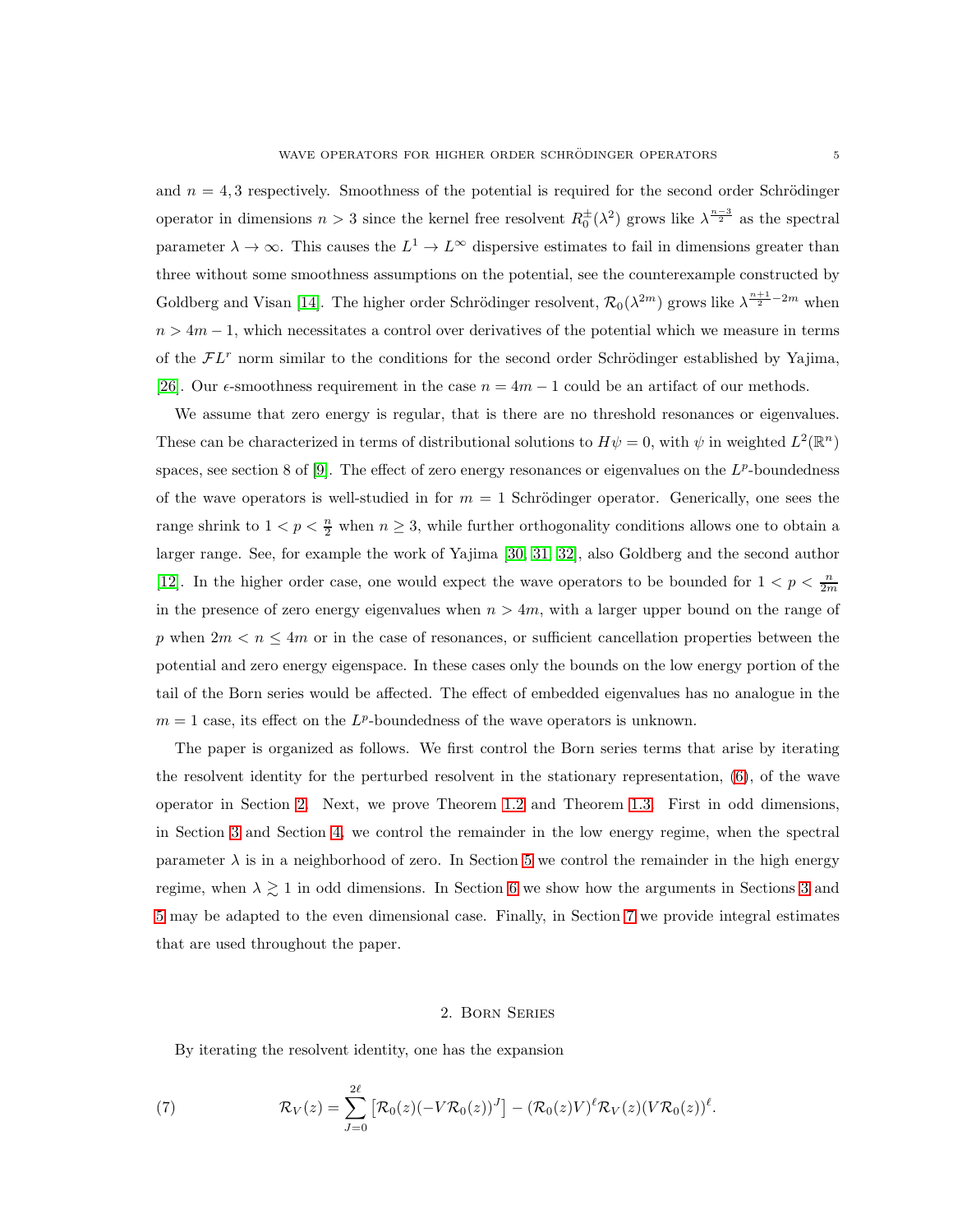and  $n = 4, 3$  respectively. Smoothness of the potential is required for the second order Schrödinger operator in dimensions  $n > 3$  since the kernel free resolvent  $R_0^{\pm}(\lambda^2)$  grows like  $\lambda^{\frac{n-3}{2}}$  as the spectral parameter  $\lambda \to \infty$ . This causes the  $L^1 \to L^{\infty}$  dispersive estimates to fail in dimensions greater than three without some smoothness assumptions on the potential, see the counterexample constructed by Goldberg and Visan [\[14\]](#page-33-15). The higher order Schrödinger resolvent,  $\mathcal{R}_0(\lambda^{2m})$  grows like  $\lambda^{\frac{n+1}{2}-2m}$  when  $n > 4m - 1$ , which necessitates a control over derivatives of the potential which we measure in terms of the  $FL^r$  norm similar to the conditions for the second order Schrödinger established by Yajima, [\[26\]](#page-33-5). Our  $\epsilon$ -smoothness requirement in the case  $n = 4m - 1$  could be an artifact of our methods.

We assume that zero energy is regular, that is there are no threshold resonances or eigenvalues. These can be characterized in terms of distributional solutions to  $H\psi = 0$ , with  $\psi$  in weighted  $L^2(\mathbb{R}^n)$ spaces, see section 8 of [\[9\]](#page-33-3). The effect of zero energy resonances or eigenvalues on the  $L^p$ -boundedness of the wave operators is well-studied in for  $m = 1$  Schrödinger operator. Generically, one sees the range shrink to  $1 < p < \frac{n}{2}$  when  $n \geq 3$ , while further orthogonality conditions allows one to obtain a larger range. See, for example the work of Yajima [\[30,](#page-33-9) [31,](#page-34-0) [32\]](#page-34-1), also Goldberg and the second author [\[12\]](#page-33-18). In the higher order case, one would expect the wave operators to be bounded for  $1 < p < \frac{n}{2m}$ in the presence of zero energy eigenvalues when  $n > 4m$ , with a larger upper bound on the range of p when  $2m < n \leq 4m$  or in the case of resonances, or sufficient cancellation properties between the potential and zero energy eigenspace. In these cases only the bounds on the low energy portion of the tail of the Born series would be affected. The effect of embedded eigenvalues has no analogue in the  $m = 1$  case, its effect on the  $L^p$ -boundedness of the wave operators is unknown.

The paper is organized as follows. We first control the Born series terms that arise by iterating the resolvent identity for the perturbed resolvent in the stationary representation, [\(6\)](#page-3-0), of the wave operator in Section [2.](#page-4-0) Next, we prove Theorem [1.2](#page-1-0) and Theorem [1.3.](#page-1-2) First in odd dimensions, in Section [3](#page-14-0) and Section [4,](#page-21-0) we control the remainder in the low energy regime, when the spectral parameter  $\lambda$  is in a neighborhood of zero. In Section [5](#page-25-0) we control the remainder in the high energy regime, when  $\lambda \gtrsim 1$  in odd dimensions. In Section [6](#page-28-0) we show how the arguments in Sections [3](#page-14-0) and [5](#page-25-0) may be adapted to the even dimensional case. Finally, in Section [7](#page-31-1) we provide integral estimates that are used throughout the paper.

## 2. Born Series

<span id="page-4-0"></span>By iterating the resolvent identity, one has the expansion

<span id="page-4-1"></span>(7) 
$$
\mathcal{R}_V(z) = \sum_{J=0}^{2\ell} \left[ \mathcal{R}_0(z) (-V \mathcal{R}_0(z))^J \right] - (\mathcal{R}_0(z)V)^{\ell} \mathcal{R}_V(z) (V \mathcal{R}_0(z))^{\ell}.
$$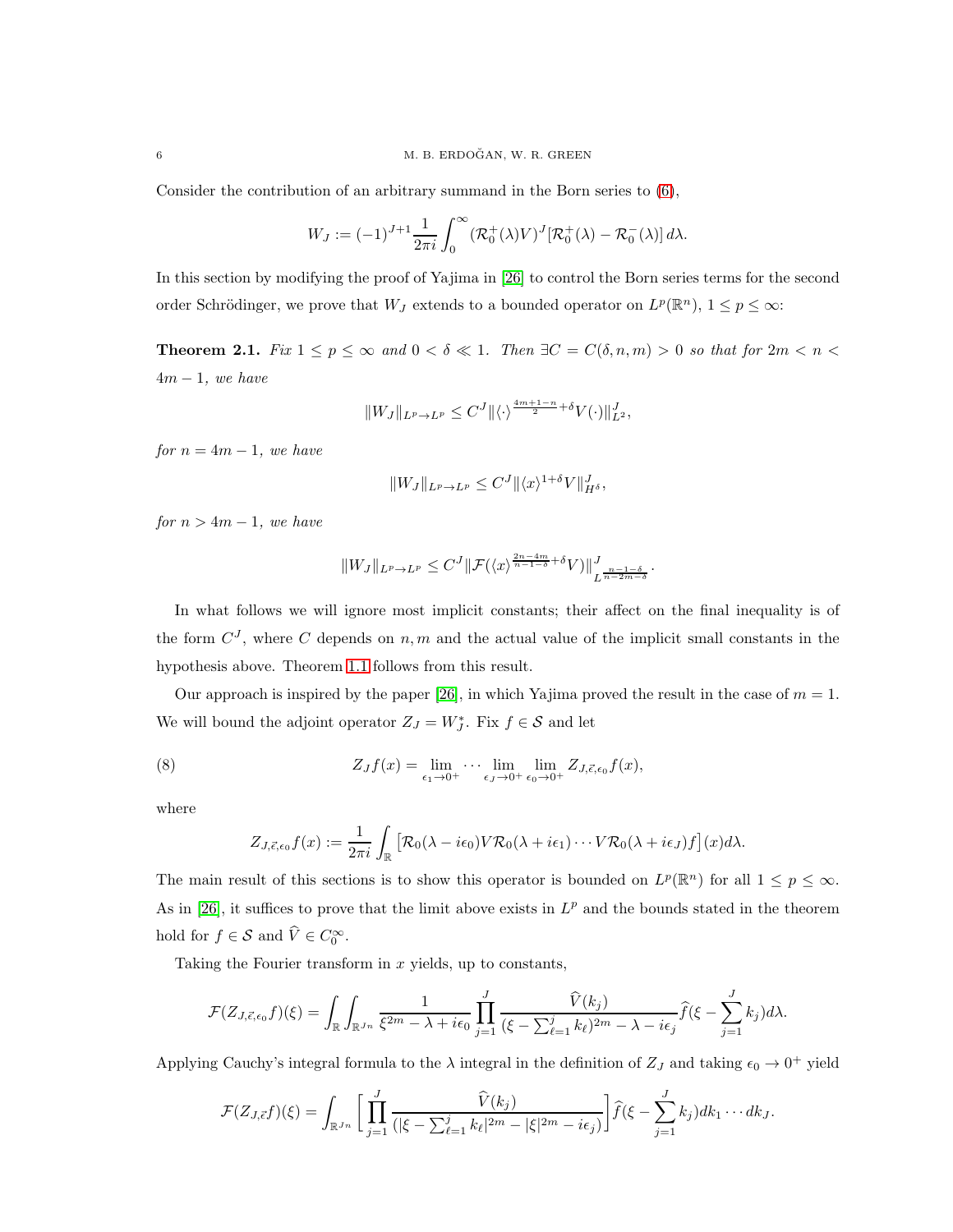Consider the contribution of an arbitrary summand in the Born series to [\(6\)](#page-3-0),

$$
W_J := (-1)^{J+1} \frac{1}{2\pi i} \int_0^\infty (\mathcal{R}_0^+(\lambda)V)^J [\mathcal{R}_0^+(\lambda) - \mathcal{R}_0^-(\lambda)] d\lambda.
$$

In this section by modifying the proof of Yajima in [\[26\]](#page-33-5) to control the Born series terms for the second order Schrödinger, we prove that  $W_J$  extends to a bounded operator on  $L^p(\mathbb{R}^n)$ ,  $1 \leq p \leq \infty$ :

<span id="page-5-0"></span>Theorem 2.1. Fix  $1 \le p \le \infty$  and  $0 < \delta \ll 1$ . Then  $\exists C = C(\delta, n, m) > 0$  so that for  $2m < n <$  $4m-1$ , we have

$$
||W_J||_{L^p \to L^p} \leq C^J ||\langle \cdot \rangle^{\frac{4m+1-n}{2}+\delta} V(\cdot)||_{L^2}^J,
$$

for  $n = 4m - 1$ , we have

$$
||W_J||_{L^p \to L^p} \leq C^J ||\langle x \rangle^{1+\delta} V||_{H^{\delta}}^J,
$$

for  $n > 4m - 1$ , we have

$$
||W_J||_{L^p\rightarrow L^p}\leq C^{J}||\mathcal{F}(\langle x\rangle^{\frac{2n-4m}{n-1-\delta}+\delta}V)||_{L^{\frac{n-1-\delta}{n-2m-\delta}}}^J
$$

.

In what follows we will ignore most implicit constants; their affect on the final inequality is of the form  $C<sup>J</sup>$ , where C depends on n, m and the actual value of the implicit small constants in the hypothesis above. Theorem [1.1](#page-0-0) follows from this result.

Our approach is inspired by the paper [\[26\]](#page-33-5), in which Yajima proved the result in the case of  $m = 1$ . We will bound the adjoint operator  $Z_J = W_J^*$ . Fix  $f \in \mathcal{S}$  and let

(8) 
$$
Z_{J}f(x) = \lim_{\epsilon_{1}\to 0^{+}} \cdots \lim_{\epsilon_{J}\to 0^{+}} \lim_{\epsilon_{0}\to 0^{+}} Z_{J,\vec{\epsilon},\epsilon_{0}}f(x),
$$

where

$$
Z_{J,\vec{\epsilon},\epsilon_0}f(x):=\frac{1}{2\pi i}\int_{\mathbb{R}}\left[\mathcal{R}_0(\lambda-i\epsilon_0)V\mathcal{R}_0(\lambda+i\epsilon_1)\cdots V\mathcal{R}_0(\lambda+i\epsilon_J)f\right](x)d\lambda.
$$

The main result of this sections is to show this operator is bounded on  $L^p(\mathbb{R}^n)$  for all  $1 \leq p \leq \infty$ . As in [\[26\]](#page-33-5), it suffices to prove that the limit above exists in  $L^p$  and the bounds stated in the theorem hold for  $f \in \mathcal{S}$  and  $\hat{V} \in C_0^{\infty}$ .

Taking the Fourier transform in  $x$  yields, up to constants,

$$
\mathcal{F}(Z_{J,\vec{\epsilon},\epsilon_0}f)(\xi) = \int_{\mathbb{R}} \int_{\mathbb{R}^{J_n}} \frac{1}{\xi^{2m} - \lambda + i\epsilon_0} \prod_{j=1}^{J} \frac{\widehat{V}(k_j)}{(\xi - \sum_{\ell=1}^{j} k_\ell)^{2m} - \lambda - i\epsilon_j} \widehat{f}(\xi - \sum_{j=1}^{J} k_j) d\lambda.
$$

Applying Cauchy's integral formula to the  $\lambda$  integral in the definition of  $Z_J$  and taking  $\epsilon_0 \to 0^+$  yield

$$
\mathcal{F}(Z_{J,\vec{\epsilon}}f)(\xi)=\int_{\mathbb{R}^{J_n}}\bigg[\prod_{j=1}^J\frac{\widehat{V}(k_j)}{(|\xi-\sum_{\ell=1}^jk_{\ell}|^{2m}-|\xi|^{2m}-i\epsilon_j)}\bigg]\widehat{f}(\xi-\sum_{j=1}^Jk_j)dk_1\cdots dk_J.
$$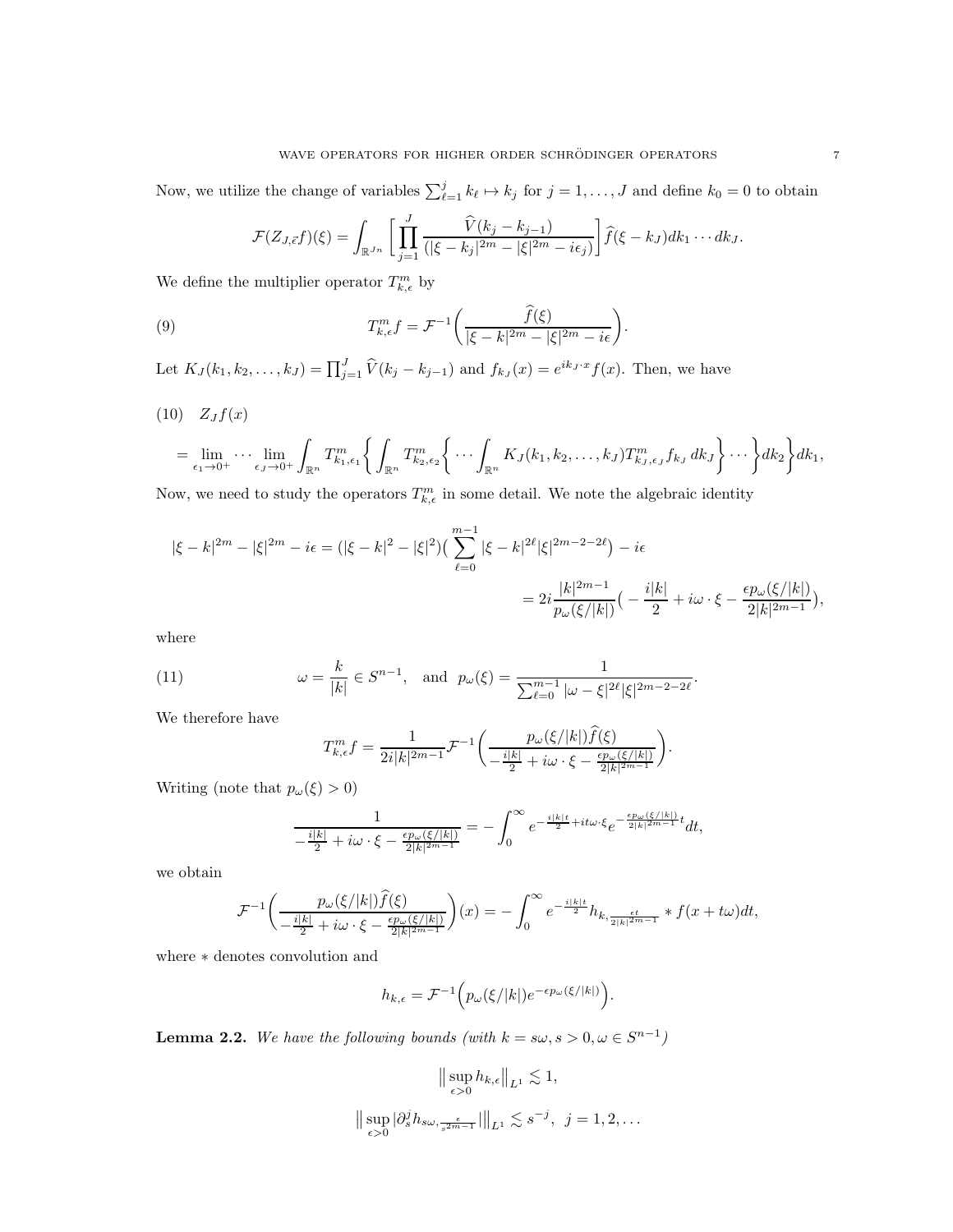Now, we utilize the change of variables  $\sum_{\ell=1}^{j} k_{\ell} \mapsto k_j$  for  $j = 1, ..., J$  and define  $k_0 = 0$  to obtain

$$
\mathcal{F}(Z_{J,\vec{\epsilon}}f)(\xi)=\int_{\mathbb{R}^{J_n}}\bigg[\prod_{j=1}^J\frac{\widehat{V}(k_j-k_{j-1})}{(|\xi-k_j|^{2m}-|\xi|^{2m}-i\epsilon_j)}\bigg]\widehat{f}(\xi-k_J)dk_1\cdots dk_J.
$$

We define the multiplier operator  $T_{k,\epsilon}^m$  by

(9) 
$$
T_{k,\epsilon}^m f = \mathcal{F}^{-1}\bigg(\frac{\widehat{f}(\xi)}{|\xi - k|^{2m} - |\xi|^{2m} - i\epsilon}\bigg).
$$

Let  $K_J(k_1, k_2, \ldots, k_J) = \prod_{j=1}^J \widehat{V}(k_j - k_{j-1})$  and  $f_{k_J}(x) = e^{ik_J \cdot x} f(x)$ . Then, we have

<span id="page-6-2"></span> $(10)$   $Z_J f(x)$ 

$$
= \lim_{\epsilon_1 \to 0^+} \cdots \lim_{\epsilon_J \to 0^+} \int_{\mathbb{R}^n} T_{k_1,\epsilon_1}^m \left\{ \int_{\mathbb{R}^n} T_{k_2,\epsilon_2}^m \left\{ \cdots \int_{\mathbb{R}^n} K_J(k_1,k_2,\ldots,k_J) T_{k_J,\epsilon_J}^m f_{k_J} dk_J \right\} \cdots \right\} dk_2 \right\} dk_1,
$$

Now, we need to study the operators  $T_{k,\epsilon}^m$  in some detail. We note the algebraic identity

$$
|\xi - k|^{2m} - |\xi|^{2m} - i\epsilon = (|\xi - k|^2 - |\xi|^2) \left( \sum_{\ell=0}^{m-1} |\xi - k|^{2\ell} |\xi|^{2m-2-2\ell} \right) - i\epsilon
$$
  
= 
$$
2i \frac{|k|^{2m-1}}{p_{\omega}(\xi/|k|)} \left( -\frac{i|k|}{2} + i\omega \cdot \xi - \frac{\epsilon p_{\omega}(\xi/|k|)}{2|k|^{2m-1}} \right),
$$

where

(11) 
$$
\omega = \frac{k}{|k|} \in S^{n-1}, \text{ and } p_{\omega}(\xi) = \frac{1}{\sum_{\ell=0}^{m-1} |\omega - \xi|^{2\ell} |\xi|^{2m-2-2\ell}}
$$

We therefore have

<span id="page-6-0"></span>
$$
T_{k,\epsilon}^m f = \frac{1}{2i|k|^{2m-1}} \mathcal{F}^{-1}\bigg(\frac{p_\omega(\xi/|k|)\widehat{f}(\xi)}{-\frac{i|k|}{2} + i\omega \cdot \xi - \frac{\epsilon p_\omega(\xi/|k|)}{2|k|^{2m-1}}}\bigg).
$$

.

Writing (note that  $p_{\omega}(\xi) > 0$ )

$$
\frac{1}{-\frac{i|k|}{2}+i\omega\cdot\xi-\frac{\epsilon p_{\omega}(\xi/|k|)}{2|k|^{2m-1}}}=-\int_0^\infty e^{-\frac{i|k|t}{2}+it\omega\cdot\xi}e^{-\frac{\epsilon p_{\omega}(\xi/|k|)}{2|k|^{2m-1}}t}dt,
$$

we obtain

$$
\mathcal{F}^{-1}\bigg(\frac{p_\omega(\xi/|k|)\widehat{f}(\xi)}{-\frac{i|k|}{2}+i\omega\cdot\xi-\frac{\epsilon p_\omega(\xi/|k|)}{2|k|^{2m-1}}}\bigg)(x)=-\int_0^\infty e^{-\frac{i|k|t}{2}}h_{k,\frac{\epsilon t}{2|k|^{2m-1}}} \ast f(x+t\omega)dt,
$$

where ∗ denotes convolution and

$$
h_{k,\epsilon} = \mathcal{F}^{-1}\Big(p_\omega(\xi/|k|)e^{-\epsilon p_\omega(\xi/|k|)}\Big).
$$

<span id="page-6-1"></span>**Lemma 2.2.** We have the following bounds (with  $k = s\omega, s > 0, \omega \in S^{n-1}$ )

$$
\|\sup_{\epsilon>0} h_{k,\epsilon}\|_{L^1} \lesssim 1,
$$
  

$$
\|\sup_{\epsilon>0} |\partial_s^j h_{s\omega, \frac{\epsilon}{s^{2m-1}}}| \|_{L^1} \lesssim s^{-j}, \ \ j=1,2,\dots
$$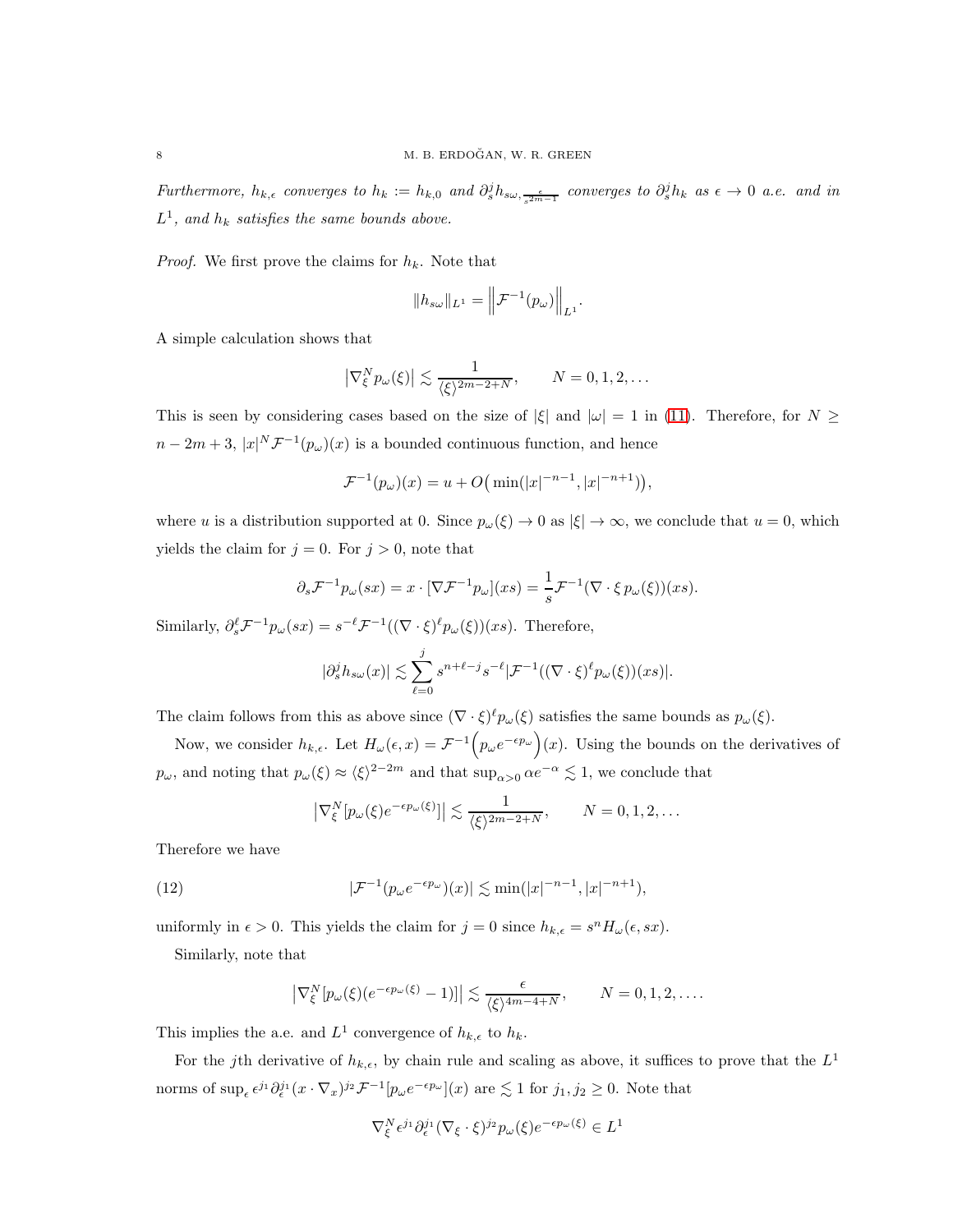Furthermore,  $h_{k,\epsilon}$  converges to  $h_k := h_{k,0}$  and  $\partial_s^j h_{s\omega,\frac{\epsilon}{s^{2m-1}}}$  converges to  $\partial_s^j h_k$  as  $\epsilon \to 0$  a.e. and in  $L^1$ , and  $h_k$  satisfies the same bounds above.

*Proof.* We first prove the claims for  $h_k$ . Note that

$$
||h_{s\omega}||_{L^1} = \left||\mathcal{F}^{-1}(p_\omega)\right||_{L^1}.
$$

A simple calculation shows that

$$
\left|\nabla_{\xi}^{N}p_{\omega}(\xi)\right| \lesssim \frac{1}{\langle \xi \rangle^{2m-2+N}}, \qquad N = 0, 1, 2, \dots
$$

This is seen by considering cases based on the size of  $|\xi|$  and  $|\omega|=1$  in [\(11\)](#page-6-0). Therefore, for  $N\geq$  $n-2m+3$ ,  $|x|^{N}\mathcal{F}^{-1}(p_{\omega})(x)$  is a bounded continuous function, and hence

$$
\mathcal{F}^{-1}(p_\omega)(x) = u + O\big(\min(|x|^{-n-1}, |x|^{-n+1})\big),\,
$$

where u is a distribution supported at 0. Since  $p_{\omega}(\xi) \to 0$  as  $|\xi| \to \infty$ , we conclude that  $u = 0$ , which yields the claim for  $j = 0$ . For  $j > 0$ , note that

$$
\partial_s \mathcal{F}^{-1} p_\omega(sx) = x \cdot [\nabla \mathcal{F}^{-1} p_\omega](xs) = \frac{1}{s} \mathcal{F}^{-1} (\nabla \cdot \xi \, p_\omega(\xi))(xs).
$$

Similarly,  $\partial_s^{\ell} \mathcal{F}^{-1} p_{\omega}(sx) = s^{-\ell} \mathcal{F}^{-1}((\nabla \cdot \xi)^{\ell} p_{\omega}(\xi))(xs)$ . Therefore,

$$
|\partial_s^j h_{s\omega}(x)| \lesssim \sum_{\ell=0}^j s^{n+\ell-j} s^{-\ell} |\mathcal{F}^{-1}((\nabla \cdot \xi)^{\ell} p_{\omega}(\xi))(xs)|.
$$

The claim follows from this as above since  $(\nabla \cdot \xi)^{\ell} p_{\omega}(\xi)$  satisfies the same bounds as  $p_{\omega}(\xi)$ .

Now, we consider  $h_{k,\epsilon}$ . Let  $H_{\omega}(\epsilon, x) = \mathcal{F}^{-1}(\rho_{\omega} e^{-\epsilon p_{\omega}})(x)$ . Using the bounds on the derivatives of  $p_{\omega}$ , and noting that  $p_{\omega}(\xi) \approx \langle \xi \rangle^{2-2m}$  and that  $\sup_{\alpha>0} \alpha e^{-\alpha} \lesssim 1$ , we conclude that

<span id="page-7-0"></span>
$$
\left|\nabla_{\xi}^{N}[p_{\omega}(\xi)e^{-\epsilon p_{\omega}(\xi)}]\right| \lesssim \frac{1}{\langle \xi \rangle^{2m-2+N}}, \qquad N = 0, 1, 2, \dots
$$

Therefore we have

(12) 
$$
|\mathcal{F}^{-1}(p_{\omega}e^{-\epsilon p_{\omega}})(x)| \lesssim \min(|x|^{-n-1}, |x|^{-n+1}),
$$

uniformly in  $\epsilon > 0$ . This yields the claim for  $j = 0$  since  $h_{k,\epsilon} = s^n H_{\omega}(\epsilon, sx)$ .

Similarly, note that

$$
\left|\nabla_{\xi}^{N}[p_{\omega}(\xi)(e^{-\epsilon p_{\omega}(\xi)}-1)]\right| \lesssim \frac{\epsilon}{\langle \xi \rangle^{4m-4+N}}, \qquad N = 0, 1, 2, \dots.
$$

This implies the a.e. and  $L^1$  convergence of  $h_{k,\epsilon}$  to  $h_k$ .

For the jth derivative of  $h_{k,\epsilon}$ , by chain rule and scaling as above, it suffices to prove that the  $L^1$ norms of  $\sup_{\epsilon} \epsilon^{j_1} \partial_{\epsilon}^{j_1} (x \cdot \nabla_x)^{j_2} \mathcal{F}^{-1}[p_\omega e^{-\epsilon p_\omega}](x)$  are  $\lesssim 1$  for  $j_1, j_2 \geq 0$ . Note that

$$
\nabla_{\xi}^{N} \epsilon^{j_1} \partial_{\epsilon}^{j_1} (\nabla_{\xi} \cdot \xi)^{j_2} p_{\omega}(\xi) e^{-\epsilon p_{\omega}(\xi)} \in L^1
$$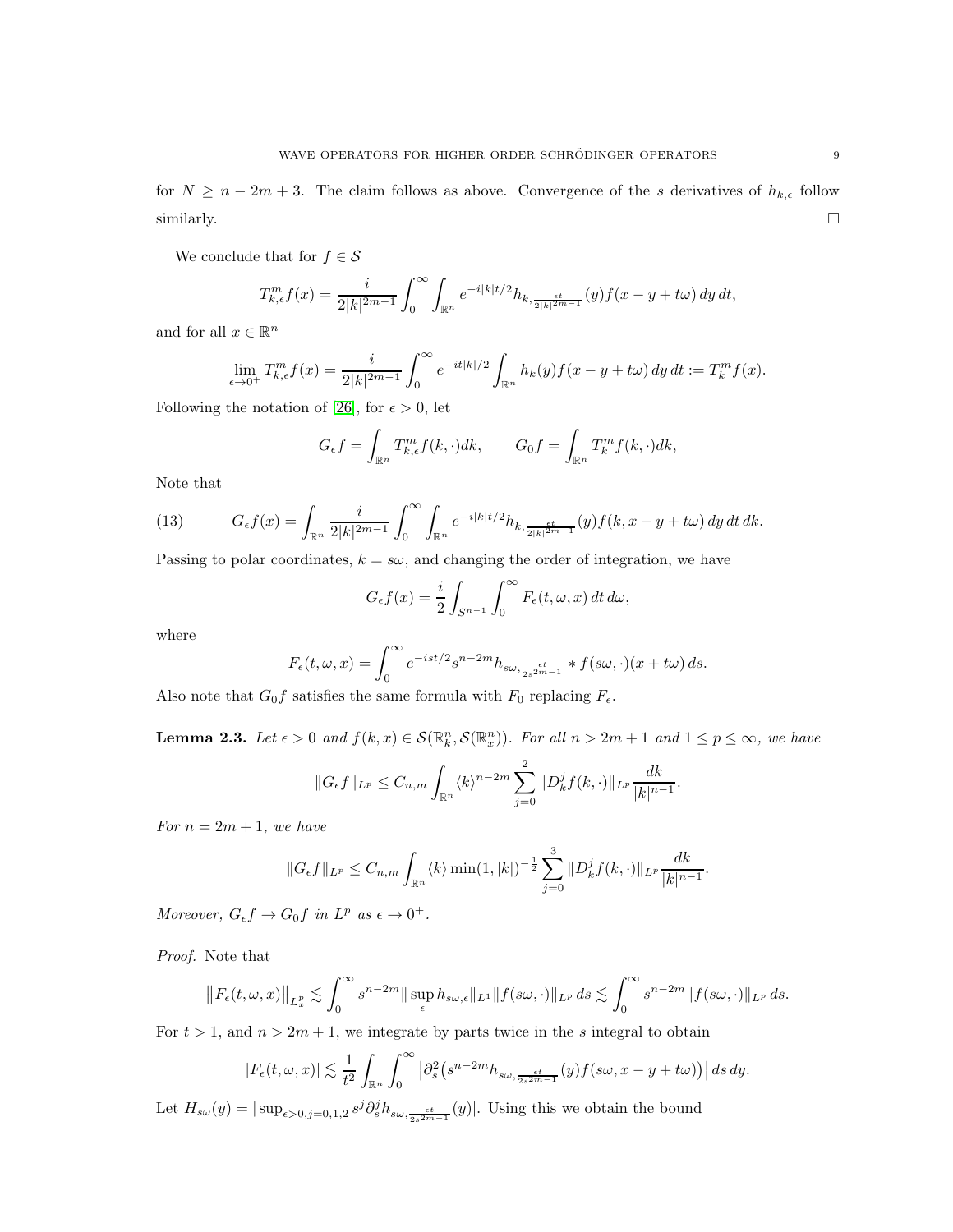for  $N \geq n-2m+3$ . The claim follows as above. Convergence of the s derivatives of  $h_{k,\epsilon}$  follow  $\Box$  similarly.

We conclude that for  $f \in \mathcal{S}$ 

$$
T_{k,\epsilon}^m f(x) = \frac{i}{2|k|^{2m-1}} \int_0^\infty \int_{\mathbb{R}^n} e^{-i|k|t/2} h_{k, \frac{\epsilon t}{2|k|^{2m-1}}} (y) f(x - y + t\omega) dy dt,
$$

and for all  $x \in \mathbb{R}^n$ 

$$
\lim_{\epsilon \to 0^+} T_{k,\epsilon}^m f(x) = \frac{i}{2|k|^{2m-1}} \int_0^\infty e^{-it|k|/2} \int_{\mathbb{R}^n} h_k(y) f(x - y + t\omega) \, dy \, dt := T_k^m f(x).
$$

Following the notation of [\[26\]](#page-33-5), for  $\epsilon > 0$ , let

$$
G_{\epsilon}f = \int_{\mathbb{R}^n} T_{k,\epsilon}^m f(k,\cdot) dk, \qquad G_0f = \int_{\mathbb{R}^n} T_k^m f(k,\cdot) dk,
$$

Note that

<span id="page-8-1"></span>(13) 
$$
G_{\epsilon}f(x) = \int_{\mathbb{R}^n} \frac{i}{2|k|^{2m-1}} \int_0^{\infty} \int_{\mathbb{R}^n} e^{-i|k|t/2} h_{k, \frac{\epsilon t}{2|k|^{2m-1}}} (y) f(k, x - y + t\omega) dy dt dk.
$$

Passing to polar coordinates,  $k = s\omega$ , and changing the order of integration, we have

$$
G_{\epsilon}f(x) = \frac{i}{2} \int_{S^{n-1}} \int_0^{\infty} F_{\epsilon}(t, \omega, x) dt d\omega,
$$

where

$$
F_{\epsilon}(t,\omega,x) = \int_0^{\infty} e^{-ist/2} s^{n-2m} h_{s\omega, \frac{\epsilon t}{2s^{2m-1}}} * f(s\omega,\cdot)(x+t\omega) ds.
$$

Also note that  $G_0 f$  satisfies the same formula with  $F_0$  replacing  $F_{\epsilon}$ .

<span id="page-8-0"></span>**Lemma 2.3.** Let  $\epsilon > 0$  and  $f(k, x) \in \mathcal{S}(\mathbb{R}_k^n, \mathcal{S}(\mathbb{R}_x^n))$ . For all  $n > 2m + 1$  and  $1 \le p \le \infty$ , we have

$$
||G_{\epsilon}f||_{L^{p}} \leq C_{n,m} \int_{\mathbb{R}^{n}} \langle k \rangle^{n-2m} \sum_{j=0}^{2} ||D_{k}^{j}f(k,\cdot)||_{L^{p}} \frac{dk}{|k|^{n-1}}.
$$

For  $n = 2m + 1$ , we have

$$
||G_{\epsilon}f||_{L^{p}} \leq C_{n,m} \int_{\mathbb{R}^{n}} \langle k \rangle \min(1, |k|)^{-\frac{1}{2}} \sum_{j=0}^{3} ||D_{k}^{j}f(k, \cdot)||_{L^{p}} \frac{dk}{|k|^{n-1}}.
$$

Moreover,  $G_{\epsilon} f \rightarrow G_0 f$  in  $L^p$  as  $\epsilon \rightarrow 0^+$ .

Proof. Note that

$$
\left\|F_{\epsilon}(t,\omega,x)\right\|_{L^{p}_{x}} \lesssim \int_{0}^{\infty} s^{n-2m} \|\sup_{\epsilon} h_{s\omega,\epsilon}\|_{L^{1}} \|f(s\omega,\cdot)\|_{L^{p}} ds \lesssim \int_{0}^{\infty} s^{n-2m} \|f(s\omega,\cdot)\|_{L^{p}} ds.
$$

For  $t > 1$ , and  $n > 2m + 1$ , we integrate by parts twice in the s integral to obtain

$$
|F_\epsilon(t,\omega,x)|\lesssim \frac{1}{t^2}\int_{\mathbb{R}^n}\int_0^\infty \big|\partial_s^2\big(s^{n-2m}h_{s\omega,\frac{\epsilon t}{2s^{2m-1}}}(y)f(s\omega,x-y+t\omega)\big)\big|\,ds\,dy.
$$

Let  $H_{s\omega}(y) = |\sup_{\epsilon>0, j=0,1,2} s^j \partial_s^j h_{s\omega, \frac{\epsilon t}{2s^2m-1}}(y)|$ . Using this we obtain the bound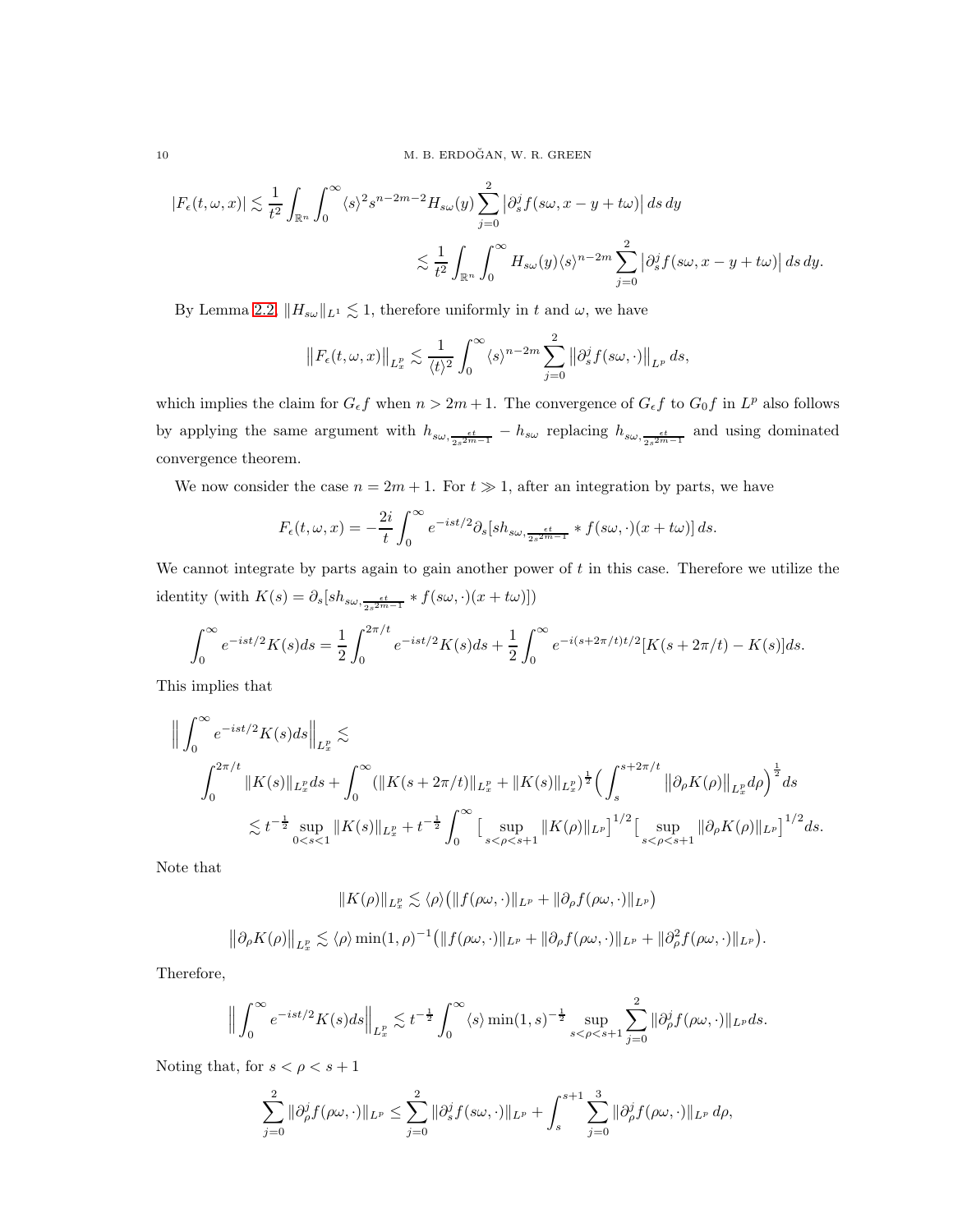10 M. B. ERDOĞAN, W. R. GREEN

$$
|F_{\epsilon}(t,\omega,x)| \lesssim \frac{1}{t^2} \int_{\mathbb{R}^n} \int_0^{\infty} \langle s \rangle^2 s^{n-2m-2} H_{s\omega}(y) \sum_{j=0}^2 \left| \partial_s^j f(s\omega, x - y + t\omega) \right| ds \, dy
$$
  

$$
\lesssim \frac{1}{t^2} \int_{\mathbb{R}^n} \int_0^{\infty} H_{s\omega}(y) \langle s \rangle^{n-2m} \sum_{j=0}^2 \left| \partial_s^j f(s\omega, x - y + t\omega) \right| ds \, dy.
$$

By Lemma [2.2,](#page-6-1)  $||H_{s\omega}||_{L^1} \lesssim 1$ , therefore uniformly in t and  $\omega$ , we have

$$
\left\|F_{\epsilon}(t,\omega,x)\right\|_{L_x^p} \lesssim \frac{1}{\langle t \rangle^2} \int_0^{\infty} \langle s \rangle^{n-2m} \sum_{j=0}^2 \left\|\partial_s^j f(s\omega,\cdot)\right\|_{L^p} ds,
$$

which implies the claim for  $G_{\epsilon}f$  when  $n > 2m + 1$ . The convergence of  $G_{\epsilon}f$  to  $G_0f$  in  $L^p$  also follows by applying the same argument with  $h_{s\omega, \frac{\epsilon t}{2s^2m-1}} - h_{s\omega}$  replacing  $h_{s\omega, \frac{\epsilon t}{2s^2m-1}}$  and using dominated convergence theorem.

We now consider the case  $n = 2m + 1$ . For  $t \gg 1$ , after an integration by parts, we have

$$
F_{\epsilon}(t,\omega,x) = -\frac{2i}{t} \int_0^{\infty} e^{-ist/2} \partial_s [sh_{s\omega,\frac{\epsilon t}{2s^{2m-1}}} * f(s\omega,\cdot)(x+t\omega)] ds.
$$

We cannot integrate by parts again to gain another power of  $t$  in this case. Therefore we utilize the identity (with  $K(s) = \partial_s [sh_{s\omega, \frac{\epsilon t}{2s^{2m-1}}} * f(s\omega, \cdot)(x + t\omega)]$ )

$$
\int_0^\infty e^{-ist/2} K(s) ds = \frac{1}{2} \int_0^{2\pi/t} e^{-ist/2} K(s) ds + \frac{1}{2} \int_0^\infty e^{-i(s+2\pi/t)t/2} [K(s+2\pi/t) - K(s)] ds.
$$

This implies that

$$
\begin{split} \Big\| \int_0^\infty e^{-ist/2} K(s) ds \Big\|_{L_x^p} &\lesssim \\ &\qquad \int_0^{2\pi/t} \|K(s)\|_{L_x^p} ds + \int_0^\infty (\|K(s+2\pi/t)\|_{L_x^p} + \|K(s)\|_{L_x^p})^{\frac{1}{2}} \Big( \int_s^{s+2\pi/t} \|\partial_\rho K(\rho)\|_{L_x^p} d\rho \Big)^{\frac{1}{2}} ds \\ &\lesssim t^{-\frac{1}{2}} \sup_{0
$$

Note that

$$
||K(\rho)||_{L_x^p} \lesssim \langle \rho \rangle \big( ||f(\rho \omega, \cdot)||_{L^p} + ||\partial_{\rho} f(\rho \omega, \cdot)||_{L^p} \big)
$$

$$
||\partial_{\rho} K(\rho)||_{L_x^p} \lesssim \langle \rho \rangle \min(1, \rho)^{-1} \big( ||f(\rho \omega, \cdot)||_{L^p} + ||\partial_{\rho} f(\rho \omega, \cdot)||_{L^p} + ||\partial_{\rho}^2 f(\rho \omega, \cdot)||_{L^p} \big).
$$

Therefore,

$$
\Big\|\int_0^\infty e^{-ist/2}K(s)ds\Big\|_{L^p_x}\lesssim t^{-\frac{1}{2}}\int_0^\infty \langle s\rangle\min(1,s)^{-\frac{1}{2}}\sup_{s<\rho
$$

Noting that, for  $s < \rho < s + 1$ 

$$
\sum_{j=0}^2 \|\partial_{\rho}^j f(\rho \omega, \cdot) \|_{L^p} \leq \sum_{j=0}^2 \|\partial_s^j f(s\omega, \cdot) \|_{L^p} + \int_s^{s+1} \sum_{j=0}^3 \|\partial_{\rho}^j f(\rho \omega, \cdot) \|_{L^p} d\rho,
$$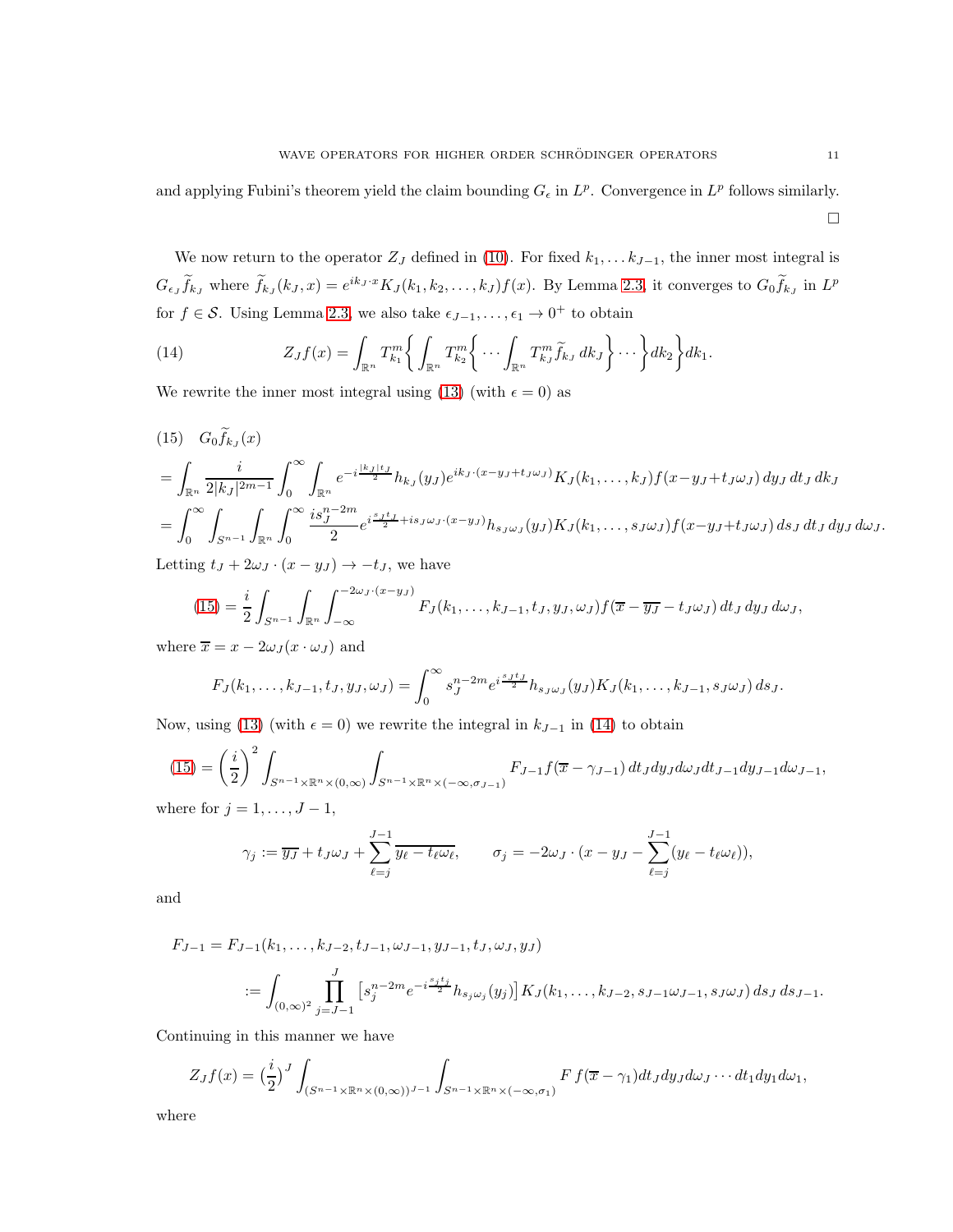and applying Fubini's theorem yield the claim bounding  $G_{\epsilon}$  in  $L^p$ . Convergence in  $L^p$  follows similarly.

We now return to the operator  $Z_J$  defined in [\(10\)](#page-6-2). For fixed  $k_1, \ldots k_{J-1}$ , the inner most integral is  $G_{\epsilon_J} \hat{f}_{k_J}$  where  $\hat{f}_{k_J}(k_J, x) = e^{ik_J \cdot x} K_J(k_1, k_2, \dots, k_J) f(x)$ . By Lemma [2.3,](#page-8-0) it converges to  $G_0 \hat{f}_{k_J}$  in  $L^p$ for  $f \in \mathcal{S}$ . Using Lemma [2.3,](#page-8-0) we also take  $\epsilon_{J-1}, \ldots, \epsilon_1 \to 0^+$  to obtain

<span id="page-10-1"></span>(14) 
$$
Z_J f(x) = \int_{\mathbb{R}^n} T_{k_1}^m \left\{ \int_{\mathbb{R}^n} T_{k_2}^m \left\{ \cdots \int_{\mathbb{R}^n} T_{k_J}^m \widetilde{f}_{k_J} \, dk_J \right\} \cdots \right\} dk_2 \right\} dk_1.
$$

We rewrite the inner most integral using [\(13\)](#page-8-1) (with  $\epsilon = 0$ ) as

<span id="page-10-0"></span>(15) 
$$
G_0 \tilde{f}_{kJ}(x)
$$
  
\n
$$
= \int_{\mathbb{R}^n} \frac{i}{2|k_J|^{2m-1}} \int_0^\infty \int_{\mathbb{R}^n} e^{-i\frac{|k_J|t_J}{2}} h_{kJ}(y_J) e^{ik_J \cdot (x - y_J + t_J \omega_J)} K_J(k_1, ..., k_J) f(x - y_J + t_J \omega_J) dy_J dt_J dt_J
$$
  
\n
$$
= \int_0^\infty \int_{S^{n-1}} \int_{\mathbb{R}^n} \int_0^\infty \frac{is_J^{n-2m}}{2} e^{i\frac{s_J t_J}{2} + is_J \omega_J \cdot (x - y_J)} h_{s_J \omega_J}(y_J) K_J(k_1, ..., s_J \omega_J) f(x - y_J + t_J \omega_J) ds_J dt_J dy_J d\omega_J.
$$

Letting  $t_J + 2\omega_J \cdot (x - y_J) \rightarrow -t_J$ , we have

$$
(15) = \frac{i}{2} \int_{S^{n-1}} \int_{\mathbb{R}^n} \int_{-\infty}^{-2\omega_J \cdot (x-y_J)} F_J(k_1,\ldots,k_{J-1},t_J,y_J,\omega_J) f(\overline{x}-\overline{y_J}-t_J\omega_J) dt_J dy_J d\omega_J,
$$

where  $\overline{x} = x - 2\omega_J(x \cdot \omega_J)$  and

$$
F_J(k_1,\ldots,k_{J-1},t_J,y_J,\omega_J)=\int_0^\infty s_J^{n-2m} e^{i\frac{s_Jt_J}{2}}h_{s_J\omega_J}(y_J)K_J(k_1,\ldots,k_{J-1},s_J\omega_J)\,ds_J.
$$

Now, using [\(13\)](#page-8-1) (with  $\epsilon = 0$ ) we rewrite the integral in  $k_{J-1}$  in [\(14\)](#page-10-1) to obtain

$$
(15) = \left(\frac{i}{2}\right)^2 \int_{S^{n-1}\times\mathbb{R}^n\times(0,\infty)} \int_{S^{n-1}\times\mathbb{R}^n\times(-\infty,\sigma_{J-1})} F_{J-1}f(\overline{x}-\gamma_{J-1}) dt_J dy_J d\omega_J dt_{J-1} dy_{J-1} d\omega_{J-1},
$$

where for  $j = 1, \ldots, J - 1$ ,

$$
\gamma_j := \overline{y_J} + t_J \omega_J + \sum_{\ell=j}^{J-1} \overline{y_\ell - t_\ell \omega_\ell}, \qquad \sigma_j = -2\omega_J \cdot (x - y_J - \sum_{\ell=j}^{J-1} (y_\ell - t_\ell \omega_\ell)),
$$

and

$$
F_{J-1} = F_{J-1}(k_1, \dots, k_{J-2}, t_{J-1}, \omega_{J-1}, y_{J-1}, t_J, \omega_J, y_J)
$$
  

$$
:= \int_{(0,\infty)^2} \prod_{j=J-1}^J \left[ s_j^{n-2m} e^{-i\frac{s_j t_j}{2}} h_{s_j \omega_j}(y_j) \right] K_J(k_1, \dots, k_{J-2}, s_{J-1} \omega_{J-1}, s_J \omega_J) ds_J ds_{J-1}.
$$

Continuing in this manner we have

$$
Z_Jf(x) = \left(\frac{i}{2}\right)^J \int_{(S^{n-1}\times\mathbb{R}^n\times(0,\infty))^{J-1}} \int_{S^{n-1}\times\mathbb{R}^n\times(-\infty,\sigma_1)} F f(\overline{x}-\gamma_1) dt_J dy_J d\omega_J \cdots dt_1 dy_1 d\omega_1,
$$

where

 $\Box$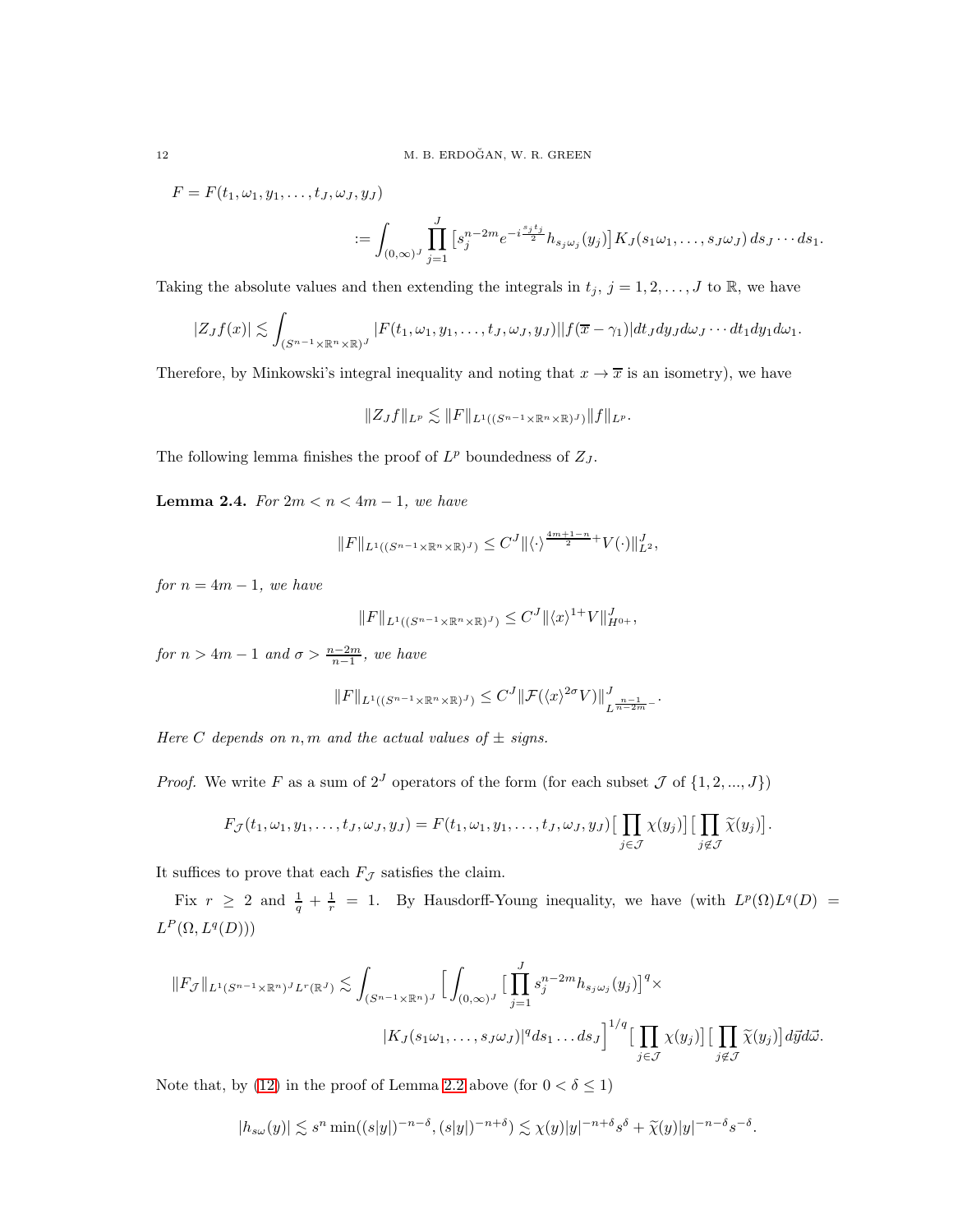$F = F(t_1, \omega_1, y_1, \ldots, t_J, \omega_J, y_J)$ 

$$
:= \int_{(0,\infty)^J} \prod_{j=1}^J \left[ s_j^{n-2m} e^{-i\frac{s_j t_j}{2}} h_{s_j \omega_j}(y_j) \right] K_J(s_1 \omega_1, \dots, s_J \omega_J) ds_J \cdots ds_1.
$$

Taking the absolute values and then extending the integrals in  $t_j$ ,  $j = 1, 2, ..., J$  to R, we have

$$
|Z_Jf(x)| \lesssim \int_{(S^{n-1}\times\mathbb{R}^n\times\mathbb{R})^J} |F(t_1,\omega_1,y_1,\ldots,t_J,\omega_J,y_J)||f(\overline{x}-\gamma_1)|dt_Jdy_Jd\omega_J\cdots dt_1dy_1d\omega_1.
$$

Therefore, by Minkowski's integral inequality and noting that  $x \to \overline{x}$  is an isometry), we have

$$
||Z_Jf||_{L^p} \lesssim ||F||_{L^1((S^{n-1} \times \mathbb{R}^n \times \mathbb{R})^J)} ||f||_{L^p}.
$$

The following lemma finishes the proof of  $L^p$  boundedness of  $Z_J$ .

Lemma 2.4. For  $2m < n < 4m - 1$ , we have

$$
||F||_{L^1((S^{n-1}\times\mathbb{R}^n\times\mathbb{R})^J)} \leq C^J ||\langle \cdot \rangle^{\frac{4m+1-n}{2}} + V(\cdot)||_{L^2}^J,
$$

for  $n = 4m - 1$ , we have

$$
||F||_{L^{1}((S^{n-1}\times\mathbb{R}^{n}\times\mathbb{R})^{J})}\leq C^{J}||\langle x\rangle^{1+}V||_{H^{0+}}^{J},
$$

for  $n > 4m - 1$  and  $\sigma > \frac{n-2m}{n-1}$ , we have

$$
||F||_{L^1((S^{n-1}\times\mathbb{R}^n\times\mathbb{R})^J)} \leq C^J ||\mathcal{F}(\langle x\rangle^{2\sigma}V)||_{L^{\frac{n-1}{n-2m}-}}^J.
$$

Here C depends on n, m and the actual values of  $\pm$  signs.

*Proof.* We write F as a sum of  $2^J$  operators of the form (for each subset  $\mathcal J$  of  $\{1, 2, ..., J\}$ )

$$
F_{\mathcal{J}}(t_1,\omega_1,y_1,\ldots,t_J,\omega_J,y_J)=F(t_1,\omega_1,y_1,\ldots,t_J,\omega_J,y_J)\left[\prod_{j\in\mathcal{J}}\chi(y_j)\right]\left[\prod_{j\notin\mathcal{J}}\widetilde{\chi}(y_j)\right].
$$

It suffices to prove that each  $F_{\mathcal{J}}$  satisfies the claim.

Fix  $r \geq 2$  and  $\frac{1}{q} + \frac{1}{r} = 1$ . By Hausdorff-Young inequality, we have (with  $L^p(\Omega)L^q(D) =$  $L^P(\Omega,L^q(D)))$ 

$$
||F_{\mathcal{J}}||_{L^{1}(S^{n-1}\times\mathbb{R}^{n})^{J}L^{r}(\mathbb{R}^{J})} \lesssim \int_{(S^{n-1}\times\mathbb{R}^{n})^{J}} \Big[ \int_{(0,\infty)^{J}} \Big[ \prod_{j=1}^{J} s_{j}^{n-2m} h_{s_{j}\omega_{j}}(y_{j}) \Big]^{q} \times
$$

$$
|K_{J}(s_{1}\omega_{1},\ldots,s_{J}\omega_{J})|^{q} ds_{1}\ldots ds_{J} \Big]^{1/q} \Big[ \prod_{j\in\mathcal{J}} \chi(y_{j}) \Big] \Big[ \prod_{j\notin\mathcal{J}} \widetilde{\chi}(y_{j}) \Big] d\vec{y} d\vec{\omega}.
$$

Note that, by [\(12\)](#page-7-0) in the proof of Lemma [2.2](#page-6-1) above (for  $0 < \delta \le 1$ )

$$
|h_{s\omega}(y)| \lesssim s^n \min((s|y|)^{-n-\delta}, (s|y|)^{-n+\delta}) \lesssim \chi(y)|y|^{-n+\delta} s^{\delta} + \widetilde{\chi}(y)|y|^{-n-\delta} s^{-\delta}.
$$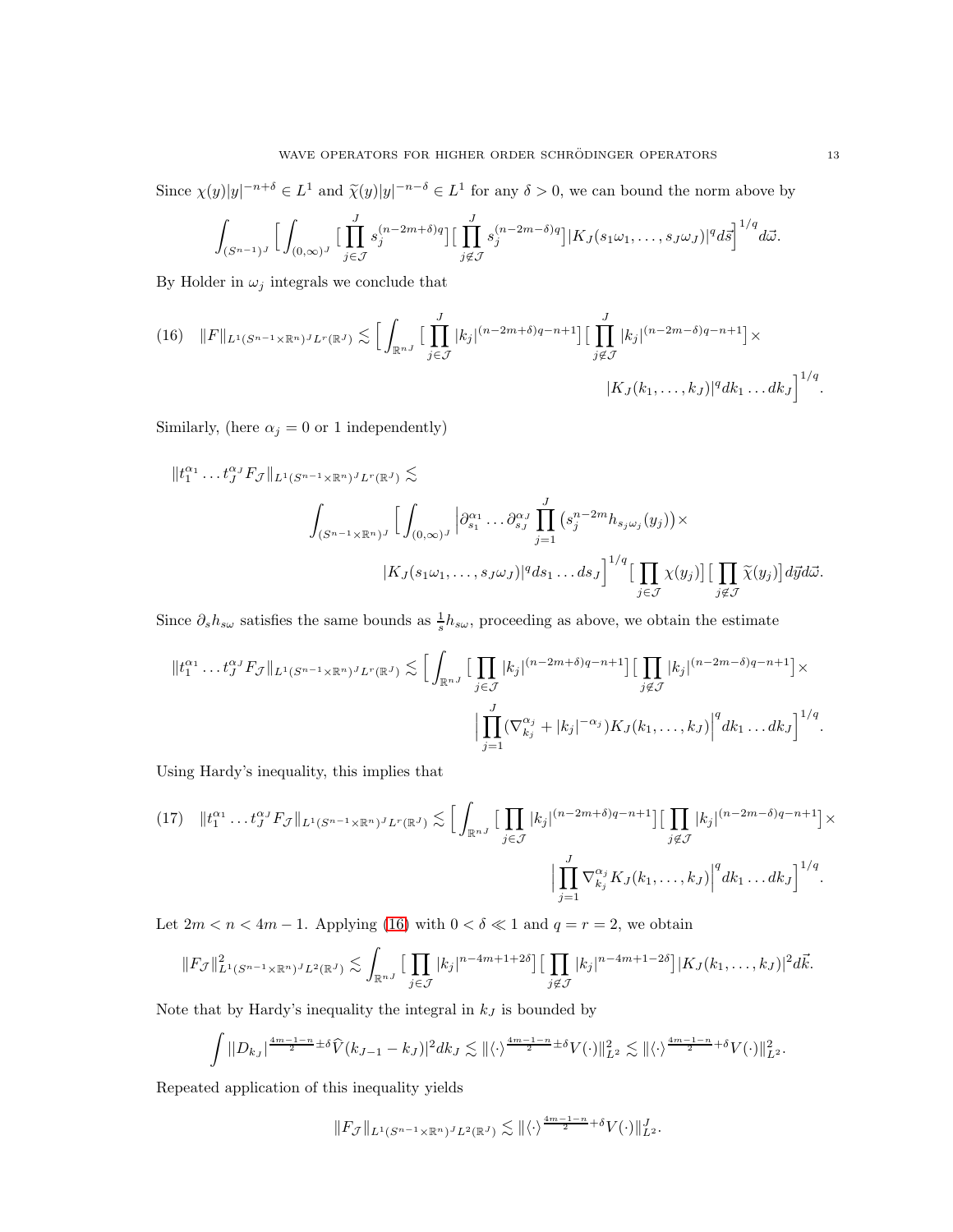Since  $\chi(y)|y|^{-n+\delta} \in L^1$  and  $\tilde{\chi}(y)|y|^{-n-\delta} \in L^1$  for any  $\delta > 0$ , we can bound the norm above by

$$
\int_{(S^{n-1})^J} \Big[ \int_{(0,\infty)^J} \Big[ \prod_{j\in\mathcal{J}}^J s_j^{(n-2m+\delta)q} \Big] \Big[ \prod_{j\notin\mathcal{J}}^J s_j^{(n-2m-\delta)q} \Big] |K_J(s_1\omega_1,\ldots,s_J\omega_J)|^q d\vec{s} \Big]^{1/q} d\vec{\omega}.
$$

By Holder in  $\omega_j$  integrals we conclude that

<span id="page-12-0"></span>
$$
(16) \quad ||F||_{L^{1}(S^{n-1}\times\mathbb{R}^{n})^{J}L^{r}(\mathbb{R}^{J})} \lesssim \Big[ \int_{\mathbb{R}^{nJ}} \Big[ \prod_{j\in\mathcal{J}}^{J} |k_{j}|^{(n-2m+\delta)q-n+1} \Big] \Big[ \prod_{j\notin\mathcal{J}}^{J} |k_{j}|^{(n-2m-\delta)q-n+1} \Big] \times \Big] \times \frac{|K_{J}(k_{1},\ldots,k_{J})|^{q}dk_{1}\ldots dk_{J}|^{1/q}}{|K_{J}(k_{1},\ldots,k_{J})|^{q}dk_{1}\ldots dk_{J}|^{1/q}}.
$$

Similarly, (here  $\alpha_j = 0$  or 1 independently)

$$
||t_1^{\alpha_1} \dots t_J^{\alpha_J} F_{\mathcal{J}}||_{L^1(S^{n-1} \times \mathbb{R}^n)^J L^r(\mathbb{R}^J)} \lesssim
$$
  

$$
\int_{(S^{n-1} \times \mathbb{R}^n)^J} \Big[ \int_{(0,\infty)^J} \Big| \partial_{s_1}^{\alpha_1} \dots \partial_{s_J}^{\alpha_J} \prod_{j=1}^J (s_j^{n-2m} h_{s_j \omega_j}(y_j)) \times
$$
  

$$
|K_J(s_1 \omega_1, \dots, s_J \omega_J)|^q ds_1 \dots ds_J \Big]^{1/q} \Big[ \prod_{j \in \mathcal{J}} \chi(y_j) \Big] \Big[ \prod_{j \notin \mathcal{J}} \widetilde{\chi}(y_j) \Big] d\vec{y} d\vec{\omega}.
$$

Since  $\partial_s h_{s\omega}$  satisfies the same bounds as  $\frac{1}{s}h_{s\omega}$ , proceeding as above, we obtain the estimate

$$
||t_1^{\alpha_1} \dots t_J^{\alpha_J} F_{\mathcal{J}}||_{L^1(S^{n-1} \times \mathbb{R}^n)^J L^r(\mathbb{R}^J)} \lesssim \Big[ \int_{\mathbb{R}^{nJ}} \Big[ \prod_{j \in \mathcal{J}} |k_j|^{(n-2m+\delta)q-n+1} \Big] \Big[ \prod_{j \notin \mathcal{J}} |k_j|^{(n-2m-\delta)q-n+1} \Big] \times \Big|
$$

$$
\Big| \prod_{j=1}^J (\nabla_{k_j}^{\alpha_j} + |k_j|^{-\alpha_j}) K_J(k_1, \dots, k_J) \Big|^q dk_1 \dots dk_J \Big]^{1/q}.
$$

Using Hardy's inequality, this implies that

<span id="page-12-1"></span>
$$
(17) \quad ||t_1^{\alpha_1} \dots t_J^{\alpha_J} F_{\mathcal{J}}||_{L^1(S^{n-1} \times \mathbb{R}^n)^J L^r(\mathbb{R}^J)} \lesssim \Big[ \int_{\mathbb{R}^{nJ}} \Big[ \prod_{j \in \mathcal{J}} |k_j|^{(n-2m+\delta)q-n+1} \Big] \Big[ \prod_{j \notin \mathcal{J}} |k_j|^{(n-2m-\delta)q-n+1} \Big] \times \Bigg| \prod_{j=1}^J \nabla_{k_j}^{\alpha_j} K_J(k_1, \dots, k_J) \Big|^q dk_1 \dots dk_J \Bigg]^{1/q}.
$$

Let  $2m < n < 4m - 1$ . Applying [\(16\)](#page-12-0) with  $0 < \delta \ll 1$  and  $q = r = 2$ , we obtain

$$
||F_{\mathcal{J}}||_{L^1(S^{n-1}\times\mathbb{R}^n)^J L^2(\mathbb{R}^J)}^2 \lesssim \int_{\mathbb{R}^{nJ}} \Big[\prod_{j\in\mathcal{J}} |k_j|^{n-4m+1+2\delta}\Big] \Big[\prod_{j\notin\mathcal{J}} |k_j|^{n-4m+1-2\delta}\Big] |K_J(k_1,\ldots,k_J)|^2 d\vec{k}.
$$

Note that by Hardy's inequality the integral in  $k_J$  is bounded by

$$
\int ||D_{k_J}|^{\frac{4m-1-n}{2}\pm\delta} \widehat{V}(k_{J-1}-k_J)|^2 dk_J \lesssim ||\langle \cdot \rangle^{\frac{4m-1-n}{2}\pm\delta} V(\cdot)||_{L^2}^2 \lesssim ||\langle \cdot \rangle^{\frac{4m-1-n}{2}+\delta} V(\cdot)||_{L^2}^2.
$$

Repeated application of this inequality yields

$$
||F_{\mathcal{J}}||_{L^1(S^{n-1}\times\mathbb{R}^n)}\big|_{L^2(\mathbb{R}^J)}\lesssim ||\langle \cdot \rangle^{\frac{4m-1-n}{2}+\delta}V(\cdot)||_{L^2}^J.
$$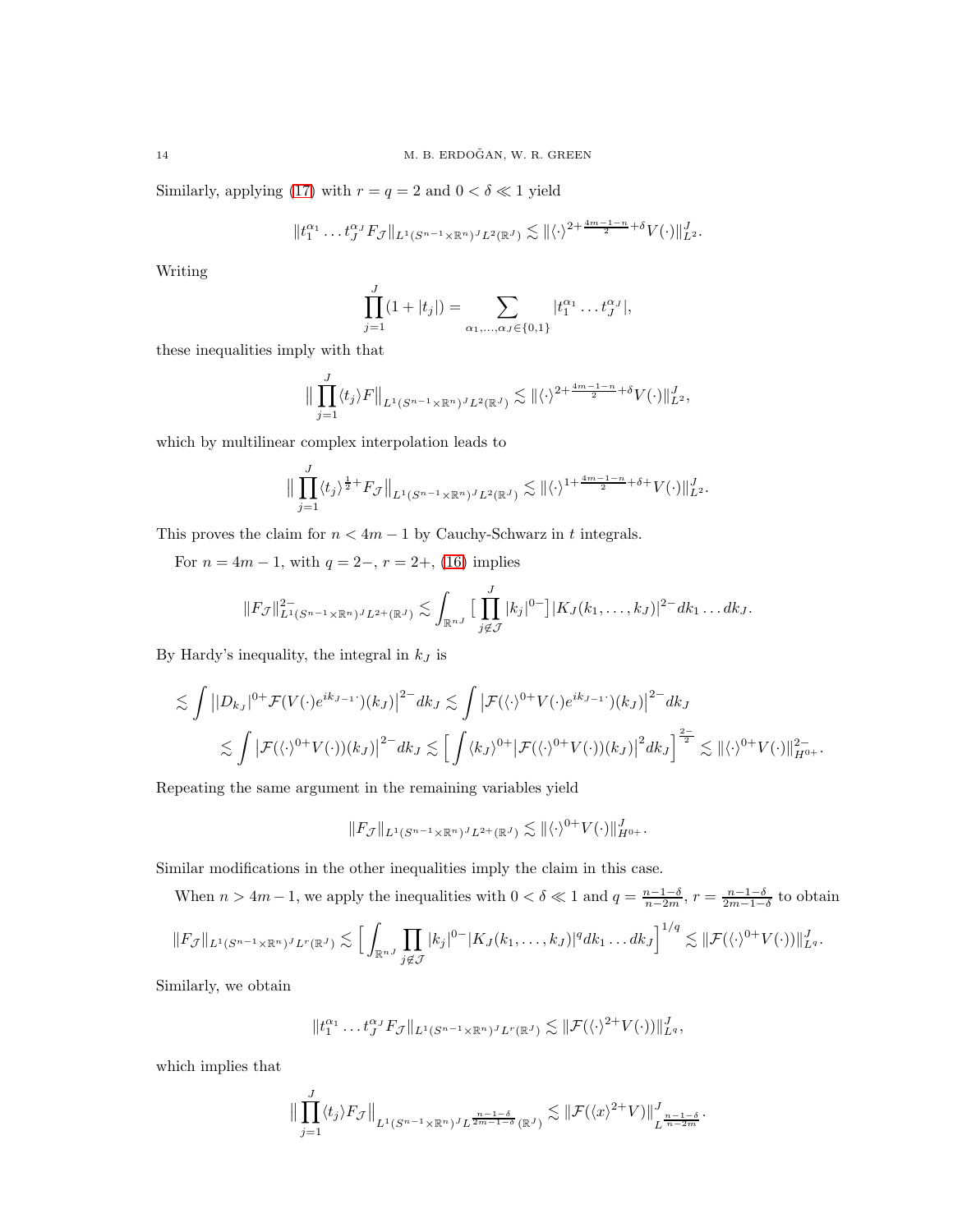Similarly, applying [\(17\)](#page-12-1) with  $r = q = 2$  and  $0 < \delta \ll 1$  yield

$$
||t_1^{\alpha_1}\dots t_J^{\alpha_J}F_{\mathcal{J}}||_{L^1(S^{n-1}\times\mathbb{R}^n)^J L^2(\mathbb{R}^J)} \lesssim ||\langle \cdot \rangle^{2+\frac{4m-1-n}{2}+\delta}V(\cdot)||_{L^2}^J.
$$

Writing

$$
\prod_{j=1}^{J} (1+|t_j|) = \sum_{\alpha_1,\dots,\alpha_J \in \{0,1\}} |t_1^{\alpha_1} \dots t_J^{\alpha_J}|,
$$

these inequalities imply with that

$$
\|\prod_{j=1}^J \langle t_j \rangle F\|_{L^1(S^{n-1} \times \mathbb{R}^n)^J L^2(\mathbb{R}^J)} \lesssim \|\langle \cdot \rangle^{2+\frac{4m-1-n}{2}+\delta} V(\cdot) \|_{L^2}^J,
$$

which by multilinear complex interpolation leads to

$$
\|\prod_{j=1}^J \langle t_j \rangle^{\frac{1}{2}+} F_{\mathcal{J}}\|_{L^1(S^{n-1} \times \mathbb{R}^n)^J L^2(\mathbb{R}^J)} \lesssim \|\langle \cdot \rangle^{1+\frac{4m-1-n}{2}+\delta+} V(\cdot)\|_{L^2}^J.
$$

This proves the claim for  $n < 4m - 1$  by Cauchy-Schwarz in t integrals.

For  $n = 4m - 1$ , with  $q = 2 -$ ,  $r = 2 +$ , [\(16\)](#page-12-0) implies

$$
||F_{\mathcal{J}}||_{L^{1}(S^{n-1}\times\mathbb{R}^{n})^{J}L^{2+}(\mathbb{R}^{J})}\lesssim \int_{\mathbb{R}^{nJ}}\big[\prod_{j\notin\mathcal{J}}^{J}|k_{j}|^{0-}\big]|K_{J}(k_{1},\ldots,k_{J})|^{2-}dk_{1}\ldots dk_{J}.
$$

By Hardy's inequality, the integral in  $k_J$  is

$$
\lesssim \int \left| |D_{k_J}|^{0+} \mathcal{F}(V(\cdot) e^{ik_{J-1}\cdot})(k_J) \right|^{2-} dk_J \lesssim \int \left| \mathcal{F}(\langle \cdot \rangle^{0+} V(\cdot) e^{ik_{J-1}\cdot})(k_J) \right|^{2-} dk_J
$$
  

$$
\lesssim \int \left| \mathcal{F}(\langle \cdot \rangle^{0+} V(\cdot))(k_J) \right|^{2-} dk_J \lesssim \left[ \int \langle k_J \rangle^{0+} \left| \mathcal{F}(\langle \cdot \rangle^{0+} V(\cdot))(k_J) \right|^{2} dk_J \right]^{\frac{2}{2}} \lesssim ||\langle \cdot \rangle^{0+} V(\cdot)||_{H^{0+}}^{2-}.
$$

Repeating the same argument in the remaining variables yield

$$
||F_{\mathcal{J}}||_{L^1(S^{n-1}\times\mathbb{R}^n)^J L^{2+}(\mathbb{R}^J)} \lesssim ||\langle \cdot \rangle^{0+} V(\cdot)||_{H^{0+}}^J.
$$

Similar modifications in the other inequalities imply the claim in this case.

When  $n > 4m - 1$ , we apply the inequalities with  $0 < \delta \ll 1$  and  $q = \frac{n-1-\delta}{n-2m}$ ,  $r = \frac{n-1-\delta}{2m-1-\delta}$  to obtain

$$
||F_{\mathcal{J}}||_{L^1(S^{n-1}\times\mathbb{R}^n)}\cdot L^r(\mathbb{R}^J)\lesssim \Big[\int_{\mathbb{R}^{nJ}}\prod_{j\notin\mathcal{J}}|k_j|^{0-}|K_J(k_1,\ldots,k_J)|^qdk_1\ldots dk_J\Big]^{1/q}\lesssim ||\mathcal{F}(\langle\cdot\rangle^{0+}V(\cdot))||_{L^q}^J.
$$

Similarly, we obtain

$$
||t_1^{\alpha_1} \dots t_J^{\alpha_J} F_{\mathcal{J}}||_{L^1(S^{n-1} \times \mathbb{R}^n)^J L^r(\mathbb{R}^J)} \lesssim ||\mathcal{F}(\langle \cdot \rangle^{2+} V(\cdot))||_{L^q}^J,
$$

which implies that

$$
\Big\| \prod_{j=1}^J \langle t_j \rangle F_{\mathcal{J}} \Big\|_{L^1(S^{n-1} \times \mathbb{R}^n)^J L^{\frac{n-1-\delta}{2m-1-\delta}}(\mathbb{R}^J)} \lesssim \|\mathcal{F}(\langle x \rangle^{2+} V) \|_{L^{\frac{n-1-\delta}{n-2m}}}^J.
$$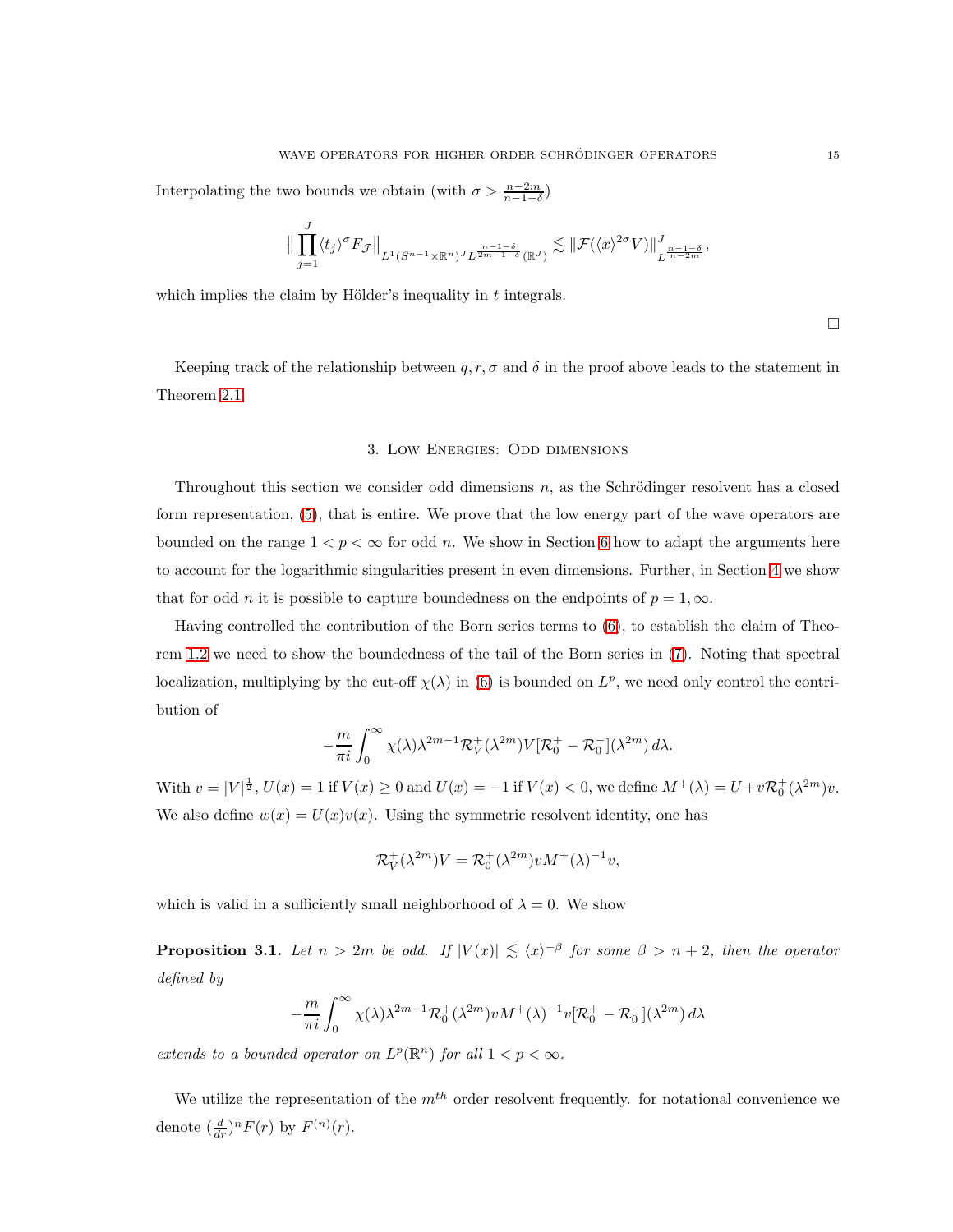Interpolating the two bounds we obtain (with  $\sigma > \frac{n-2m}{n-1-\delta}$ )

$$
\Big\| \prod_{j=1}^J \langle t_j \rangle^{\sigma} F_{\mathcal{J}} \Big\|_{L^1(S^{n-1} \times \mathbb{R}^n)^J L^{\frac{n-1-\delta}{2m-1-\delta}}(\mathbb{R}^J)} \lesssim \|\mathcal{F}(\langle x \rangle^{2\sigma} V) \|_{L^{\frac{n-1-\delta}{n-2m}}}^J,
$$

which implies the claim by Hölder's inequality in  $t$  integrals.

 $\Box$ 

<span id="page-14-0"></span>Keeping track of the relationship between  $q, r, \sigma$  and  $\delta$  in the proof above leads to the statement in Theorem [2.1.](#page-5-0)

#### 3. Low Energies: Odd dimensions

Throughout this section we consider odd dimensions  $n$ , as the Schrödinger resolvent has a closed form representation, [\(5\)](#page-3-1), that is entire. We prove that the low energy part of the wave operators are bounded on the range  $1 < p < \infty$  for odd n. We show in Section [6](#page-28-0) how to adapt the arguments here to account for the logarithmic singularities present in even dimensions. Further, in Section [4](#page-21-0) we show that for odd *n* it is possible to capture boundedness on the endpoints of  $p = 1, \infty$ .

Having controlled the contribution of the Born series terms to [\(6\)](#page-3-0), to establish the claim of Theorem [1.2](#page-1-0) we need to show the boundedness of the tail of the Born series in [\(7\)](#page-4-1). Noting that spectral localization, multiplying by the cut-off  $\chi(\lambda)$  in [\(6\)](#page-3-0) is bounded on  $L^p$ , we need only control the contribution of

$$
-\frac{m}{\pi i} \int_0^\infty \chi(\lambda) \lambda^{2m-1} \mathcal{R}_V^+(\lambda^{2m}) V[\mathcal{R}_0^+ - \mathcal{R}_0^-] (\lambda^{2m}) d\lambda.
$$

With  $v = |V|^{\frac{1}{2}}$ ,  $U(x) = 1$  if  $V(x) \ge 0$  and  $U(x) = -1$  if  $V(x) < 0$ , we define  $M^+(\lambda) = U + v \mathcal{R}_0^+(\lambda^{2m})v$ . We also define  $w(x) = U(x)v(x)$ . Using the symmetric resolvent identity, one has

$$
\mathcal{R}_V^+(\lambda^{2m})V = \mathcal{R}_0^+(\lambda^{2m})vM^+(\lambda)^{-1}v,
$$

which is valid in a sufficiently small neighborhood of  $\lambda = 0$ . We show

<span id="page-14-1"></span>**Proposition 3.1.** Let  $n > 2m$  be odd. If  $|V(x)| \le \langle x \rangle^{-\beta}$  for some  $\beta > n+2$ , then the operator defined by

$$
-\frac{m}{\pi i} \int_0^\infty \chi(\lambda) \lambda^{2m-1} \mathcal{R}_0^+(\lambda^{2m}) v M^+(\lambda)^{-1} v [\mathcal{R}_0^+ - \mathcal{R}_0^-](\lambda^{2m}) d\lambda
$$

extends to a bounded operator on  $L^p(\mathbb{R}^n)$  for all  $1 < p < \infty$ .

We utilize the representation of the  $m<sup>th</sup>$  order resolvent frequently. for notational convenience we denote  $\left(\frac{d}{dr}\right)^n F(r)$  by  $F^{(n)}(r)$ .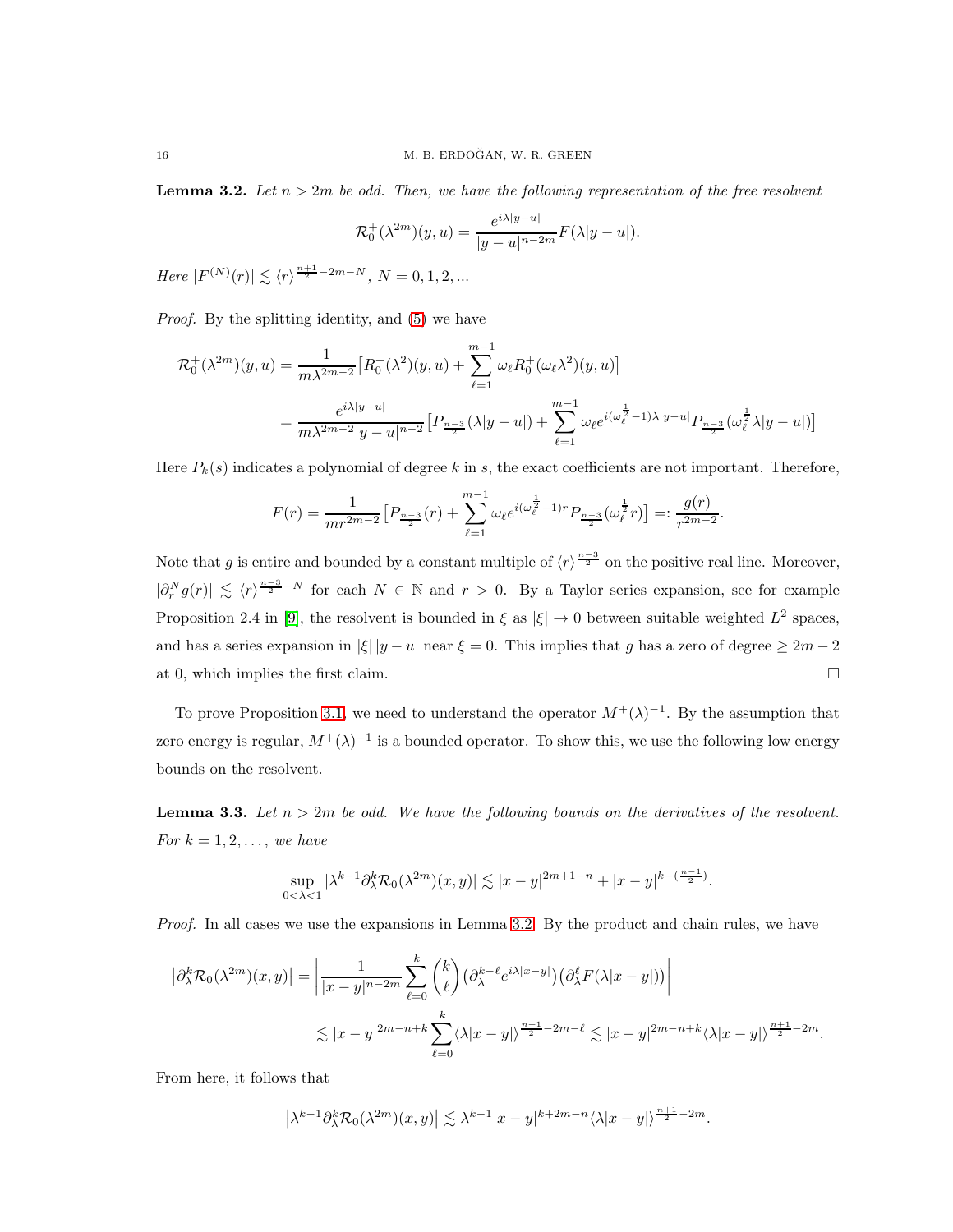<span id="page-15-0"></span>**Lemma 3.2.** Let  $n > 2m$  be odd. Then, we have the following representation of the free resolvent

$$
\mathcal{R}_0^+(\lambda^{2m})(y,u) = \frac{e^{i\lambda|y-u|}}{|y-u|^{n-2m}}F(\lambda|y-u|).
$$

Here  $|F^{(N)}(r)| \lesssim \langle r \rangle^{\frac{n+1}{2}-2m-N}, N = 0, 1, 2, ...$ 

Proof. By the splitting identity, and [\(5\)](#page-3-1) we have

$$
\mathcal{R}_0^+(\lambda^{2m})(y, u) = \frac{1}{m\lambda^{2m-2}} \left[ R_0^+(\lambda^2)(y, u) + \sum_{\ell=1}^{m-1} \omega_{\ell} R_0^+(\omega_{\ell} \lambda^2)(y, u) \right]
$$
  
= 
$$
\frac{e^{i\lambda |y - u|}}{m\lambda^{2m-2} |y - u|^{n-2}} \left[ P_{\frac{n-3}{2}}(\lambda |y - u|) + \sum_{\ell=1}^{m-1} \omega_{\ell} e^{i(\omega_{\ell}^{\frac{1}{2}} - 1)\lambda |y - u|} P_{\frac{n-3}{2}}(\omega_{\ell}^{\frac{1}{2}} \lambda |y - u|) \right]
$$

Here  $P_k(s)$  indicates a polynomial of degree k in s, the exact coefficients are not important. Therefore,

$$
F(r) = \frac{1}{mr^{2m-2}} \left[ P_{\frac{n-3}{2}}(r) + \sum_{\ell=1}^{m-1} \omega_{\ell} e^{i(\omega_{\ell}^{\frac{1}{2}} - 1)r} P_{\frac{n-3}{2}}(\omega_{\ell}^{\frac{1}{2}} r) \right] =: \frac{g(r)}{r^{2m-2}}.
$$

Note that g is entire and bounded by a constant multiple of  $\langle r \rangle^{\frac{n-3}{2}}$  on the positive real line. Moreover,  $|\partial_r^N g(r)| \lesssim \langle r \rangle^{\frac{n-3}{2}-N}$  for each  $N \in \mathbb{N}$  and  $r > 0$ . By a Taylor series expansion, see for example Proposition 2.4 in [\[9\]](#page-33-3), the resolvent is bounded in  $\xi$  as  $|\xi| \to 0$  between suitable weighted  $L^2$  spaces, and has a series expansion in  $|\xi| |y - u|$  near  $\xi = 0$ . This implies that g has a zero of degree  $\ge 2m - 2$ at 0, which implies the first claim.  $\square$ 

To prove Proposition [3.1,](#page-14-1) we need to understand the operator  $M^+(\lambda)^{-1}$ . By the assumption that zero energy is regular,  $M^+(\lambda)^{-1}$  is a bounded operator. To show this, we use the following low energy bounds on the resolvent.

<span id="page-15-1"></span>**Lemma 3.3.** Let  $n > 2m$  be odd. We have the following bounds on the derivatives of the resolvent. For  $k = 1, 2, \ldots$ , we have

$$
\sup_{0<\lambda<1} |\lambda^{k-1} \partial_{\lambda}^{k} \mathcal{R}_{0}(\lambda^{2m})(x,y)| \lesssim |x-y|^{2m+1-n} + |x-y|^{k-(\frac{n-1}{2})}.
$$

Proof. In all cases we use the expansions in Lemma [3.2.](#page-15-0) By the product and chain rules, we have

$$
\left| \partial_{\lambda}^{k} \mathcal{R}_{0}(\lambda^{2m})(x, y) \right| = \left| \frac{1}{|x - y|^{n - 2m}} \sum_{\ell=0}^{k} \binom{k}{\ell} \left( \partial_{\lambda}^{k - \ell} e^{i \lambda |x - y|} \right) \left( \partial_{\lambda}^{\ell} F(\lambda |x - y|) \right) \right|
$$
  

$$
\lesssim |x - y|^{2m - n + k} \sum_{\ell=0}^{k} \langle \lambda |x - y| \rangle^{\frac{n + 1}{2} - 2m - \ell} \lesssim |x - y|^{2m - n + k} \langle \lambda |x - y| \rangle^{\frac{n + 1}{2} - 2m}.
$$

From here, it follows that

$$
\left|\lambda^{k-1}\partial_{\lambda}^{k}\mathcal{R}_{0}(\lambda^{2m})(x,y)\right|\lesssim \lambda^{k-1}|x-y|^{k+2m-n}\langle \lambda|x-y|\rangle^{\frac{n+1}{2}-2m}.
$$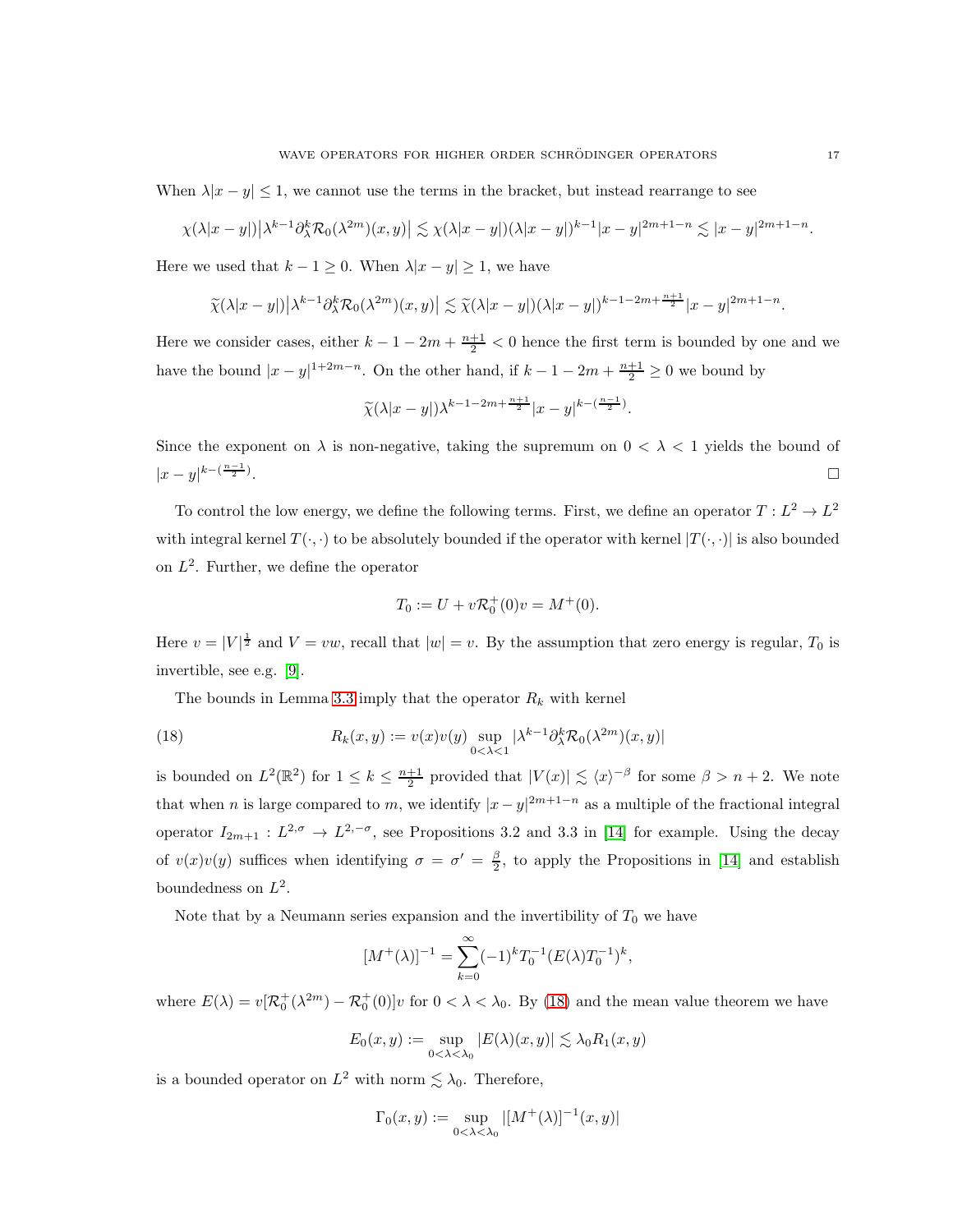When  $\lambda |x - y| \leq 1$ , we cannot use the terms in the bracket, but instead rearrange to see

$$
\chi(\lambda|x-y|) \left|\lambda^{k-1} \partial_{\lambda}^{k} \mathcal{R}_{0}(\lambda^{2m})(x,y)\right| \lesssim \chi(\lambda|x-y|) (\lambda|x-y|)^{k-1}|x-y|^{2m+1-n} \lesssim |x-y|^{2m+1-n}.
$$

Here we used that  $k - 1 \geq 0$ . When  $\lambda |x - y| \geq 1$ , we have

$$
\widetilde{\chi}(\lambda|x-y|) \left|\lambda^{k-1} \partial_{\lambda}^{k} \mathcal{R}_{0}(\lambda^{2m})(x,y)\right| \lesssim \widetilde{\chi}(\lambda|x-y|) \left(\lambda|x-y|\right)^{k-1-2m+\frac{n+1}{2}} |x-y|^{2m+1-n}.
$$

Here we consider cases, either  $k-1-2m+\frac{n+1}{2} < 0$  hence the first term is bounded by one and we have the bound  $|x-y|^{1+2m-n}$ . On the other hand, if  $k-1-2m+\frac{n+1}{2}\geq 0$  we bound by

$$
\widetilde{\chi}(\lambda|x-y|)\lambda^{k-1-2m+\frac{n+1}{2}}|x-y|^{k-(\frac{n-1}{2})}.
$$

Since the exponent on  $\lambda$  is non-negative, taking the supremum on  $0 < \lambda < 1$  yields the bound of  $|x-y|^{k-(\frac{n-1}{2})}$ .

To control the low energy, we define the following terms. First, we define an operator  $T : L^2 \to L^2$ with integral kernel  $T(\cdot, \cdot)$  to be absolutely bounded if the operator with kernel  $|T(\cdot, \cdot)|$  is also bounded on  $L^2$ . Further, we define the operator

<span id="page-16-0"></span>
$$
T_0 := U + v \mathcal{R}_0^+(0)v = M^+(0).
$$

Here  $v = |V|^{\frac{1}{2}}$  and  $V = vw$ , recall that  $|w| = v$ . By the assumption that zero energy is regular,  $T_0$  is invertible, see e.g. [\[9\]](#page-33-3).

The bounds in Lemma [3.3](#page-15-1) imply that the operator  $R_k$  with kernel

(18) 
$$
R_k(x,y) := v(x)v(y) \sup_{0 < \lambda < 1} |\lambda^{k-1} \partial_{\lambda}^{k} \mathcal{R}_0(\lambda^{2m})(x,y)|
$$

is bounded on  $L^2(\mathbb{R}^2)$  for  $1 \leq k \leq \frac{n+1}{2}$  provided that  $|V(x)| \lesssim \langle x \rangle^{-\beta}$  for some  $\beta > n+2$ . We note that when n is large compared to m, we identify  $|x-y|^{2m+1-n}$  as a multiple of the fractional integral operator  $I_{2m+1}: L^{2,\sigma} \to L^{2,-\sigma}$ , see Propositions 3.2 and 3.3 in [\[14\]](#page-33-15) for example. Using the decay of  $v(x)v(y)$  suffices when identifying  $\sigma = \sigma' = \frac{\beta}{2}$ , to apply the Propositions in [\[14\]](#page-33-15) and establish boundedness on  $L^2$ .

Note that by a Neumann series expansion and the invertibility of  $T_0$  we have

$$
[M^{+}(\lambda)]^{-1} = \sum_{k=0}^{\infty} (-1)^{k} T_0^{-1} (E(\lambda) T_0^{-1})^{k},
$$

where  $E(\lambda) = v[\mathcal{R}_0^+(\lambda^{2m}) - \mathcal{R}_0^+(0)]v$  for  $0 < \lambda < \lambda_0$ . By [\(18\)](#page-16-0) and the mean value theorem we have

$$
E_0(x,y) := \sup_{0 < \lambda < \lambda_0} |E(\lambda)(x,y)| \lesssim \lambda_0 R_1(x,y)
$$

is a bounded operator on  $L^2$  with norm  $\lesssim \lambda_0$ . Therefore,

$$
\Gamma_0(x, y) := \sup_{0 < \lambda < \lambda_0} |[M^+(\lambda)]^{-1}(x, y)|
$$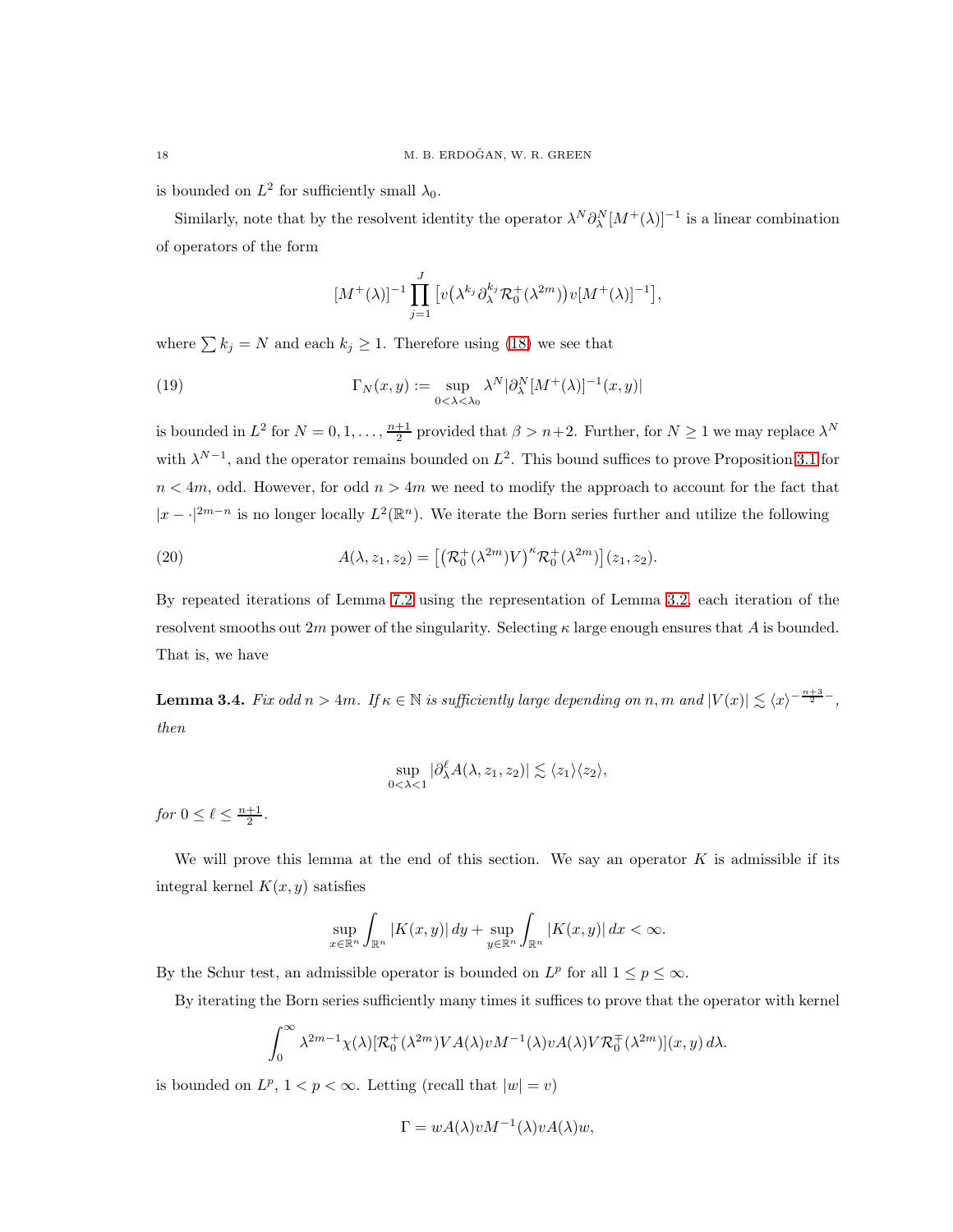is bounded on  $L^2$  for sufficiently small  $\lambda_0$ .

Similarly, note that by the resolvent identity the operator  $\lambda^N \partial_{\lambda}^N [M^+(\lambda)]^{-1}$  is a linear combination of operators of the form

<span id="page-17-1"></span>
$$
[M^+(\lambda)]^{-1} \prod_{j=1}^J \big[ v(\lambda^{k_j} \partial_\lambda^{k_j} \mathcal{R}_0^+(\lambda^{2m}) \big) v[M^+(\lambda)]^{-1} \big],
$$

where  $\sum k_j = N$  and each  $k_j \ge 1$ . Therefore using [\(18\)](#page-16-0) we see that

(19) 
$$
\Gamma_N(x,y) := \sup_{0 < \lambda < \lambda_0} \lambda^N |\partial_{\lambda}^N[M^+(\lambda)]^{-1}(x,y)|
$$

is bounded in  $L^2$  for  $N = 0, 1, ..., \frac{n+1}{2}$  provided that  $\beta > n+2$ . Further, for  $N \ge 1$  we may replace  $\lambda^N$ with  $\lambda^{N-1}$ , and the operator remains bounded on  $L^2$ . This bound suffices to prove Proposition [3.1](#page-14-1) for  $n < 4m$ , odd. However, for odd  $n > 4m$  we need to modify the approach to account for the fact that  $|x - \cdot|^{2m-n}$  is no longer locally  $L^2(\mathbb{R}^n)$ . We iterate the Born series further and utilize the following

<span id="page-17-2"></span>(20) 
$$
A(\lambda, z_1, z_2) = \left[ \left( \mathcal{R}_0^+(\lambda^{2m}) V \right)^{\kappa} \mathcal{R}_0^+(\lambda^{2m}) \right] (z_1, z_2).
$$

By repeated iterations of Lemma [7.2](#page-32-6) using the representation of Lemma [3.2,](#page-15-0) each iteration of the resolvent smooths out 2m power of the singularity. Selecting  $\kappa$  large enough ensures that A is bounded. That is, we have

<span id="page-17-0"></span>**Lemma 3.4.** Fix odd  $n > 4m$ . If  $\kappa \in \mathbb{N}$  is sufficiently large depending on n, m and  $|V(x)| \lesssim \langle x \rangle^{-\frac{n+3}{2}}$ , then

$$
\sup_{0<\lambda<1}|\partial_{\lambda}^{\ell}A(\lambda,z_1,z_2)|\lesssim \langle z_1\rangle\langle z_2\rangle,
$$

for  $0 \leq \ell \leq \frac{n+1}{2}$ .

We will prove this lemma at the end of this section. We say an operator  $K$  is admissible if its integral kernel  $K(x, y)$  satisfies

$$
\sup_{x\in\mathbb{R}^n}\int_{\mathbb{R}^n}|K(x,y)|\,dy+\sup_{y\in\mathbb{R}^n}\int_{\mathbb{R}^n}|K(x,y)|\,dx<\infty.
$$

By the Schur test, an admissible operator is bounded on  $L^p$  for all  $1 \leq p \leq \infty$ .

By iterating the Born series sufficiently many times it suffices to prove that the operator with kernel

$$
\int_0^\infty \lambda^{2m-1} \chi(\lambda) [\mathcal{R}_0^+(\lambda^{2m}) V A(\lambda) v M^{-1}(\lambda) v A(\lambda) V \mathcal{R}_0^\mp(\lambda^{2m})](x, y) d\lambda.
$$

is bounded on  $L^p$ ,  $1 < p < \infty$ . Letting (recall that  $|w| = v$ )

$$
\Gamma = wA(\lambda)vM^{-1}(\lambda)vA(\lambda)w,
$$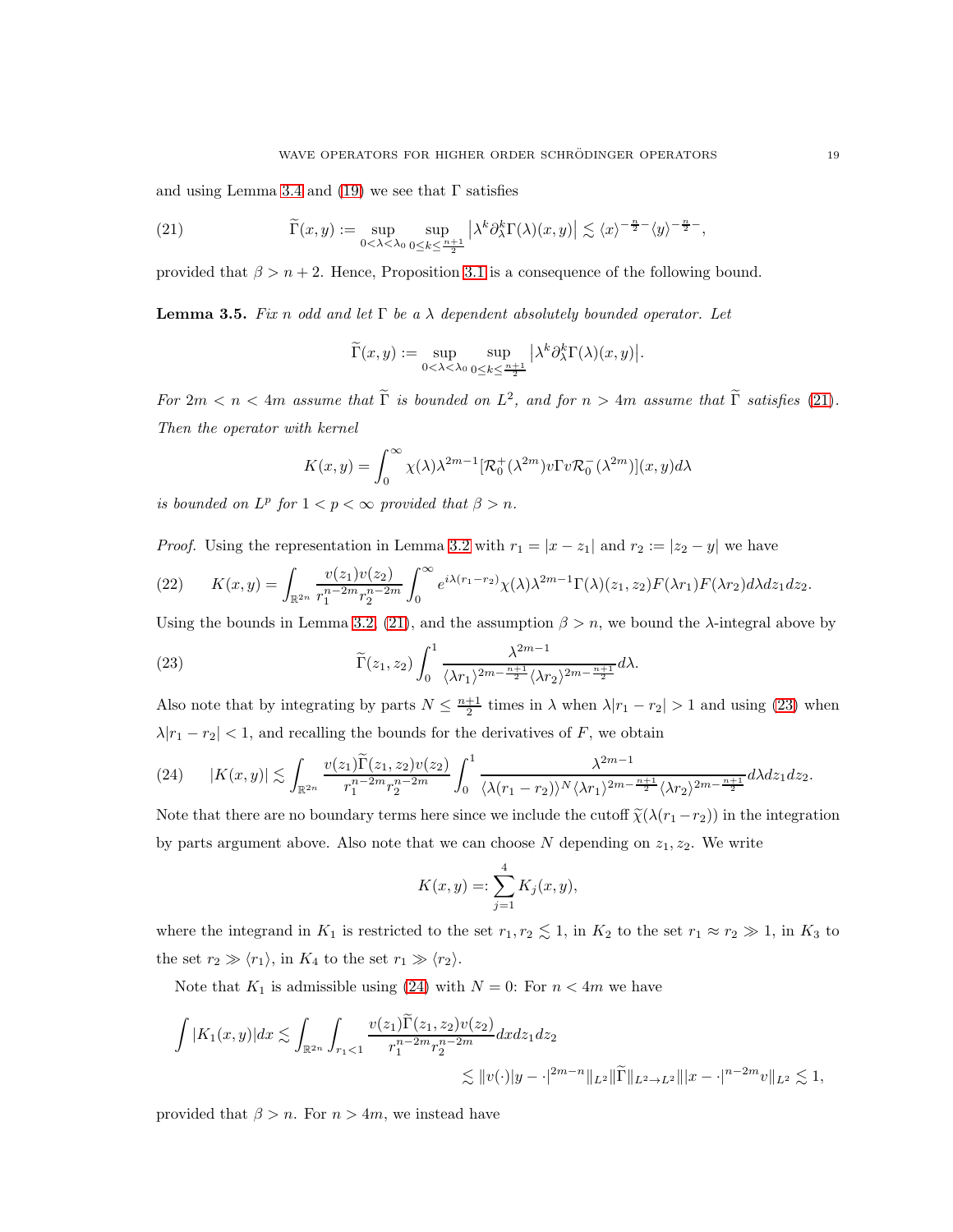and using Lemma [3.4](#page-17-0) and [\(19\)](#page-17-1) we see that  $\Gamma$  satisfies

<span id="page-18-0"></span>(21) 
$$
\widetilde{\Gamma}(x,y) := \sup_{0 < \lambda < \lambda_0} \sup_{0 \le k \le \frac{n+1}{2}} \left| \lambda^k \partial_{\lambda}^k \Gamma(\lambda)(x,y) \right| \lesssim \langle x \rangle^{-\frac{n}{2} - \langle y \rangle^{-\frac{n}{2} -}},
$$

provided that  $\beta > n + 2$ . Hence, Proposition [3.1](#page-14-1) is a consequence of the following bound.

<span id="page-18-3"></span>**Lemma 3.5.** Fix n odd and let  $\Gamma$  be a  $\lambda$  dependent absolutely bounded operator. Let

$$
\widetilde{\Gamma}(x,y):=\sup_{0<\lambda<\lambda_0}\sup_{0\leq k\leq \frac{n+1}{2}}\big|\lambda^k\partial^k_\lambda\Gamma(\lambda)(x,y)\big|.
$$

For  $2m < n < 4m$  assume that  $\tilde{\Gamma}$  is bounded on  $L^2$ , and for  $n > 4m$  assume that  $\tilde{\Gamma}$  satisfies [\(21\)](#page-18-0). Then the operator with kernel

$$
K(x,y) = \int_0^\infty \chi(\lambda) \lambda^{2m-1} [\mathcal{R}_0^+(\lambda^{2m}) v \Gamma v \mathcal{R}_0^-(\lambda^{2m})](x,y) d\lambda
$$

is bounded on  $L^p$  for  $1 < p < \infty$  provided that  $\beta > n$ .

*Proof.* Using the representation in Lemma [3.2](#page-15-0) with  $r_1 = |x - z_1|$  and  $r_2 := |z_2 - y|$  we have

(22) 
$$
K(x,y) = \int_{\mathbb{R}^{2n}} \frac{v(z_1)v(z_2)}{r_1^{n-2m}r_2^{n-2m}} \int_0^{\infty} e^{i\lambda(r_1-r_2)} \chi(\lambda) \lambda^{2m-1} \Gamma(\lambda)(z_1, z_2) F(\lambda r_1) F(\lambda r_2) d\lambda dz_1 dz_2.
$$

Using the bounds in Lemma [3.2,](#page-15-0) [\(21\)](#page-18-0), and the assumption  $\beta > n$ , we bound the  $\lambda$ -integral above by

<span id="page-18-1"></span>(23) 
$$
\widetilde{\Gamma}(z_1, z_2) \int_0^1 \frac{\lambda^{2m-1}}{\langle \lambda r_1 \rangle^{2m - \frac{n+1}{2}} \langle \lambda r_2 \rangle^{2m - \frac{n+1}{2}}} d\lambda.
$$

Also note that by integrating by parts  $N \leq \frac{n+1}{2}$  times in  $\lambda$  when  $\lambda |r_1 - r_2| > 1$  and using [\(23\)](#page-18-1) when  $\lambda |r_1 - r_2| < 1$ , and recalling the bounds for the derivatives of F, we obtain

<span id="page-18-2"></span>
$$
(24) \qquad |K(x,y)| \lesssim \int_{\mathbb{R}^{2n}} \frac{v(z_1)\widetilde{\Gamma}(z_1,z_2)v(z_2)}{r_1^{n-2m}r_2^{n-2m}} \int_0^1 \frac{\lambda^{2m-1}}{\langle \lambda (r_1-r_2) \rangle^N \langle \lambda r_1 \rangle^{2m-\frac{n+1}{2}} \langle \lambda r_2 \rangle^{2m-\frac{n+1}{2}}} d\lambda dz_1 dz_2.
$$

Note that there are no boundary terms here since we include the cutoff  $\tilde{\chi}(\lambda(r_1 - r_2))$  in the integration by parts argument above. Also note that we can choose N depending on  $z_1, z_2$ . We write

$$
K(x, y) =: \sum_{j=1}^{4} K_j(x, y),
$$

where the integrand in  $K_1$  is restricted to the set  $r_1, r_2 \leq 1$ , in  $K_2$  to the set  $r_1 \approx r_2 \gg 1$ , in  $K_3$  to the set  $r_2 \gg \langle r_1 \rangle$ , in  $K_4$  to the set  $r_1 \gg \langle r_2 \rangle$ .

Note that  $K_1$  is admissible using [\(24\)](#page-18-2) with  $N = 0$ : For  $n < 4m$  we have

$$
\int |K_1(x,y)| dx \lesssim \int_{\mathbb{R}^{2n}} \int_{r_1 < 1} \frac{v(z_1) \widetilde{\Gamma}(z_1, z_2) v(z_2)}{r_1^{n-2m} r_2^{n-2m}} dx dz_1 dz_2
$$
\n
$$
\lesssim \|v(\cdot)|y - \cdot|^{2m-n} \|_{L^2} \|\widetilde{\Gamma}\|_{L^2 \to L^2} \| |x - \cdot|^{n-2m} v\|_{L^2} \lesssim 1,
$$

provided that  $\beta > n$ . For  $n > 4m$ , we instead have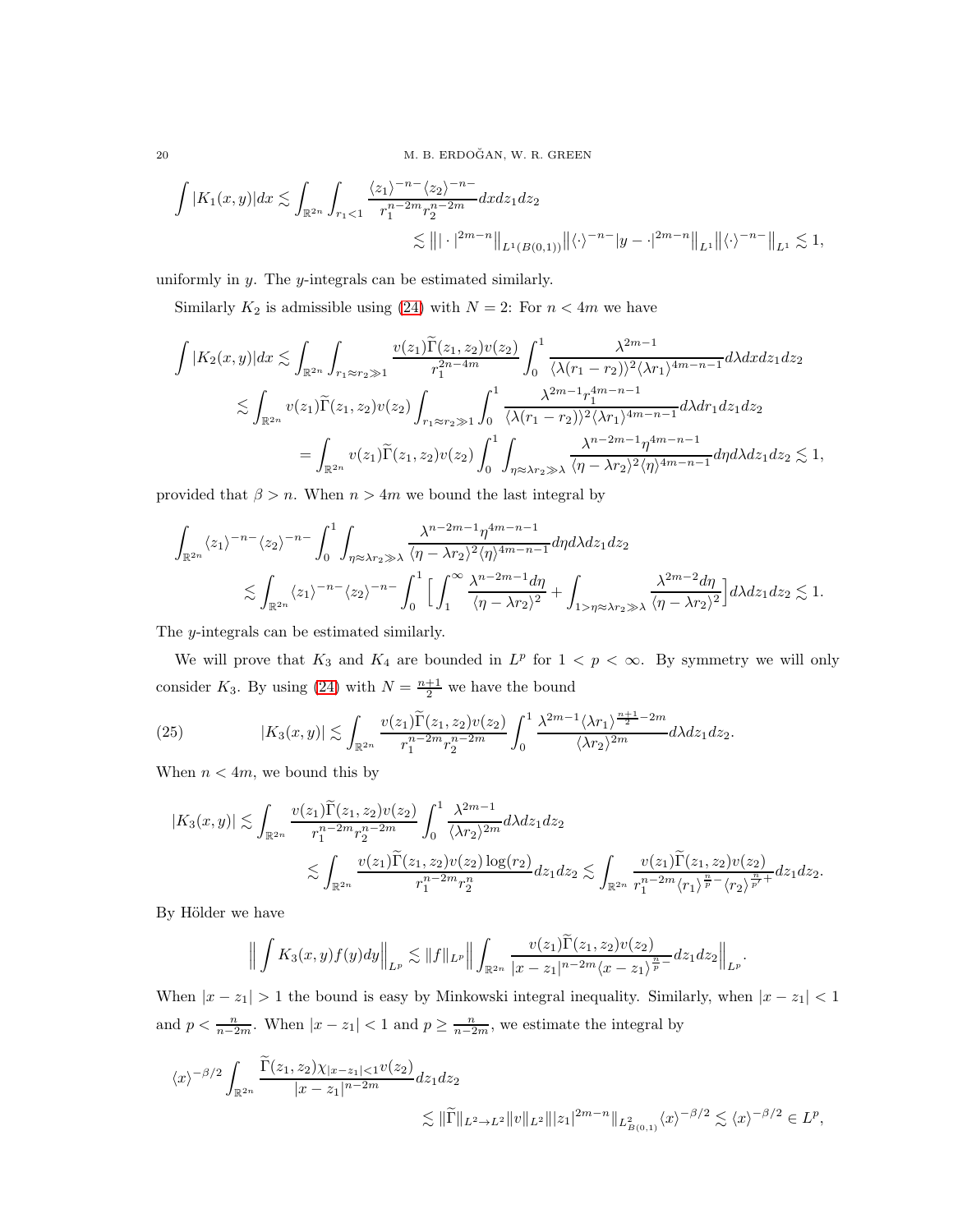20 M. B. ERDOĞAN, W. R. GREEN

$$
\int |K_1(x,y)| dx \lesssim \int_{\mathbb{R}^{2n}} \int_{r_1 < 1} \frac{\langle z_1 \rangle^{-n-} \langle z_2 \rangle^{-n-}}{r_1^{n-2m} r_2^{n-2m}} dx dz_1 dz_2
$$
\n
$$
\lesssim ||| \cdot |^{2m-n} ||_{L^1(B(0,1))} ||\langle \cdot \rangle^{-n-} |y - \cdot|^{2m-n} ||_{L^1} ||\langle \cdot \rangle^{-n-} ||_{L^1} \lesssim 1,
$$

uniformly in  $y$ . The  $y$ -integrals can be estimated similarly.

Similarly  $K_2$  is admissible using [\(24\)](#page-18-2) with  $N = 2$ : For  $n < 4m$  we have

$$
\int |K_2(x,y)| dx \lesssim \int_{\mathbb{R}^{2n}} \int_{r_1 \approx r_2 \gg 1} \frac{v(z_1) \widetilde{\Gamma}(z_1,z_2) v(z_2)}{r_1^{2n-4m}} \int_0^1 \frac{\lambda^{2m-1}}{\langle \lambda (r_1 - r_2) \rangle^2 \langle \lambda r_1 \rangle^{4m-n-1}} d\lambda dx dz_1 dz_2
$$
  

$$
\lesssim \int_{\mathbb{R}^{2n}} v(z_1) \widetilde{\Gamma}(z_1,z_2) v(z_2) \int_{r_1 \approx r_2 \gg 1} \int_0^1 \frac{\lambda^{2m-1} r_1^{4m-n-1}}{\langle \lambda (r_1 - r_2) \rangle^2 \langle \lambda r_1 \rangle^{4m-n-1}} d\lambda dr_1 dz_1 dz_2
$$
  

$$
= \int_{\mathbb{R}^{2n}} v(z_1) \widetilde{\Gamma}(z_1,z_2) v(z_2) \int_0^1 \int_{\eta \approx \lambda r_2 \gg \lambda} \frac{\lambda^{n-2m-1} \eta^{4m-n-1}}{\langle \eta - \lambda r_2 \rangle^2 \langle \eta \rangle^{4m-n-1}} d\eta d\lambda dz_1 dz_2 \lesssim 1,
$$

provided that  $\beta > n$ . When  $n > 4m$  we bound the last integral by

$$
\int_{\mathbb{R}^{2n}} \langle z_1 \rangle^{-n} \langle z_2 \rangle^{-n} - \int_0^1 \int_{\eta \approx \lambda r_2 \gg \lambda} \frac{\lambda^{n-2m-1} \eta^{4m-n-1}}{\langle \eta - \lambda r_2 \rangle^2 \langle \eta \rangle^{4m-n-1}} d\eta d\lambda dz_1 dz_2
$$
  

$$
\lesssim \int_{\mathbb{R}^{2n}} \langle z_1 \rangle^{-n} \langle z_2 \rangle^{-n} - \int_0^1 \left[ \int_1^\infty \frac{\lambda^{n-2m-1} d\eta}{\langle \eta - \lambda r_2 \rangle^2} + \int_{1 > \eta \approx \lambda r_2 \gg \lambda} \frac{\lambda^{2m-2} d\eta}{\langle \eta - \lambda r_2 \rangle^2} \right] d\lambda dz_1 dz_2 \lesssim 1.
$$

The y-integrals can be estimated similarly.

We will prove that  $K_3$  and  $K_4$  are bounded in  $L^p$  for  $1 < p < \infty$ . By symmetry we will only consider  $K_3$ . By using [\(24\)](#page-18-2) with  $N = \frac{n+1}{2}$  we have the bound

<span id="page-19-0"></span>(25) 
$$
|K_3(x,y)| \lesssim \int_{\mathbb{R}^{2n}} \frac{v(z_1)\widetilde{\Gamma}(z_1,z_2)v(z_2)}{r_1^{n-2m}r_2^{n-2m}} \int_0^1 \frac{\lambda^{2m-1}\langle \lambda r_1 \rangle^{\frac{n+1}{2}-2m}}{\langle \lambda r_2 \rangle^{2m}} d\lambda dz_1 dz_2.
$$

When  $n < 4m$ , we bound this by

$$
|K_3(x,y)| \lesssim \int_{\mathbb{R}^{2n}} \frac{v(z_1)\widetilde{\Gamma}(z_1,z_2)v(z_2)}{r_1^{n-2m}r_2^{n-2m}} \int_0^1 \frac{\lambda^{2m-1}}{\langle \lambda r_2 \rangle^{2m}} d\lambda dz_1 dz_2
$$
  

$$
\lesssim \int_{\mathbb{R}^{2n}} \frac{v(z_1)\widetilde{\Gamma}(z_1,z_2)v(z_2)\log(r_2)}{r_1^{n-2m}r_2^{n}} dz_1 dz_2 \lesssim \int_{\mathbb{R}^{2n}} \frac{v(z_1)\widetilde{\Gamma}(z_1,z_2)v(z_2)}{r_1^{n-2m}\langle r_1 \rangle^{\frac{n}{p}} \langle r_2 \rangle^{\frac{n}{p'}}} dz_1 dz_2.
$$

By Hölder we have

$$
\Big\|\int K_3(x,y)f(y)dy\Big\|_{L^p}\lesssim \|f\|_{L^p}\Big\|\int_{\mathbb{R}^{2n}}\frac{v(z_1)\widetilde{\Gamma}(z_1,z_2)v(z_2)}{|x-z_1|^{n-2m}\langle x-z_1\rangle^{\frac{n}{p}}}\,dz_1dz_2\Big\|_{L^p}.
$$

When  $|x - z_1| > 1$  the bound is easy by Minkowski integral inequality. Similarly, when  $|x - z_1| < 1$ and  $p < \frac{n}{n-2m}$ . When  $|x - z_1| < 1$  and  $p \ge \frac{n}{n-2m}$ , we estimate the integral by

$$
\langle x \rangle^{-\beta/2} \int_{\mathbb{R}^{2n}} \frac{\widetilde{\Gamma}(z_1, z_2) \chi_{|x-z_1| < 1} v(z_2)}{|x-z_1|^{n-2m}} dz_1 dz_2
$$
\n
$$
\lesssim \|\widetilde{\Gamma}\|_{L^2 \to L^2} \|v\|_{L^2} \| |z_1|^{2m-n} \|_{L^2_{B(0,1)}} \langle x \rangle^{-\beta/2} \lesssim \langle x \rangle^{-\beta/2} \in L^p,
$$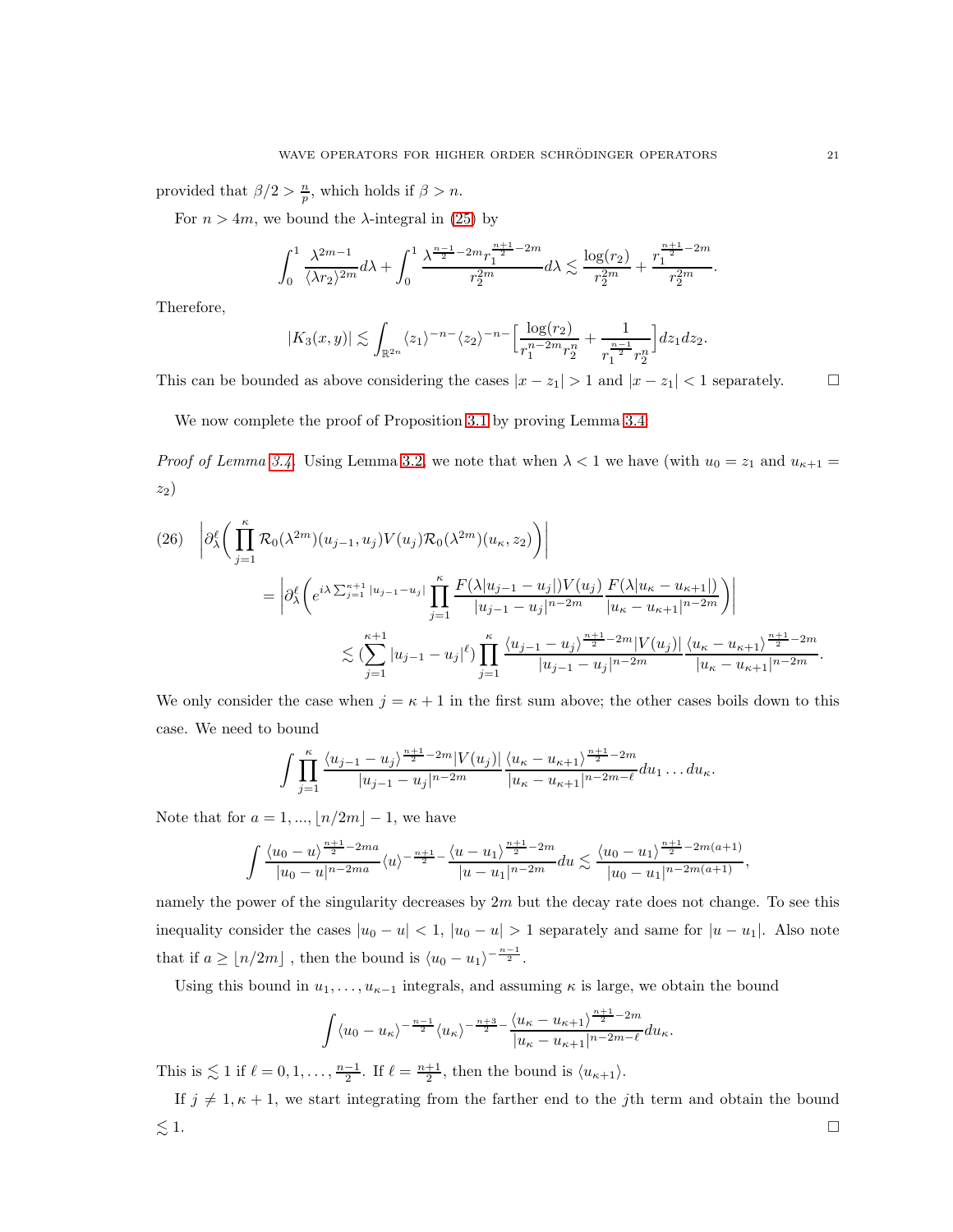provided that  $\beta/2 > \frac{n}{p}$ , which holds if  $\beta > n$ .

For  $n > 4m$ , we bound the  $\lambda$ -integral in [\(25\)](#page-19-0) by

$$
\int_0^1 \frac{\lambda^{2m-1}}{\langle \lambda r_2 \rangle^{2m}} d\lambda + \int_0^1 \frac{\lambda^{\frac{n-1}{2}-2m} r_1^{\frac{n+1}{2}-2m}}{r_2^{2m}} d\lambda \lesssim \frac{\log(r_2)}{r_2^{2m}} + \frac{r_1^{\frac{n+1}{2}-2m}}{r_2^{2m}}.
$$

Therefore,

$$
|K_3(x,y)| \lesssim \int_{\mathbb{R}^{2n}} \langle z_1 \rangle^{-n} \langle z_2 \rangle^{-n} \left[ \frac{\log(r_2)}{r_1^{n-2m} r_2^n} + \frac{1}{r_1^{\frac{n-1}{2}} r_2^n} \right] dz_1 dz_2.
$$

This can be bounded as above considering the cases  $|x - z_1| > 1$  and  $|x - z_1| < 1$  separately.  $\Box$ 

We now complete the proof of Proposition [3.1](#page-14-1) by proving Lemma [3.4:](#page-17-0)

*Proof of Lemma [3.4.](#page-17-0)* Using Lemma [3.2,](#page-15-0) we note that when  $\lambda < 1$  we have (with  $u_0 = z_1$  and  $u_{\kappa+1} =$  $z_2)$ 

$$
(26) \quad \left| \partial_{\lambda}^{\ell} \left( \prod_{j=1}^{\kappa} \mathcal{R}_{0}(\lambda^{2m})(u_{j-1}, u_{j}) V(u_{j}) \mathcal{R}_{0}(\lambda^{2m})(u_{\kappa}, z_{2}) \right) \right|
$$
\n
$$
= \left| \partial_{\lambda}^{\ell} \left( e^{i\lambda \sum_{j=1}^{\kappa+1} |u_{j-1} - u_{j}|} \prod_{j=1}^{\kappa} \frac{F(\lambda |u_{j-1} - u_{j}|) V(u_{j})}{|u_{j-1} - u_{j}|^{n-2m}} \frac{F(\lambda |u_{\kappa} - u_{\kappa+1}|)}{|u_{\kappa} - u_{\kappa+1}|^{n-2m}} \right) \right|
$$
\n
$$
\lesssim \left( \sum_{j=1}^{\kappa+1} |u_{j-1} - u_{j}|^{\ell} \right) \prod_{j=1}^{\kappa} \frac{\left\langle u_{j-1} - u_{j} \right\rangle^{\frac{n+1}{2} - 2m} |V(u_{j})|}{|u_{j-1} - u_{j}|^{n-2m}} \frac{\left\langle u_{\kappa} - u_{\kappa+1} \right\rangle^{\frac{n+1}{2} - 2m}}{|u_{\kappa} - u_{\kappa+1}|^{n-2m}}
$$

We only consider the case when  $j = \kappa + 1$  in the first sum above; the other cases boils down to this case. We need to bound

$$
\int \prod_{j=1}^{\kappa} \frac{\langle u_{j-1} - u_j \rangle^{\frac{n+1}{2} - 2m} |V(u_j)|}{|u_{j-1} - u_j|^{n-2m}} \frac{\langle u_{\kappa} - u_{\kappa+1} \rangle^{\frac{n+1}{2} - 2m}}{|u_{\kappa} - u_{\kappa+1}|^{n-2m-\ell}} du_1 \dots du_{\kappa}.
$$

Note that for  $a = 1, ..., \lfloor n/2m \rfloor - 1$ , we have

$$
\int \frac{\langle u_0 - u \rangle^{\frac{n+1}{2} - 2ma}}{|u_0 - u|^{n-2ma}} \langle u \rangle^{-\frac{n+1}{2} - \frac{\langle u - u_1 \rangle^{\frac{n+1}{2} - 2m}}{|u - u_1|^{n-2m}} du \lesssim \frac{\langle u_0 - u_1 \rangle^{\frac{n+1}{2} - 2m(a+1)}}{|u_0 - u_1|^{n-2m(a+1)}},
$$

namely the power of the singularity decreases by  $2m$  but the decay rate does not change. To see this inequality consider the cases  $|u_0 - u| < 1$ ,  $|u_0 - u| > 1$  separately and same for  $|u - u_1|$ . Also note that if  $a \geq \lfloor n/2m \rfloor$ , then the bound is  $\langle u_0 - u_1 \rangle^{-\frac{n-1}{2}}$ .

Using this bound in  $u_1, \ldots, u_{\kappa-1}$  integrals, and assuming  $\kappa$  is large, we obtain the bound

$$
\int \langle u_0 - u_\kappa \rangle^{-\frac{n-1}{2}} \langle u_\kappa \rangle^{-\frac{n+3}{2}} \frac{\langle u_\kappa - u_{\kappa+1} \rangle^{\frac{n+1}{2}-2m}}{|u_\kappa - u_{\kappa+1}|^{n-2m-\ell}} du_\kappa.
$$

This is  $\lesssim 1$  if  $\ell = 0, 1, \ldots, \frac{n-1}{2}$ . If  $\ell = \frac{n+1}{2}$ , then the bound is  $\langle u_{\kappa+1} \rangle$ .

If  $j \neq 1, \kappa + 1$ , we start integrating from the farther end to the jth term and obtain the bound  $\lesssim 1.$ 

.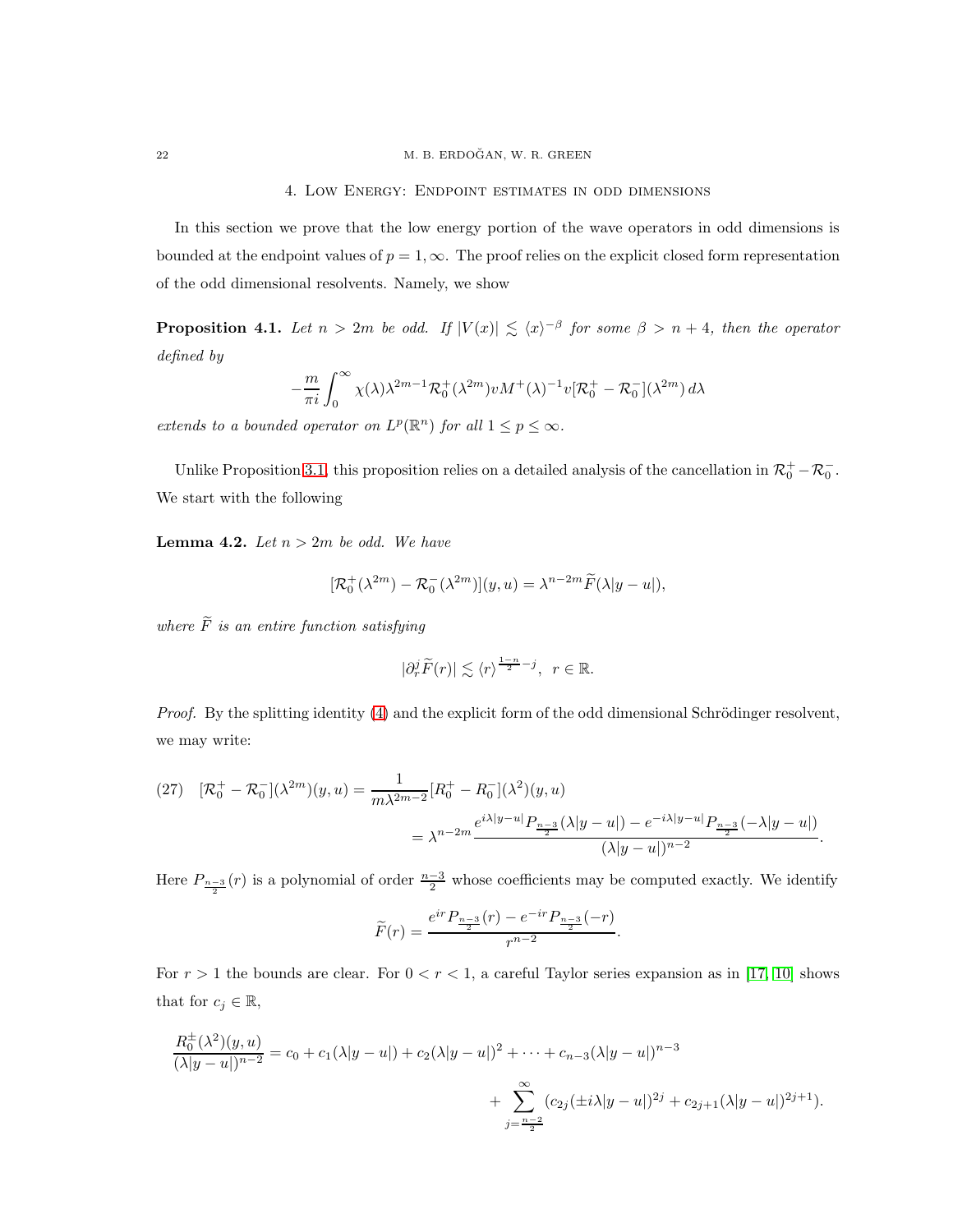### 4. Low Energy: Endpoint estimates in odd dimensions

<span id="page-21-0"></span>In this section we prove that the low energy portion of the wave operators in odd dimensions is bounded at the endpoint values of  $p = 1, \infty$ . The proof relies on the explicit closed form representation of the odd dimensional resolvents. Namely, we show

**Proposition 4.1.** Let  $n > 2m$  be odd. If  $|V(x)| \le \langle x \rangle^{-\beta}$  for some  $\beta > n + 4$ , then the operator defined by

$$
-\frac{m}{\pi i} \int_0^\infty \chi(\lambda) \lambda^{2m-1} \mathcal{R}_0^+(\lambda^{2m}) v M^+(\lambda)^{-1} v [\mathcal{R}_0^+ - \mathcal{R}_0^-](\lambda^{2m}) d\lambda
$$

extends to a bounded operator on  $L^p(\mathbb{R}^n)$  for all  $1 \leq p \leq \infty$ .

Unlike Proposition [3.1,](#page-14-1) this proposition relies on a detailed analysis of the cancellation in  $\mathcal{R}_0^+$  –  $\mathcal{R}_0^-$ . We start with the following

<span id="page-21-1"></span>**Lemma 4.2.** Let  $n > 2m$  be odd. We have

$$
[\mathcal{R}_0^+(\lambda^{2m}) - \mathcal{R}_0^-(\lambda^{2m})](y, u) = \lambda^{n-2m}\widetilde{F}(\lambda|y - u|),
$$

where  $\widetilde{F}$  is an entire function satisfying

$$
|\partial_r^j \widetilde{F}(r)| \lesssim \langle r \rangle^{\frac{1-n}{2}-j}, \ \ r \in \mathbb{R}.
$$

*Proof.* By the splitting identity  $(4)$  and the explicit form of the odd dimensional Schrödinger resolvent, we may write:

<span id="page-21-2"></span>
$$
(27) \quad [\mathcal{R}_0^+ - \mathcal{R}_0^-](\lambda^{2m})(y, u) = \frac{1}{m\lambda^{2m-2}} [R_0^+ - R_0^-](\lambda^2)(y, u)
$$
  

$$
= \lambda^{n-2m} \frac{e^{i\lambda|y-u|} P_{\frac{n-3}{2}}(\lambda|y-u|) - e^{-i\lambda|y-u|} P_{\frac{n-3}{2}}(-\lambda|y-u|)}{(\lambda|y-u|)^{n-2}}.
$$

Here  $P_{\frac{n-3}{2}}(r)$  is a polynomial of order  $\frac{n-3}{2}$  whose coefficients may be computed exactly. We identify

$$
\widetilde{F}(r) = \frac{e^{ir}P_{\frac{n-3}{2}}(r) - e^{-ir}P_{\frac{n-3}{2}}(-r)}{r^{n-2}}.
$$

For  $r > 1$  the bounds are clear. For  $0 < r < 1$ , a careful Taylor series expansion as in [\[17,](#page-33-19) [10\]](#page-33-20) shows that for  $c_j \in \mathbb{R}$ ,

$$
\frac{R_0^{\pm}(\lambda^2)(y, u)}{(\lambda|y - u|)^{n-2}} = c_0 + c_1(\lambda|y - u|) + c_2(\lambda|y - u|)^2 + \dots + c_{n-3}(\lambda|y - u|)^{n-3} + \sum_{j = \frac{n-2}{2}}^{\infty} (c_{2j}(\pm i\lambda|y - u|)^{2j} + c_{2j+1}(\lambda|y - u|)^{2j+1}).
$$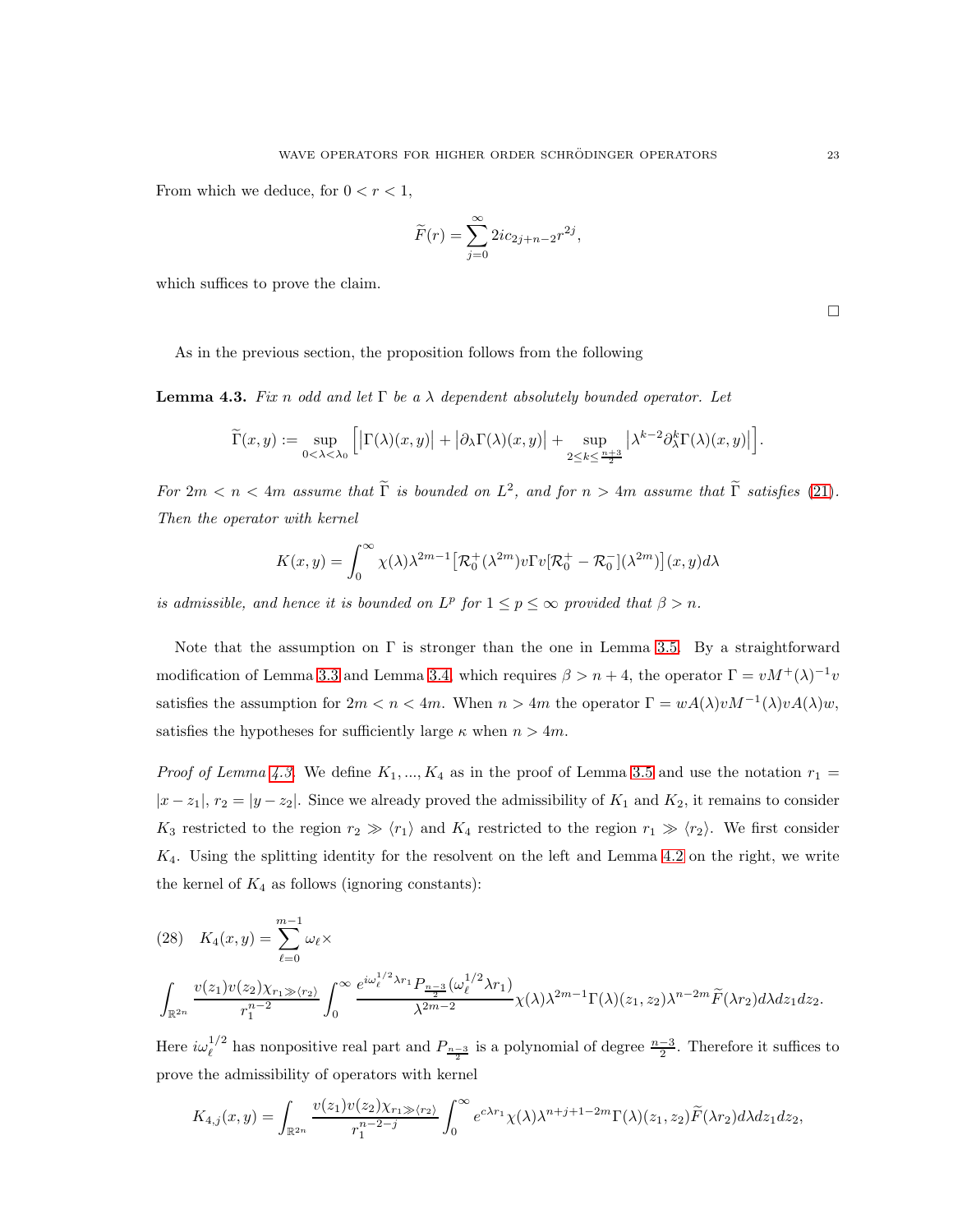From which we deduce, for  $0 < r < 1$ ,

$$
\widetilde{F}(r) = \sum_{j=0}^{\infty} 2ic_{2j+n-2}r^{2j},
$$

which suffices to prove the claim.

 $\Box$ 

As in the previous section, the proposition follows from the following

<span id="page-22-0"></span>**Lemma 4.3.** Fix n odd and let  $\Gamma$  be a  $\lambda$  dependent absolutely bounded operator. Let

$$
\widetilde{\Gamma}(x,y) := \sup_{0 < \lambda < \lambda_0} \left[ \left| \Gamma(\lambda)(x,y) \right| + \left| \partial_{\lambda} \Gamma(\lambda)(x,y) \right| + \sup_{2 \le k \le \frac{n+3}{2}} \left| \lambda^{k-2} \partial_{\lambda}^{k} \Gamma(\lambda)(x,y) \right| \right].
$$

For  $2m < n < 4m$  assume that  $\tilde{\Gamma}$  is bounded on  $L^2$ , and for  $n > 4m$  assume that  $\tilde{\Gamma}$  satisfies [\(21\)](#page-18-0). Then the operator with kernel

$$
K(x,y) = \int_0^\infty \chi(\lambda) \lambda^{2m-1} \left[ \mathcal{R}_0^+(\lambda^{2m}) v \Gamma v [\mathcal{R}_0^+ - \mathcal{R}_0^-](\lambda^{2m}) \right] (x,y) d\lambda
$$

is admissible, and hence it is bounded on  $L^p$  for  $1 \leq p \leq \infty$  provided that  $\beta > n$ .

Note that the assumption on  $\Gamma$  is stronger than the one in Lemma [3.5.](#page-18-3) By a straightforward modification of Lemma [3.3](#page-15-1) and Lemma [3.4,](#page-17-0) which requires  $\beta > n+4$ , the operator  $\Gamma = vM^+(\lambda)^{-1}v$ satisfies the assumption for  $2m < n < 4m$ . When  $n > 4m$  the operator  $\Gamma = wA(\lambda)vM^{-1}(\lambda)vA(\lambda)w$ , satisfies the hypotheses for sufficiently large  $\kappa$  when  $n > 4m$ .

*Proof of Lemma [4.3.](#page-22-0)* We define  $K_1, ..., K_4$  as in the proof of Lemma [3.5](#page-18-3) and use the notation  $r_1 =$  $|x - z_1|, r_2 = |y - z_2|$ . Since we already proved the admissibility of  $K_1$  and  $K_2$ , it remains to consider K<sub>3</sub> restricted to the region  $r_2 \gg \langle r_1 \rangle$  and K<sub>4</sub> restricted to the region  $r_1 \gg \langle r_2 \rangle$ . We first consider  $K<sub>4</sub>$ . Using the splitting identity for the resolvent on the left and Lemma [4.2](#page-21-1) on the right, we write the kernel of  $K_4$  as follows (ignoring constants):

<span id="page-22-1"></span>
$$
(28) \quad K_4(x,y) = \sum_{\ell=0}^{m-1} \omega_{\ell} \times
$$
\n
$$
\int_{\mathbb{R}^{2n}} \frac{v(z_1)v(z_2)\chi_{r_1\gg\langle r_2\rangle}}{r_1^{n-2}} \int_0^{\infty} \frac{e^{i\omega_{\ell}^{1/2}\lambda r_1} P_{\frac{n-3}{2}}(\omega_{\ell}^{1/2}\lambda r_1)}{\lambda^{2m-2}} \chi(\lambda)\lambda^{2m-1} \Gamma(\lambda)(z_1,z_2)\lambda^{n-2m} \widetilde{F}(\lambda r_2) d\lambda dz_1 dz_2.
$$

Here  $i\omega_{\ell}^{1/2}$  has nonpositive real part and  $P_{\frac{n-3}{2}}$  is a polynomial of degree  $\frac{n-3}{2}$ . Therefore it suffices to prove the admissibility of operators with kernel

$$
K_{4,j}(x,y) = \int_{\mathbb{R}^{2n}} \frac{v(z_1)v(z_2)\chi_{r_1\gg\langle r_2\rangle}}{r_1^{n-2-j}} \int_0^\infty e^{c\lambda r_1} \chi(\lambda) \lambda^{n+j+1-2m} \Gamma(\lambda)(z_1,z_2) \widetilde{F}(\lambda r_2) d\lambda dz_1 dz_2,
$$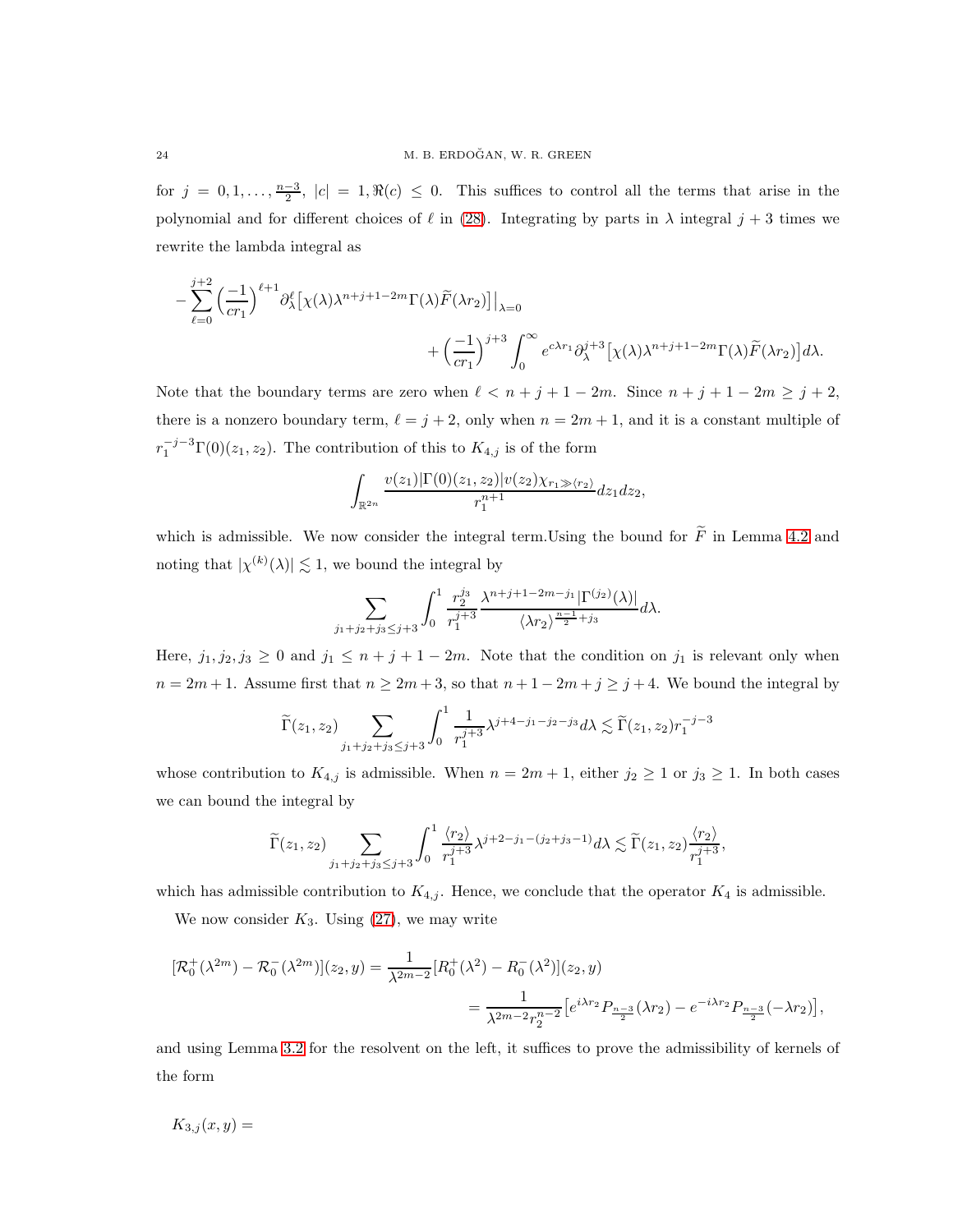for  $j = 0, 1, \ldots, \frac{n-3}{2}, |c| = 1, \Re(c) \leq 0$ . This suffices to control all the terms that arise in the polynomial and for different choices of  $\ell$  in [\(28\)](#page-22-1). Integrating by parts in  $\lambda$  integral  $j + 3$  times we rewrite the lambda integral as

$$
-\sum_{\ell=0}^{j+2} \left(\frac{-1}{cr_1}\right)^{\ell+1} \partial_{\lambda}^{\ell} \left[\chi(\lambda)\lambda^{n+j+1-2m}\Gamma(\lambda)\widetilde{F}(\lambda r_2)\right]\Big|_{\lambda=0} + \left(\frac{-1}{cr_1}\right)^{j+3} \int_0^{\infty} e^{c\lambda r_1} \partial_{\lambda}^{j+3} \left[\chi(\lambda)\lambda^{n+j+1-2m}\Gamma(\lambda)\widetilde{F}(\lambda r_2)\right] d\lambda.
$$

Note that the boundary terms are zero when  $\ell < n + j + 1 - 2m$ . Since  $n + j + 1 - 2m \ge j + 2$ , there is a nonzero boundary term,  $\ell = j + 2$ , only when  $n = 2m + 1$ , and it is a constant multiple of  $r_1^{-j-3} \Gamma(0)(z_1, z_2)$ . The contribution of this to  $K_{4,j}$  is of the form

$$
\int_{\mathbb{R}^{2n}} \frac{v(z_1)|\Gamma(0)(z_1,z_2)|v(z_2)\chi_{r_1\gg\langle r_2\rangle}}{r_1^{n+1}}dz_1dz_2,
$$

which is admissible. We now consider the integral term. Using the bound for  $\widetilde{F}$  in Lemma [4.2](#page-21-1) and noting that  $|\chi^{(k)}(\lambda)| \lesssim 1$ , we bound the integral by

$$
\sum_{j_1+j_2+j_3\leq j+3} \int_0^1 \frac{r_2^{j_3}}{r_1^{j+3}} \frac{\lambda^{n+j+1-2m-j_1} |\Gamma^{(j_2)}(\lambda)|}{\langle \lambda r_2 \rangle^{\frac{n-1}{2}+j_3}} d\lambda.
$$

Here,  $j_1, j_2, j_3 \ge 0$  and  $j_1 \le n + j + 1 - 2m$ . Note that the condition on  $j_1$  is relevant only when  $n = 2m + 1$ . Assume first that  $n \geq 2m + 3$ , so that  $n + 1 - 2m + j \geq j + 4$ . We bound the integral by

$$
\widetilde{\Gamma}(z_1, z_2) \sum_{j_1+j_2+j_3 \le j+3} \int_0^1 \frac{1}{r_1^{j+3}} \lambda^{j+4-j_1-j_2-j_3} d\lambda \lesssim \widetilde{\Gamma}(z_1, z_2) r_1^{-j-3}
$$

whose contribution to  $K_{4,j}$  is admissible. When  $n = 2m + 1$ , either  $j_2 \geq 1$  or  $j_3 \geq 1$ . In both cases we can bound the integral by

$$
\widetilde{\Gamma}(z_1, z_2) \sum_{j_1+j_2+j_3 \leq j+3} \int_0^1 \frac{\langle r_2 \rangle}{r_1^{j+3}} \lambda^{j+2-j_1-(j_2+j_3-1)} d\lambda \lesssim \widetilde{\Gamma}(z_1, z_2) \frac{\langle r_2 \rangle}{r_1^{j+3}},
$$

which has admissible contribution to  $K_{4,j}$ . Hence, we conclude that the operator  $K_4$  is admissible.

We now consider  $K_3$ . Using  $(27)$ , we may write

$$
[\mathcal{R}_0^+(\lambda^{2m}) - \mathcal{R}_0^-(\lambda^{2m})](z_2, y) = \frac{1}{\lambda^{2m-2}} [R_0^+(\lambda^2) - R_0^-(\lambda^2)](z_2, y)
$$
  
= 
$$
\frac{1}{\lambda^{2m-2}r_2^{n-2}} [e^{i\lambda r_2} P_{\frac{n-3}{2}}(\lambda r_2) - e^{-i\lambda r_2} P_{\frac{n-3}{2}}(-\lambda r_2)],
$$

and using Lemma [3.2](#page-15-0) for the resolvent on the left, it suffices to prove the admissibility of kernels of the form

$$
K_{3,j}(x,y) =
$$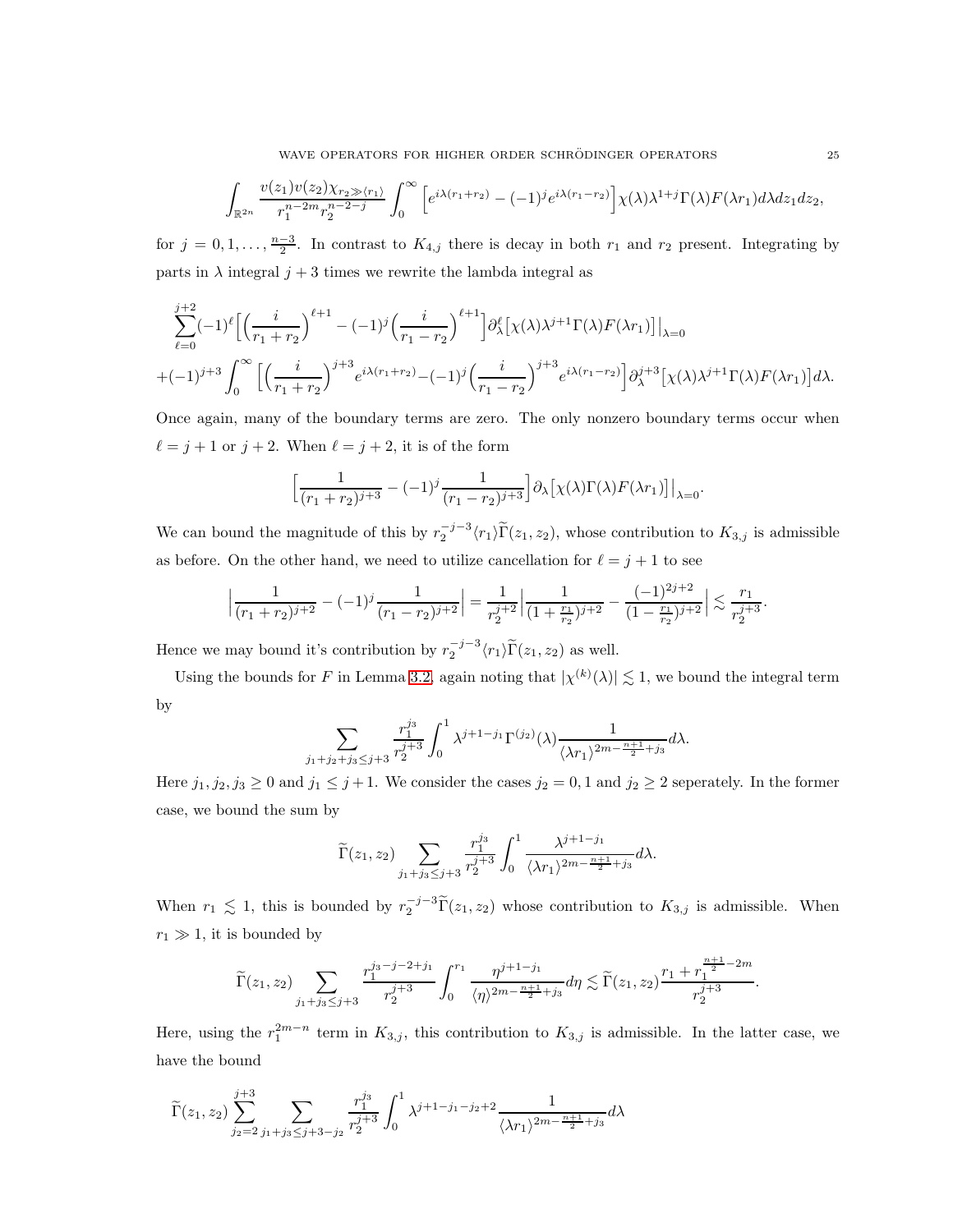$$
\int_{\mathbb{R}^{2n}} \frac{v(z_1)v(z_2)\chi_{r_2\gg\langle r_1\rangle}}{r_1^{n-2m}r_2^{n-2-j}} \int_0^\infty \Big[e^{i\lambda(r_1+r_2)} - (-1)^j e^{i\lambda(r_1-r_2)}\Big] \chi(\lambda)\lambda^{1+j} \Gamma(\lambda) F(\lambda r_1) d\lambda dz_1 dz_2,
$$

for  $j = 0, 1, \ldots, \frac{n-3}{2}$ . In contrast to  $K_{4,j}$  there is decay in both  $r_1$  and  $r_2$  present. Integrating by parts in  $\lambda$  integral  $j + 3$  times we rewrite the lambda integral as

$$
\sum_{\ell=0}^{j+2}(-1)^{\ell}\Big[\Big(\frac{i}{r_1+r_2}\Big)^{\ell+1}-(-1)^j\Big(\frac{i}{r_1-r_2}\Big)^{\ell+1}\Big]\partial_{\lambda}^{\ell}[\chi(\lambda)\lambda^{j+1}\Gamma(\lambda)F(\lambda r_1)]\Big|_{\lambda=0}
$$
  
 
$$
+(-1)^{j+3}\int_0^{\infty}\Big[\Big(\frac{i}{r_1+r_2}\Big)^{j+3}e^{i\lambda(r_1+r_2)}-(-1)^j\Big(\frac{i}{r_1-r_2}\Big)^{j+3}e^{i\lambda(r_1-r_2)}\Big]\partial_{\lambda}^{j+3}[\chi(\lambda)\lambda^{j+1}\Gamma(\lambda)F(\lambda r_1)]d\lambda.
$$

Once again, many of the boundary terms are zero. The only nonzero boundary terms occur when  $\ell = j + 1$  or  $j + 2$ . When  $\ell = j + 2$ , it is of the form

$$
\left[\frac{1}{(r_1+r_2)^{j+3}}-(-1)^j\frac{1}{(r_1-r_2)^{j+3}}\right]\partial_\lambda[\chi(\lambda)\Gamma(\lambda)F(\lambda r_1)]\big|_{\lambda=0}.
$$

We can bound the magnitude of this by  $r_2^{-j-3}\langle r_1 \rangle \tilde{\Gamma}(z_1, z_2)$ , whose contribution to  $K_{3,j}$  is admissible as before. On the other hand, we need to utilize cancellation for  $\ell = j + 1$  to see

$$
\left|\frac{1}{(r_1+r_2)^{j+2}}-(-1)^j\frac{1}{(r_1-r_2)^{j+2}}\right|=\frac{1}{r_2^{j+2}}\left|\frac{1}{(1+\frac{r_1}{r_2})^{j+2}}-\frac{(-1)^{2j+2}}{(1-\frac{r_1}{r_2})^{j+2}}\right|\lesssim \frac{r_1}{r_2^{j+3}}.
$$

Hence we may bound it's contribution by  $r_2^{-j-3}\langle r_1 \rangle \widetilde{\Gamma}(z_1, z_2)$  as well.

Using the bounds for F in Lemma [3.2,](#page-15-0) again noting that  $|\chi^{(k)}(\lambda)| \lesssim 1$ , we bound the integral term by

$$
\sum_{j_1+j_2+j_3\leq j+3} \frac{r_1^{j_3}}{r_2^{j+3}} \int_0^1 \lambda^{j+1-j_1} \Gamma^{(j_2)}(\lambda) \frac{1}{\langle \lambda r_1 \rangle^{2m-\frac{n+1}{2}+j_3}} d\lambda.
$$

Here  $j_1, j_2, j_3 \ge 0$  and  $j_1 \le j+1$ . We consider the cases  $j_2 = 0, 1$  and  $j_2 \ge 2$  seperately. In the former case, we bound the sum by

$$
\widetilde{\Gamma}(z_1, z_2) \sum_{j_1+j_3 \leq j+3} \frac{r_1^{j_3}}{r_2^{j+3}} \int_0^1 \frac{\lambda^{j+1-j_1}}{\langle \lambda r_1 \rangle^{2m-\frac{n+1}{2}+j_3}} d\lambda.
$$

When  $r_1 \lesssim 1$ , this is bounded by  $r_2^{-j-3} \tilde{\Gamma}(z_1, z_2)$  whose contribution to  $K_{3,j}$  is admissible. When  $r_1 \gg 1$ , it is bounded by

$$
\widetilde{\Gamma}(z_1,z_2) \sum_{j_1+j_3 \leq j+3} \frac{r_1^{j_3-j-2+j_1}}{r_2^{j+3}} \int_0^{r_1} \frac{\eta^{j+1-j_1}}{\langle \eta \rangle^{2m-\frac{n+1}{2}+j_3}} d\eta \lesssim \widetilde{\Gamma}(z_1,z_2) \frac{r_1+r_1^{\frac{n+1}{2}-2m}}{r_2^{j+3}}.
$$

Here, using the  $r_1^{2m-n}$  term in  $K_{3,j}$ , this contribution to  $K_{3,j}$  is admissible. In the latter case, we have the bound

$$
\widetilde{\Gamma}(z_1, z_2) \sum_{j_2=2}^{j+3} \sum_{j_1+j_3 \leq j+3-j_2} \frac{r_1^{j_3}}{r_2^{j+3}} \int_0^1 \lambda^{j+1-j_1-j_2+2} \frac{1}{\langle \lambda r_1 \rangle^{2m-\frac{n+1}{2}+j_3}} d\lambda
$$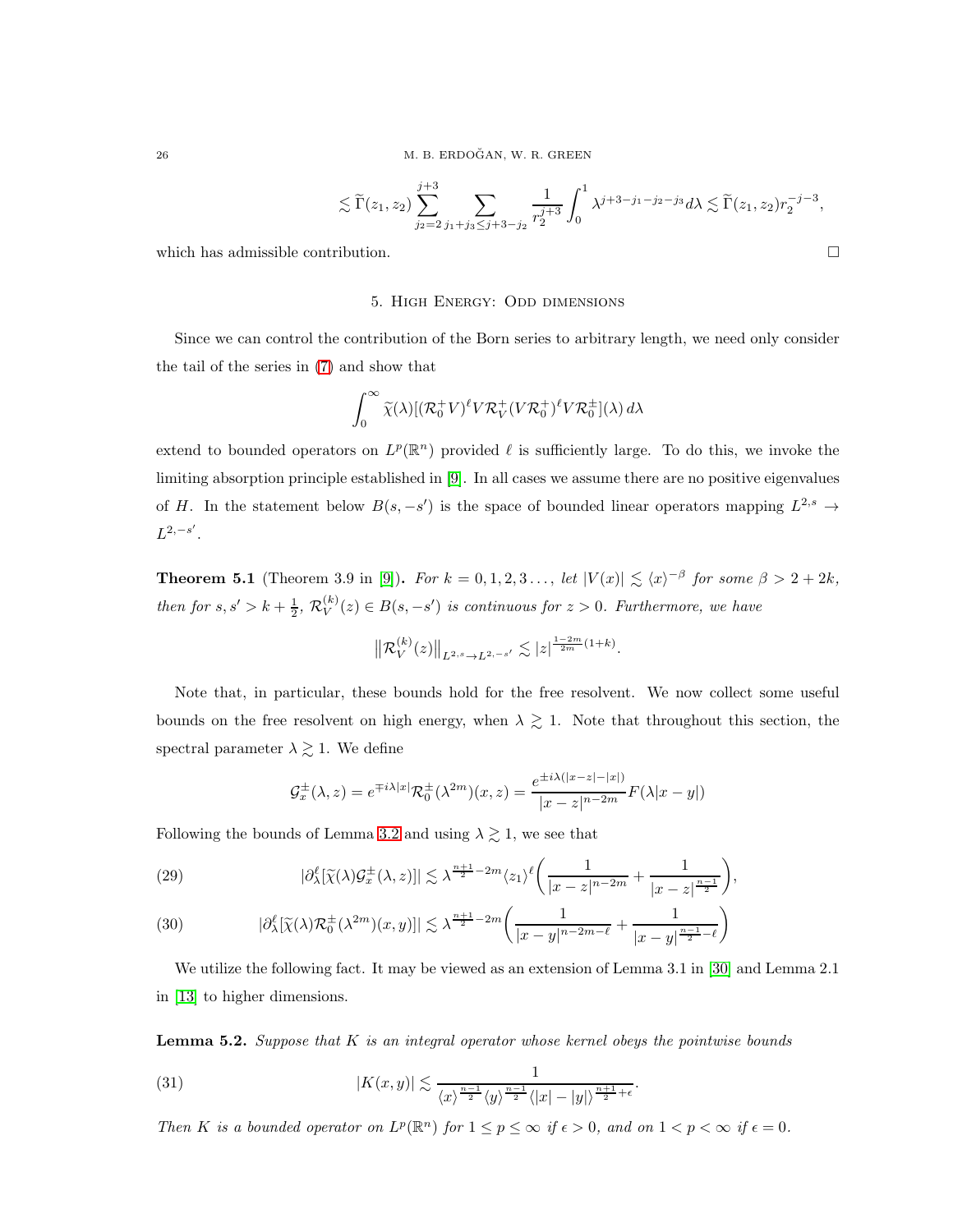$$
\lesssim \widetilde{\Gamma}(z_1,z_2) \sum_{j_2=2}^{j+3} \sum_{j_1+j_3 \leq j+3-j_2} \frac{1}{r_2^{j+3}} \int_0^1 \lambda^{j+3-j_1-j_2-j_3} d\lambda \lesssim \widetilde{\Gamma}(z_1,z_2) r_2^{-j-3},
$$

<span id="page-25-0"></span>which has admissible contribution.

# 5. High Energy: Odd dimensions

Since we can control the contribution of the Born series to arbitrary length, we need only consider the tail of the series in [\(7\)](#page-4-1) and show that

$$
\int_0^\infty \widetilde{\chi}(\lambda) [(\mathcal{R}_0^+ V)^\ell V \mathcal{R}_V^+(V \mathcal{R}_0^+)^\ell V \mathcal{R}_0^\pm](\lambda) d\lambda
$$

extend to bounded operators on  $L^p(\mathbb{R}^n)$  provided  $\ell$  is sufficiently large. To do this, we invoke the limiting absorption principle established in [\[9\]](#page-33-3). In all cases we assume there are no positive eigenvalues of H. In the statement below  $B(s, -s')$  is the space of bounded linear operators mapping  $L^{2,s} \to$  $L^{2,-s'}$ .

<span id="page-25-2"></span>**Theorem 5.1** (Theorem 3.9 in [\[9\]](#page-33-3)). For  $k = 0, 1, 2, 3, \ldots$ , let  $|V(x)| \lesssim \langle x \rangle^{-\beta}$  for some  $\beta > 2 + 2k$ , then for  $s, s' > k + \frac{1}{2}, \mathcal{R}_V^{(k)}$  $V(V)(z) \in B(s, -s')$  is continuous for  $z > 0$ . Furthermore, we have

$$
\big\| \mathcal{R}_V^{(k)}(z) \big\|_{L^{2,s} \to L^{2,-s'}} \lesssim |z|^{\frac{1-2m}{2m}(1+k)}.
$$

Note that, in particular, these bounds hold for the free resolvent. We now collect some useful bounds on the free resolvent on high energy, when  $\lambda \gtrsim 1$ . Note that throughout this section, the spectral parameter  $\lambda \gtrsim 1$ . We define

$$
\mathcal{G}_x^{\pm}(\lambda, z) = e^{\mp i\lambda |x|} \mathcal{R}_0^{\pm}(\lambda^{2m})(x, z) = \frac{e^{\pm i\lambda(|x - z| - |x|)}}{|x - z|^{n - 2m}} F(\lambda |x - y|)
$$

Following the bounds of Lemma [3.2](#page-15-0) and using  $\lambda \gtrsim 1$ , we see that

<span id="page-25-3"></span>(29) 
$$
|\partial_{\lambda}^{\ell}[\widetilde{\chi}(\lambda)\mathcal{G}_{x}^{\pm}(\lambda,z)]| \lesssim \lambda^{\frac{n+1}{2}-2m} \langle z_{1} \rangle^{\ell} \bigg(\frac{1}{|x-z|^{n-2m}} + \frac{1}{|x-z|^{\frac{n-1}{2}}}\bigg),
$$

<span id="page-25-1"></span>(30) 
$$
|\partial_{\lambda}^{\ell}[\widetilde{\chi}(\lambda)\mathcal{R}_{0}^{\pm}(\lambda^{2m})(x,y)]| \lesssim \lambda^{\frac{n+1}{2}-2m} \bigg(\frac{1}{|x-y|^{n-2m-\ell}} + \frac{1}{|x-y|^{\frac{n-1}{2}-\ell}}\bigg)
$$

We utilize the following fact. It may be viewed as an extension of Lemma 3.1 in [\[30\]](#page-33-9) and Lemma 2.1 in [\[13\]](#page-33-4) to higher dimensions.

<span id="page-25-4"></span>**Lemma 5.2.** Suppose that  $K$  is an integral operator whose kernel obeys the pointwise bounds

(31) 
$$
|K(x,y)| \lesssim \frac{1}{\langle x \rangle^{\frac{n-1}{2}} \langle y \rangle^{\frac{n-1}{2}} \langle |x| - |y| \rangle^{\frac{n+1}{2} + \epsilon}}.
$$

Then K is a bounded operator on  $L^p(\mathbb{R}^n)$  for  $1 \leq p \leq \infty$  if  $\epsilon > 0$ , and on  $1 < p < \infty$  if  $\epsilon = 0$ .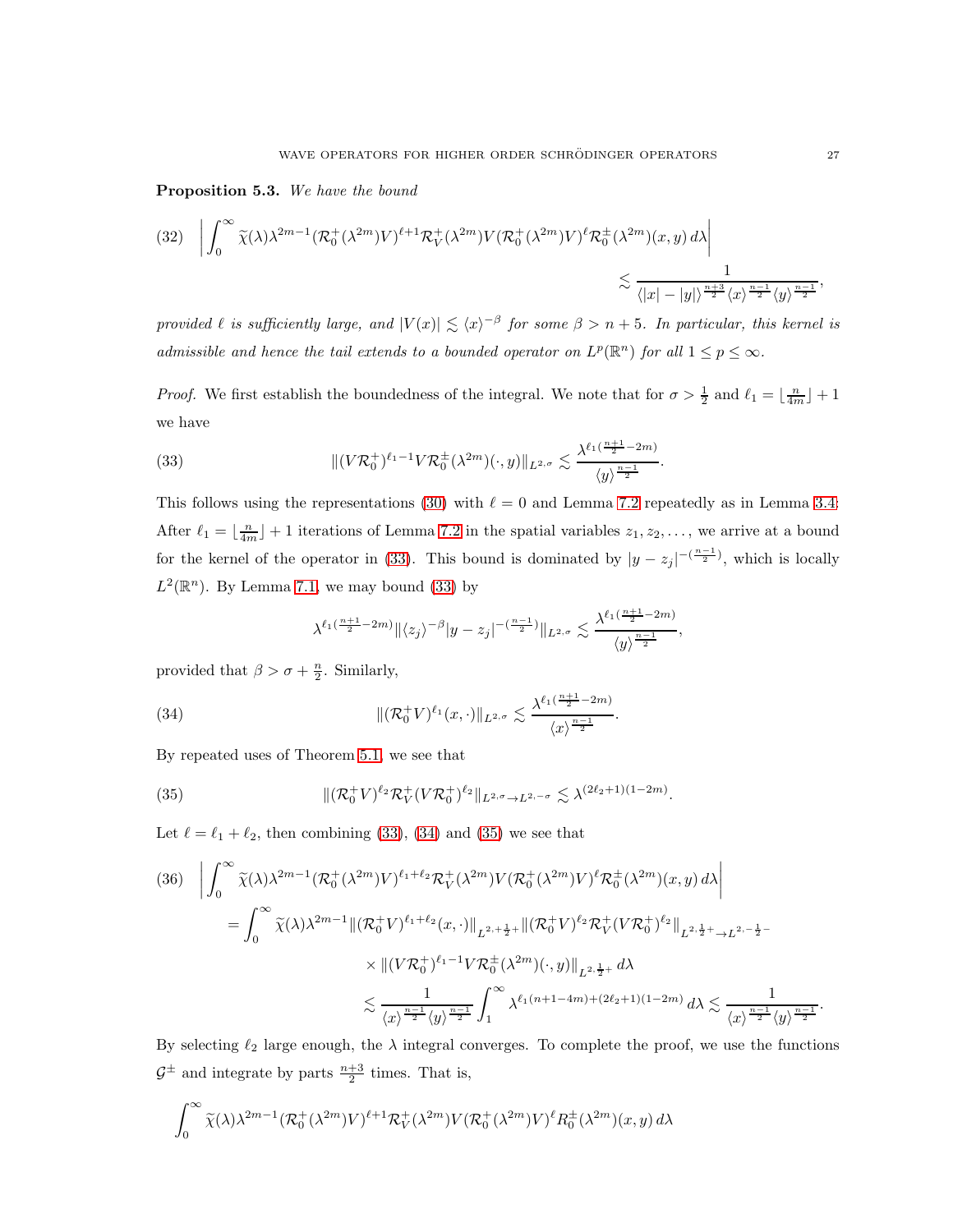# <span id="page-26-4"></span>Proposition 5.3. We have the bound

$$
(32) \quad \left| \int_0^\infty \widetilde{\chi}(\lambda) \lambda^{2m-1} (\mathcal{R}_0^+(\lambda^{2m}) V)^{\ell+1} \mathcal{R}_V^+(\lambda^{2m}) V (\mathcal{R}_0^+(\lambda^{2m}) V)^{\ell} \mathcal{R}_0^{\pm}(\lambda^{2m}) (x, y) d\lambda \right| \leq \frac{1}{\left\langle |x| - |y|\right\rangle^{\frac{n+3}{2}} \left\langle x\right\rangle^{\frac{n-1}{2}} \left\langle y\right\rangle^{\frac{n-1}{2}}},
$$

provided  $\ell$  is sufficiently large, and  $|V(x)| \lesssim \langle x \rangle^{-\beta}$  for some  $\beta > n+5$ . In particular, this kernel is admissible and hence the tail extends to a bounded operator on  $L^p(\mathbb{R}^n)$  for all  $1 \leq p \leq \infty$ .

*Proof.* We first establish the boundedness of the integral. We note that for  $\sigma > \frac{1}{2}$  and  $\ell_1 = \lfloor \frac{n}{4m} \rfloor + 1$ we have

<span id="page-26-0"></span>(33) 
$$
\| (V\mathcal{R}_0^+)^{\ell_1 - 1} V\mathcal{R}_0^{\pm}(\lambda^{2m})(\cdot, y) \|_{L^{2,\sigma}} \lesssim \frac{\lambda^{\ell_1(\frac{n+1}{2} - 2m)}}{\langle y \rangle^{\frac{n-1}{2}}}.
$$

This follows using the representations [\(30\)](#page-25-1) with  $\ell = 0$  and Lemma [7.2](#page-32-6) repeatedly as in Lemma [3.4:](#page-17-0) After  $\ell_1 = \lfloor \frac{n}{4m} \rfloor + 1$  iterations of Lemma [7.2](#page-32-6) in the spatial variables  $z_1, z_2, \ldots$ , we arrive at a bound for the kernel of the operator in [\(33\)](#page-26-0). This bound is dominated by  $|y - z_j|^{-\frac{n-1}{2}}$ , which is locally  $L^2(\mathbb{R}^n)$ . By Lemma [7.1,](#page-32-7) we may bound [\(33\)](#page-26-0) by

$$
\lambda^{\ell_1(\frac{n+1}{2}-2m)}\|\langle z_j\rangle^{-\beta}|y-z_j|^{-(\frac{n-1}{2})}\|_{L^{2,\sigma}}\lesssim \frac{\lambda^{\ell_1(\frac{n+1}{2}-2m)}}{\langle y\rangle^{\frac{n-1}{2}}},
$$

provided that  $\beta > \sigma + \frac{n}{2}$ . Similarly,

<span id="page-26-1"></span>(34) 
$$
\|(\mathcal{R}_0^+ V)^{\ell_1}(x,\cdot)\|_{L^{2,\sigma}} \lesssim \frac{\lambda^{\ell_1(\frac{n+1}{2}-2m)}}{\langle x \rangle^{\frac{n-1}{2}}}.
$$

By repeated uses of Theorem [5.1,](#page-25-2) we see that

<span id="page-26-2"></span>(35) 
$$
\|(\mathcal{R}_0^+ V)^{\ell_2} \mathcal{R}_V^+(V \mathcal{R}_0^+)^{\ell_2}\|_{L^{2,\sigma} \to L^{2,-\sigma}} \lesssim \lambda^{(2\ell_2+1)(1-2m)}.
$$

Let  $\ell = \ell_1 + \ell_2$ , then combining [\(33\)](#page-26-0), [\(34\)](#page-26-1) and [\(35\)](#page-26-2) we see that

<span id="page-26-3"></span>
$$
(36) \quad \left| \int_{0}^{\infty} \widetilde{\chi}(\lambda) \lambda^{2m-1} (\mathcal{R}_{0}^{+}(\lambda^{2m}) V)^{\ell_{1}+\ell_{2}} \mathcal{R}_{V}^{+}(\lambda^{2m}) V (\mathcal{R}_{0}^{+}(\lambda^{2m}) V)^{\ell} \mathcal{R}_{0}^{\pm}(\lambda^{2m}) (x, y) d\lambda \right|
$$
  
\n
$$
= \int_{0}^{\infty} \widetilde{\chi}(\lambda) \lambda^{2m-1} \| (\mathcal{R}_{0}^{+} V)^{\ell_{1}+\ell_{2}} (x, \cdot) \|_{L^{2,+\frac{1}{2}+}} \| (\mathcal{R}_{0}^{+} V)^{\ell_{2}} \mathcal{R}_{V}^{+} (V \mathcal{R}_{0}^{+})^{\ell_{2}} \|_{L^{2, \frac{1}{2}+} \to L^{2, -\frac{1}{2}-}} \\ \times \| (V \mathcal{R}_{0}^{+})^{\ell_{1}-1} V \mathcal{R}_{0}^{\pm}(\lambda^{2m}) (\cdot, y) \|_{L^{2, \frac{1}{2}+}} d\lambda
$$
  
\n
$$
\lesssim \frac{1}{\langle x \rangle^{\frac{n-1}{2}} \langle y \rangle^{\frac{n-1}{2}}} \int_{1}^{\infty} \lambda^{\ell_{1}(n+1-4m)+(2\ell_{2}+1)(1-2m)} d\lambda \lesssim \frac{1}{\langle x \rangle^{\frac{n-1}{2}} \langle y \rangle^{\frac{n-1}{2}}}.
$$

By selecting  $\ell_2$  large enough, the  $\lambda$  integral converges. To complete the proof, we use the functions  $\mathcal{G}^{\pm}$  and integrate by parts  $\frac{n+3}{2}$  times. That is,

$$
\int_0^\infty \widetilde{\chi}(\lambda) \lambda^{2m-1} (\mathcal{R}_0^+(\lambda^{2m}) V)^{\ell+1} \mathcal{R}_V^+(\lambda^{2m}) V (\mathcal{R}_0^+(\lambda^{2m}) V)^{\ell} R_0^{\pm} (\lambda^{2m}) (x, y) d\lambda
$$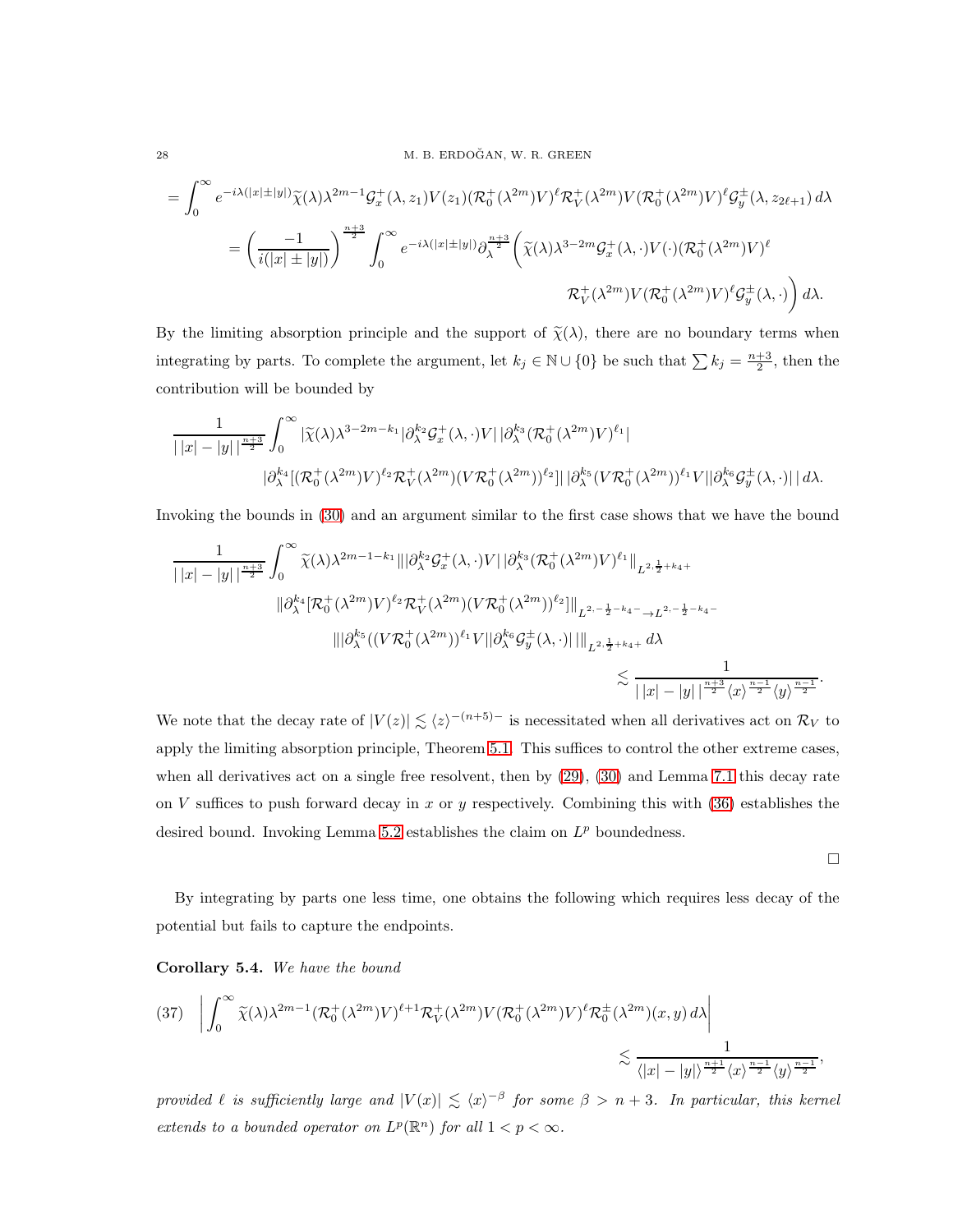$$
= \int_0^\infty e^{-i\lambda(|x|\pm|y|)} \widetilde{\chi}(\lambda) \lambda^{2m-1} \mathcal{G}_x^+(\lambda, z_1) V(z_1) (\mathcal{R}_0^+(\lambda^{2m}) V)^\ell \mathcal{R}_V^+(\lambda^{2m}) V (\mathcal{R}_0^+(\lambda^{2m}) V)^\ell \mathcal{G}_y^{\pm}(\lambda, z_{2\ell+1}) d\lambda
$$
  

$$
= \left(\frac{-1}{i(|x|\pm|y|)}\right)^{\frac{n+3}{2}} \int_0^\infty e^{-i\lambda(|x|\pm|y|)} \partial_\lambda^{\frac{n+3}{2}} \left(\widetilde{\chi}(\lambda) \lambda^{3-2m} \mathcal{G}_x^+(\lambda, \cdot) V(\cdot) (\mathcal{R}_0^+(\lambda^{2m}) V)^\ell \mathcal{G}_y^{\pm}(\lambda, \cdot)\right) d\lambda.
$$

By the limiting absorption principle and the support of  $\tilde{\chi}(\lambda)$ , there are no boundary terms when integrating by parts. To complete the argument, let  $k_j \in \mathbb{N} \cup \{0\}$  be such that  $\sum k_j = \frac{n+3}{2}$ , then the contribution will be bounded by

$$
\frac{1}{\vert\vert x\vert-\vert y\vert\,\vert^{\frac{n+3}{2}}}\int_0^\infty \vert \widetilde{\chi}(\lambda)\lambda^{3-2m-k_1}\vert \partial_{\lambda}^{k_2}\mathcal{G}_x^+(\lambda,\cdot)V\vert\,\vert \partial_{\lambda}^{k_3}(\mathcal{R}_0^+(\lambda^{2m})V)^{\ell_1}\vert \\ \vert \partial_{\lambda}^{k_4}[(\mathcal{R}_0^+(\lambda^{2m})V)^{\ell_2}\mathcal{R}_V^+(\lambda^{2m})(V\mathcal{R}_0^+(\lambda^{2m}))^{\ell_2}]\vert\,\vert \partial_{\lambda}^{k_5}(V\mathcal{R}_0^+(\lambda^{2m}))^{\ell_1}V\vert\,\vert \partial_{\lambda}^{k_6}\mathcal{G}_y^{\pm}(\lambda,\cdot)\vert\,\vert\, d\lambda.
$$

Invoking the bounds in [\(30\)](#page-25-1) and an argument similar to the first case shows that we have the bound

$$
\frac{1}{\left|\left|x\right|-\left|y\right|\right|^{\frac{n+3}{2}}}\int_{0}^{\infty}\widetilde{\chi}(\lambda)\lambda^{2m-1-k_{1}}\||\partial_{\lambda}^{k_{2}}\mathcal{G}_{x}^{+}(\lambda,\cdot)V\||\partial_{\lambda}^{k_{3}}(\mathcal{R}_{0}^{+}(\lambda^{2m})V)^{\ell_{1}}\|_{L^{2,\frac{1}{2}+k_{4}+}}\\ \quad\|\partial_{\lambda}^{k_{4}}[\mathcal{R}_{0}^{+}(\lambda^{2m})V)^{\ell_{2}}\mathcal{R}_{V}^{+}(\lambda^{2m})(V\mathcal{R}_{0}^{+}(\lambda^{2m}))^{\ell_{2}}]\|_{L^{2,-\frac{1}{2}-k_{4}-}\to L^{2,-\frac{1}{2}-k_{4}-}}\\ \quad\|\|\partial_{\lambda}^{k_{5}}((V\mathcal{R}_{0}^{+}(\lambda^{2m}))^{\ell_{1}}V\|\partial_{\lambda}^{k_{6}}\mathcal{G}_{y}^{\pm}(\lambda,\cdot)\|\|_{L^{2,\frac{1}{2}+k_{4}+}}d\lambda\\ \quad\leq \frac{1}{\left|\left|x\right|-\left|y\right|\left|^{\frac{n+3}{2}}\langle x\rangle^{\frac{n-1}{2}}\langle y\rangle^{\frac{n-1}{2}}}\right|.
$$

We note that the decay rate of  $|V(z)| \lesssim \langle z \rangle^{-(n+5)-}$  is necessitated when all derivatives act on  $\mathcal{R}_V$  to apply the limiting absorption principle, Theorem [5.1.](#page-25-2) This suffices to control the other extreme cases, when all derivatives act on a single free resolvent, then by [\(29\)](#page-25-3), [\(30\)](#page-25-1) and Lemma [7.1](#page-32-7) this decay rate on V suffices to push forward decay in x or y respectively. Combining this with  $(36)$  establishes the desired bound. Invoking Lemma [5.2](#page-25-4) establishes the claim on  $L^p$  boundedness.

 $\Box$ 

By integrating by parts one less time, one obtains the following which requires less decay of the potential but fails to capture the endpoints.

Corollary 5.4. We have the bound

$$
(37) \quad \left| \int_0^\infty \widetilde{\chi}(\lambda) \lambda^{2m-1} (\mathcal{R}_0^+(\lambda^{2m}) V)^{\ell+1} \mathcal{R}_V^+(\lambda^{2m}) V (\mathcal{R}_0^+(\lambda^{2m}) V)^{\ell} \mathcal{R}_0^{\pm}(\lambda^{2m}) (x, y) \, d\lambda \right| \leq \frac{1}{\left\langle |x| - |y|\right\rangle^{\frac{n+1}{2}} \left\langle x\right\rangle^{\frac{n-1}{2}} \left\langle y\right\rangle^{\frac{n-1}{2}}},
$$

provided  $\ell$  is sufficiently large and  $|V(x)| \lesssim \langle x \rangle^{-\beta}$  for some  $\beta > n+3$ . In particular, this kernel extends to a bounded operator on  $L^p(\mathbb{R}^n)$  for all  $1 < p < \infty$ .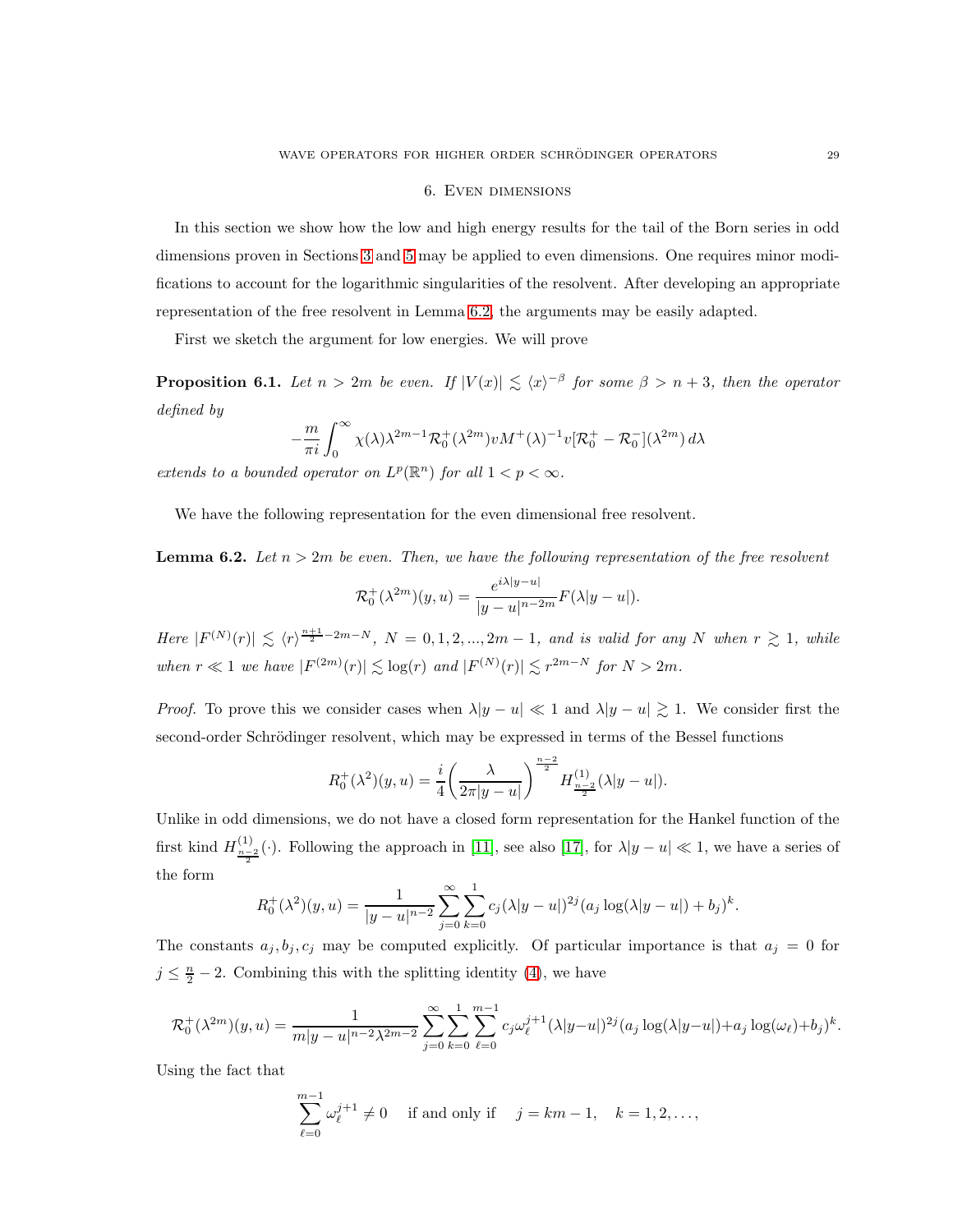### 6. Even dimensions

<span id="page-28-0"></span>In this section we show how the low and high energy results for the tail of the Born series in odd dimensions proven in Sections [3](#page-14-0) and [5](#page-25-0) may be applied to even dimensions. One requires minor modifications to account for the logarithmic singularities of the resolvent. After developing an appropriate representation of the free resolvent in Lemma [6.2,](#page-28-1) the arguments may be easily adapted.

First we sketch the argument for low energies. We will prove

**Proposition 6.1.** Let  $n > 2m$  be even. If  $|V(x)| \le (x)^{-\beta}$  for some  $\beta > n+3$ , then the operator defined by

$$
-\frac{m}{\pi i} \int_0^\infty \chi(\lambda) \lambda^{2m-1} \mathcal{R}_0^+(\lambda^{2m}) v M^+(\lambda)^{-1} v [\mathcal{R}_0^+ - \mathcal{R}_0^-] (\lambda^{2m}) d\lambda
$$

extends to a bounded operator on  $L^p(\mathbb{R}^n)$  for all  $1 < p < \infty$ .

We have the following representation for the even dimensional free resolvent.

<span id="page-28-1"></span>**Lemma 6.2.** Let  $n > 2m$  be even. Then, we have the following representation of the free resolvent

$$
\mathcal{R}_0^+(\lambda^{2m})(y,u) = \frac{e^{i\lambda|y-u|}}{|y-u|^{n-2m}}F(\lambda|y-u|).
$$

Here  $|F^{(N)}(r)| \leq \langle r \rangle^{\frac{n+1}{2}-2m-N}$ ,  $N = 0, 1, 2, ..., 2m-1$ , and is valid for any N when  $r \geq 1$ , while when  $r \ll 1$  we have  $|F^{(2m)}(r)| \lesssim \log(r)$  and  $|F^{(N)}(r)| \lesssim r^{2m-N}$  for  $N > 2m$ .

*Proof.* To prove this we consider cases when  $\lambda |y - u| \ll 1$  and  $\lambda |y - u| \gtrsim 1$ . We consider first the second-order Schrödinger resolvent, which may be expressed in terms of the Bessel functions

$$
R_0^+(\lambda^2)(y,u) = \frac{i}{4} \left( \frac{\lambda}{2\pi |y-u|} \right)^{\frac{n-2}{2}} H_{\frac{n-2}{2}}^{(1)}(\lambda |y-u|).
$$

Unlike in odd dimensions, we do not have a closed form representation for the Hankel function of the first kind  $H_{\frac{n-2}{2}}^{(1)}(.)$ . Following the approach in [\[11\]](#page-33-21), see also [\[17\]](#page-33-19), for  $\lambda |y-u| \ll 1$ , we have a series of the form

$$
R_0^+(\lambda^2)(y,u) = \frac{1}{|y-u|^{n-2}} \sum_{j=0}^{\infty} \sum_{k=0}^1 c_j (\lambda |y-u|)^{2j} (a_j \log(\lambda |y-u|) + b_j)^k.
$$

The constants  $a_j, b_j, c_j$  may be computed explicitly. Of particular importance is that  $a_j = 0$  for  $j \leq \frac{n}{2} - 2$ . Combining this with the splitting identity [\(4\)](#page-3-2), we have

$$
\mathcal{R}_0^+(\lambda^{2m})(y,u) = \frac{1}{m|y-u|^{n-2}\lambda^{2m-2}} \sum_{j=0}^{\infty} \sum_{k=0}^1 \sum_{\ell=0}^{m-1} c_j \omega_{\ell}^{j+1}(\lambda|y-u|)^{2j} (a_j \log(\lambda|y-u|) + a_j \log(\omega_{\ell}) + b_j)^k.
$$

Using the fact that

$$
\sum_{\ell=0}^{m-1} \omega_{\ell}^{j+1} \neq 0 \quad \text{if and only if} \quad j = km - 1, \quad k = 1, 2, \dots,
$$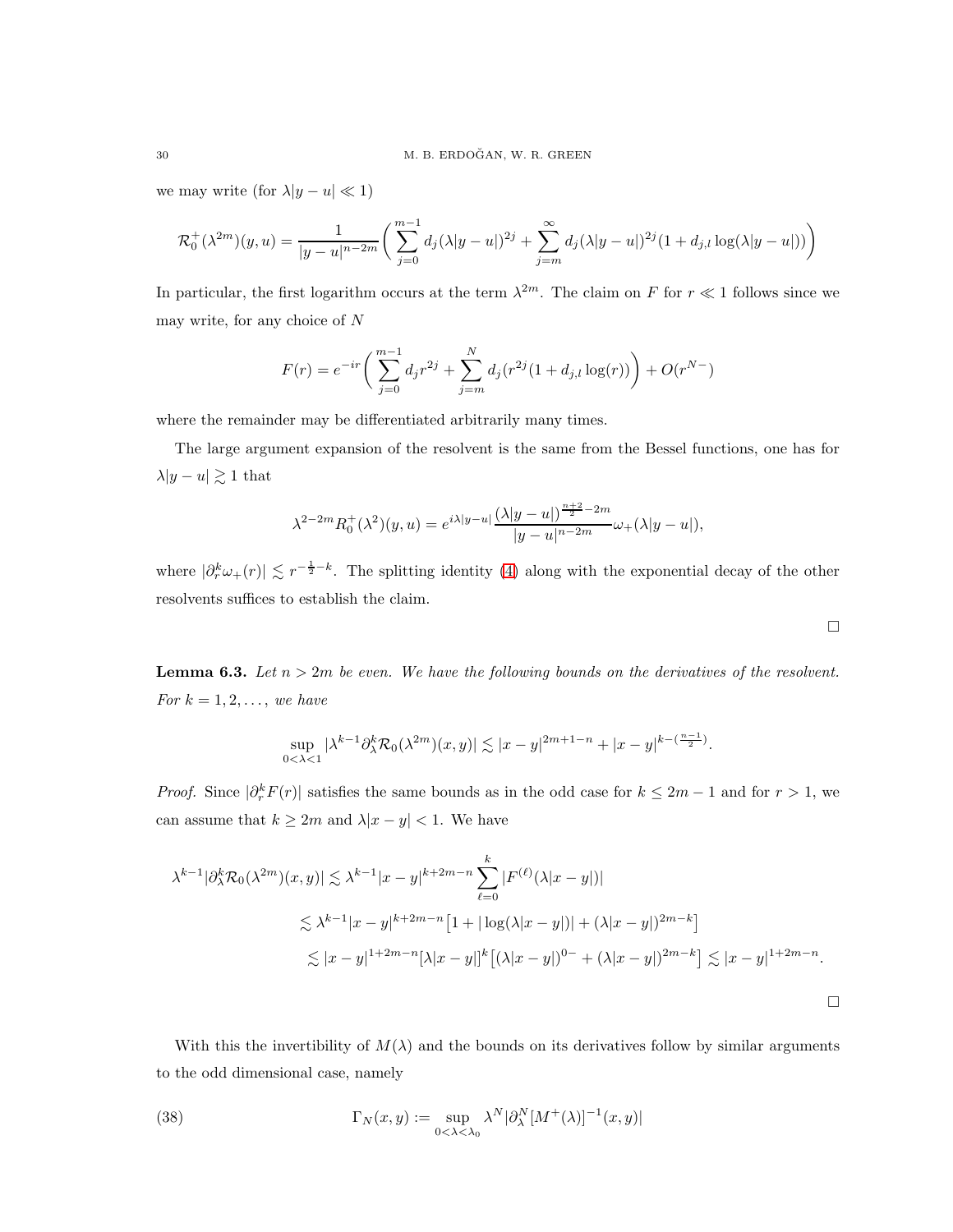we may write (for  $\lambda |y - u| \ll 1$ )

$$
\mathcal{R}_0^+(\lambda^{2m})(y,u) = \frac{1}{|y-u|^{n-2m}} \bigg( \sum_{j=0}^{m-1} d_j(\lambda |y-u|)^{2j} + \sum_{j=m}^{\infty} d_j(\lambda |y-u|)^{2j} (1 + d_{j,l} \log(\lambda |y-u|)) \bigg)
$$

In particular, the first logarithm occurs at the term  $\lambda^{2m}$ . The claim on F for  $r \ll 1$  follows since we may write, for any choice of N

$$
F(r) = e^{-ir} \left( \sum_{j=0}^{m-1} d_j r^{2j} + \sum_{j=m}^{N} d_j (r^{2j} (1 + d_{j,l} \log(r)) \right) + O(r^{N-})
$$

where the remainder may be differentiated arbitrarily many times.

The large argument expansion of the resolvent is the same from the Bessel functions, one has for  $\lambda |y - u| \gtrsim 1$  that

$$
\lambda^{2-2m} R_0^+(\lambda^2)(y, u) = e^{i\lambda |y-u|} \frac{(\lambda |y-u|)^{\frac{n+2}{2}-2m}}{|y-u|^{n-2m}} \omega_+(\lambda |y-u|),
$$

where  $|\partial_r^k\omega_+(r)| \lesssim r^{-\frac{1}{2}-k}$ . The splitting identity [\(4\)](#page-3-2) along with the exponential decay of the other resolvents suffices to establish the claim.

<span id="page-29-0"></span>**Lemma 6.3.** Let  $n > 2m$  be even. We have the following bounds on the derivatives of the resolvent. For  $k = 1, 2, \ldots$ , we have

$$
\sup_{0<\lambda<1} |\lambda^{k-1} \partial_{\lambda}^{k} \mathcal{R}_{0}(\lambda^{2m})(x,y)| \lesssim |x-y|^{2m+1-n} + |x-y|^{k-(\frac{n-1}{2})}.
$$

*Proof.* Since  $|\partial_r^k F(r)|$  satisfies the same bounds as in the odd case for  $k \leq 2m - 1$  and for  $r > 1$ , we can assume that  $k \geq 2m$  and  $\lambda |x - y| < 1$ . We have

$$
\lambda^{k-1} |\partial_{\lambda}^{k} \mathcal{R}_{0}(\lambda^{2m})(x, y)| \lesssim \lambda^{k-1} |x - y|^{k+2m-n} \sum_{\ell=0}^{k} |F^{(\ell)}(\lambda |x - y|)|
$$
  

$$
\lesssim \lambda^{k-1} |x - y|^{k+2m-n} [1 + |\log(\lambda |x - y|)| + (\lambda |x - y|)^{2m-k}]
$$
  

$$
\lesssim |x - y|^{1+2m-n} [\lambda |x - y|]^{k} [(\lambda |x - y|)^{0-} + (\lambda |x - y|)^{2m-k}] \lesssim |x - y|^{1+2m-n}.
$$

With this the invertibility of  $M(\lambda)$  and the bounds on its derivatives follow by similar arguments to the odd dimensional case, namely

(38) 
$$
\Gamma_N(x,y) := \sup_{0 < \lambda < \lambda_0} \lambda^N |\partial_\lambda^N [M^+(\lambda)]^{-1} (x,y)|
$$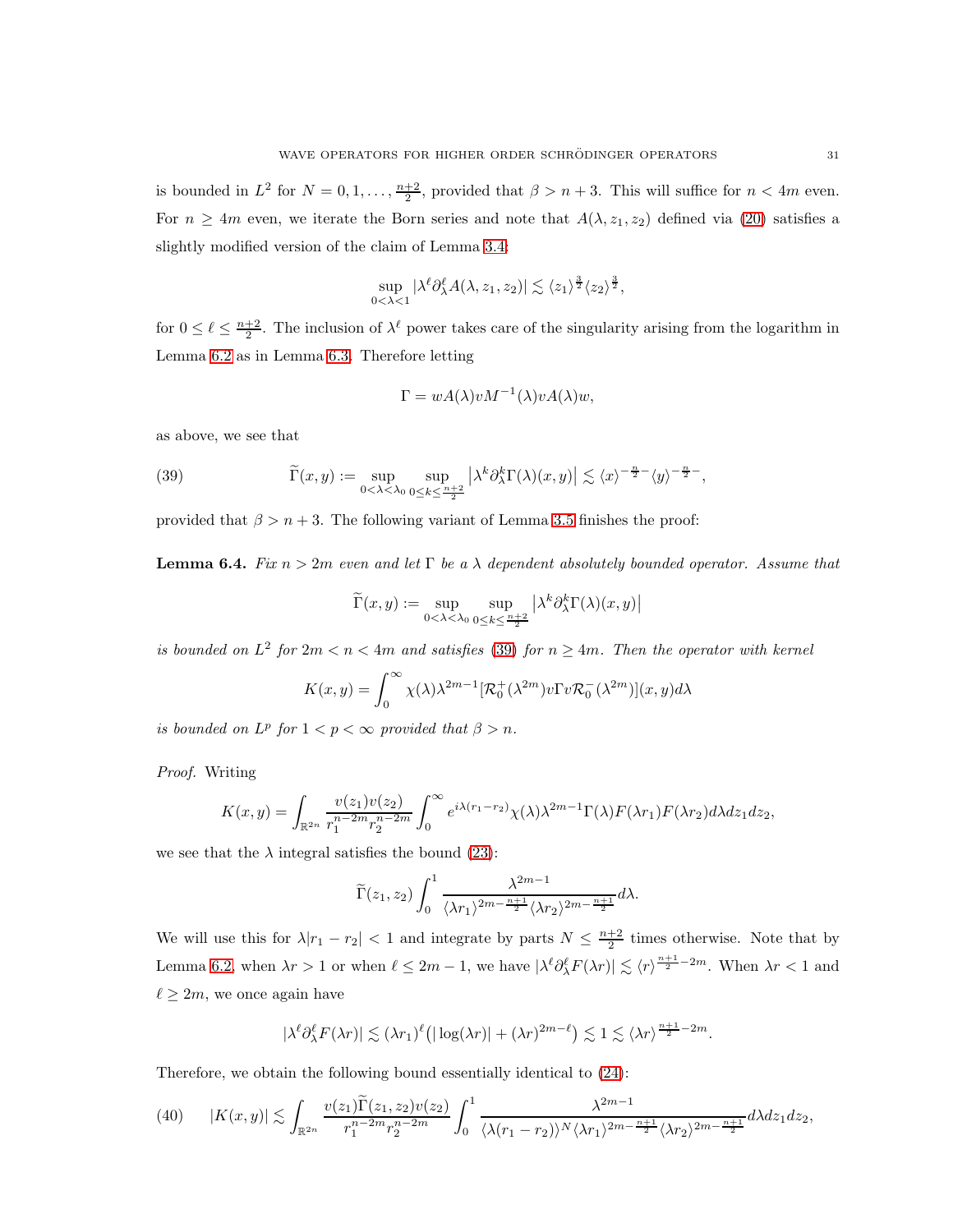is bounded in  $L^2$  for  $N = 0, 1, ..., \frac{n+2}{2}$ , provided that  $\beta > n+3$ . This will suffice for  $n < 4m$  even. For  $n \geq 4m$  even, we iterate the Born series and note that  $A(\lambda, z_1, z_2)$  defined via [\(20\)](#page-17-2) satisfies a slightly modified version of the claim of Lemma [3.4:](#page-17-0)

$$
\sup_{0<\lambda<1} |\lambda^{\ell} \partial_{\lambda}^{\ell} A(\lambda, z_1, z_2)| \lesssim \langle z_1 \rangle^{\frac{3}{2}} \langle z_2 \rangle^{\frac{3}{2}},
$$

for  $0 \leq \ell \leq \frac{n+2}{2}$ . The inclusion of  $\lambda^{\ell}$  power takes care of the singularity arising from the logarithm in Lemma [6.2](#page-28-1) as in Lemma [6.3.](#page-29-0) Therefore letting

<span id="page-30-0"></span>
$$
\Gamma = wA(\lambda)vM^{-1}(\lambda)vA(\lambda)w,
$$

as above, we see that

(39) 
$$
\widetilde{\Gamma}(x,y) := \sup_{0 < \lambda < \lambda_0} \sup_{0 \le k \le \frac{n+2}{2}} \left| \lambda^k \partial_{\lambda}^k \Gamma(\lambda)(x,y) \right| \lesssim \langle x \rangle^{-\frac{n}{2} - \langle y \rangle^{-\frac{n}{2} -}},
$$

provided that  $\beta > n+3$ . The following variant of Lemma [3.5](#page-18-3) finishes the proof:

**Lemma 6.4.** Fix  $n > 2m$  even and let  $\Gamma$  be a  $\lambda$  dependent absolutely bounded operator. Assume that

$$
\widetilde{\Gamma}(x,y):=\sup_{0<\lambda<\lambda_0}\sup_{0\leq k\leq \frac{n+2}{2}}\left|\lambda^k\partial^k_{\lambda}\Gamma(\lambda)(x,y)\right|
$$

is bounded on  $L^2$  for  $2m < n < 4m$  and satisfies [\(39\)](#page-30-0) for  $n \ge 4m$ . Then the operator with kernel

$$
K(x,y) = \int_0^\infty \chi(\lambda) \lambda^{2m-1} [\mathcal{R}_0^+(\lambda^{2m}) v \Gamma v \mathcal{R}_0^-(\lambda^{2m})](x,y) d\lambda
$$

is bounded on  $L^p$  for  $1 < p < \infty$  provided that  $\beta > n$ .

Proof. Writing

$$
K(x,y) = \int_{\mathbb{R}^{2n}} \frac{v(z_1)v(z_2)}{r_1^{n-2m}r_2^{n-2m}} \int_0^\infty e^{i\lambda(r_1-r_2)} \chi(\lambda) \lambda^{2m-1} \Gamma(\lambda) F(\lambda r_1) F(\lambda r_2) d\lambda dz_1 dz_2,
$$

we see that the  $\lambda$  integral satisfies the bound [\(23\)](#page-18-1):

$$
\widetilde{\Gamma}(z_1, z_2) \int_0^1 \frac{\lambda^{2m-1}}{\langle \lambda r_1 \rangle^{2m - \frac{n+1}{2}} \langle \lambda r_2 \rangle^{2m - \frac{n+1}{2}}} d\lambda.
$$

We will use this for  $\lambda |r_1 - r_2| < 1$  and integrate by parts  $N \leq \frac{n+2}{2}$  times otherwise. Note that by Lemma [6.2,](#page-28-1) when  $\lambda r > 1$  or when  $\ell \leq 2m-1$ , we have  $|\lambda^{\ell} \partial_{\lambda}^{\ell} F(\lambda r)| \lesssim \langle r \rangle^{\frac{n+1}{2}-2m}$ . When  $\lambda r < 1$  and  $\ell \geq 2m$ , we once again have

$$
|\lambda^{\ell}\partial_{\lambda}^{\ell}F(\lambda r)| \lesssim (\lambda r_1)^{\ell} (|\log(\lambda r)| + (\lambda r)^{2m-\ell}) \lesssim 1 \lesssim \langle \lambda r \rangle^{\frac{n+1}{2}-2m}.
$$

Therefore, we obtain the following bound essentially identical to [\(24\)](#page-18-2):

<span id="page-30-1"></span>
$$
(40) \qquad |K(x,y)| \lesssim \int_{\mathbb{R}^{2n}} \frac{v(z_1)\widetilde{\Gamma}(z_1,z_2)v(z_2)}{r_1^{n-2m}r_2^{n-2m}} \int_0^1 \frac{\lambda^{2m-1}}{\langle \lambda (r_1 - r_2) \rangle^N \langle \lambda r_1 \rangle^{2m - \frac{n+1}{2}} \langle \lambda r_2 \rangle^{2m - \frac{n+1}{2}}} d\lambda dz_1 dz_2,
$$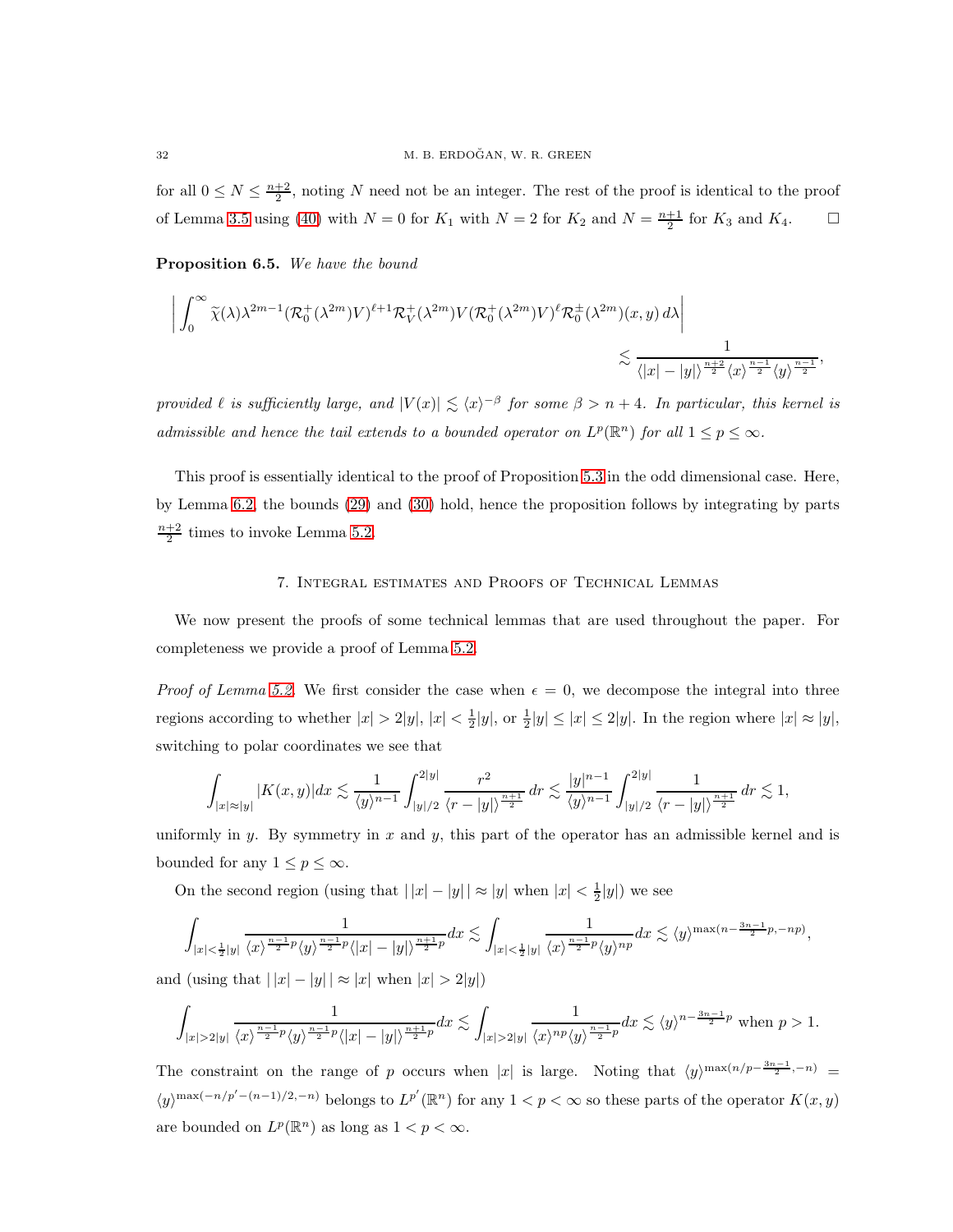for all  $0 \leq N \leq \frac{n+2}{2}$ , noting N need not be an integer. The rest of the proof is identical to the proof of Lemma [3.5](#page-18-3) using [\(40\)](#page-30-1) with  $N = 0$  for  $K_1$  with  $N = 2$  for  $K_2$  and  $N = \frac{n+1}{2}$  for  $K_3$  and  $K_4$ .

<span id="page-31-0"></span>Proposition 6.5. We have the bound

$$
\Bigg|\int_0^\infty \widetilde \chi(\lambda) \lambda^{2m-1} (\mathcal{R}_0^+(\lambda^{2m}) V)^{\ell+1} \mathcal{R}_V^+(\lambda^{2m}) V (\mathcal{R}_0^+(\lambda^{2m}) V)^{\ell} \mathcal{R}_0^{\pm}(\lambda^{2m}) (x,y) d\lambda \Bigg| \lesssim \frac{1}{\langle |x| - |y|\rangle^{\frac{n+2}{2}} \langle x \rangle^{\frac{n-1}{2}} \langle y \rangle^{\frac{n-1}{2}}},
$$

provided  $\ell$  is sufficiently large, and  $|V(x)| \lesssim \langle x \rangle^{-\beta}$  for some  $\beta > n+4$ . In particular, this kernel is admissible and hence the tail extends to a bounded operator on  $L^p(\mathbb{R}^n)$  for all  $1 \leq p \leq \infty$ .

This proof is essentially identical to the proof of Proposition [5.3](#page-26-4) in the odd dimensional case. Here, by Lemma [6.2,](#page-28-1) the bounds [\(29\)](#page-25-3) and [\(30\)](#page-25-1) hold, hence the proposition follows by integrating by parts  $\frac{n+2}{2}$  times to invoke Lemma [5.2.](#page-25-4)

# 7. Integral estimates and Proofs of Technical Lemmas

<span id="page-31-1"></span>We now present the proofs of some technical lemmas that are used throughout the paper. For completeness we provide a proof of Lemma [5.2.](#page-25-4)

*Proof of Lemma [5.2.](#page-25-4)* We first consider the case when  $\epsilon = 0$ , we decompose the integral into three regions according to whether  $|x| > 2|y|$ ,  $|x| < \frac{1}{2}|y|$ , or  $\frac{1}{2}|y| \le |x| \le 2|y|$ . In the region where  $|x| \approx |y|$ , switching to polar coordinates we see that

$$
\int_{|x| \approx |y|} |K(x,y)| dx \lesssim \frac{1}{\langle y \rangle^{n-1}} \int_{|y|/2}^{2|y|} \frac{r^2}{\langle r - |y| \rangle^{\frac{n+1}{2}}} dr \lesssim \frac{|y|^{n-1}}{\langle y \rangle^{n-1}} \int_{|y|/2}^{2|y|} \frac{1}{\langle r - |y| \rangle^{\frac{n+1}{2}}} dr \lesssim 1,
$$

uniformly in y. By symmetry in x and y, this part of the operator has an admissible kernel and is bounded for any  $1 \le p \le \infty$ .

On the second region (using that  $||x| - |y|| \approx |y|$  when  $|x| < \frac{1}{2}|y|$ ) we see

$$
\int_{|x|<\frac{1}{2}|y|}\frac{1}{\langle x\rangle^{\frac{n-1}{2}p}\langle y\rangle^{\frac{n-1}{2}p}\langle |x|-|y|\rangle^{\frac{n+1}{2}p}}dx\lesssim \int_{|x|<\frac{1}{2}|y|}\frac{1}{\langle x\rangle^{\frac{n-1}{2}p}\langle y\rangle^{np}}dx\lesssim \langle y\rangle^{\max(n-\frac{3n-1}{2}p,-np)},
$$

and (using that  $||x| - |y|| \approx |x|$  when  $|x| > 2|y|$ )

$$
\int_{|x|>2|y|} \frac{1}{\langle x \rangle^{\frac{n-1}{2}p} \langle y \rangle^{\frac{n-1}{2}p} \langle |x| - |y| \rangle^{\frac{n+1}{2}p}} dx \lesssim \int_{|x|>2|y|} \frac{1}{\langle x \rangle^{np} \langle y \rangle^{\frac{n-1}{2}p}} dx \lesssim \langle y \rangle^{n-\frac{3n-1}{2}p}
$$
 when  $p > 1$ .

The constraint on the range of p occurs when |x| is large. Noting that  $\langle y \rangle^{\max(n/p-\frac{3n-1}{2},-n)}$  $\langle y \rangle^{\max(-n/p'-(n-1)/2,-n)}$  belongs to  $L^{p'}(\mathbb{R}^n)$  for any  $1 < p < \infty$  so these parts of the operator  $K(x, y)$ are bounded on  $L^p(\mathbb{R}^n)$  as long as  $1 < p < \infty$ .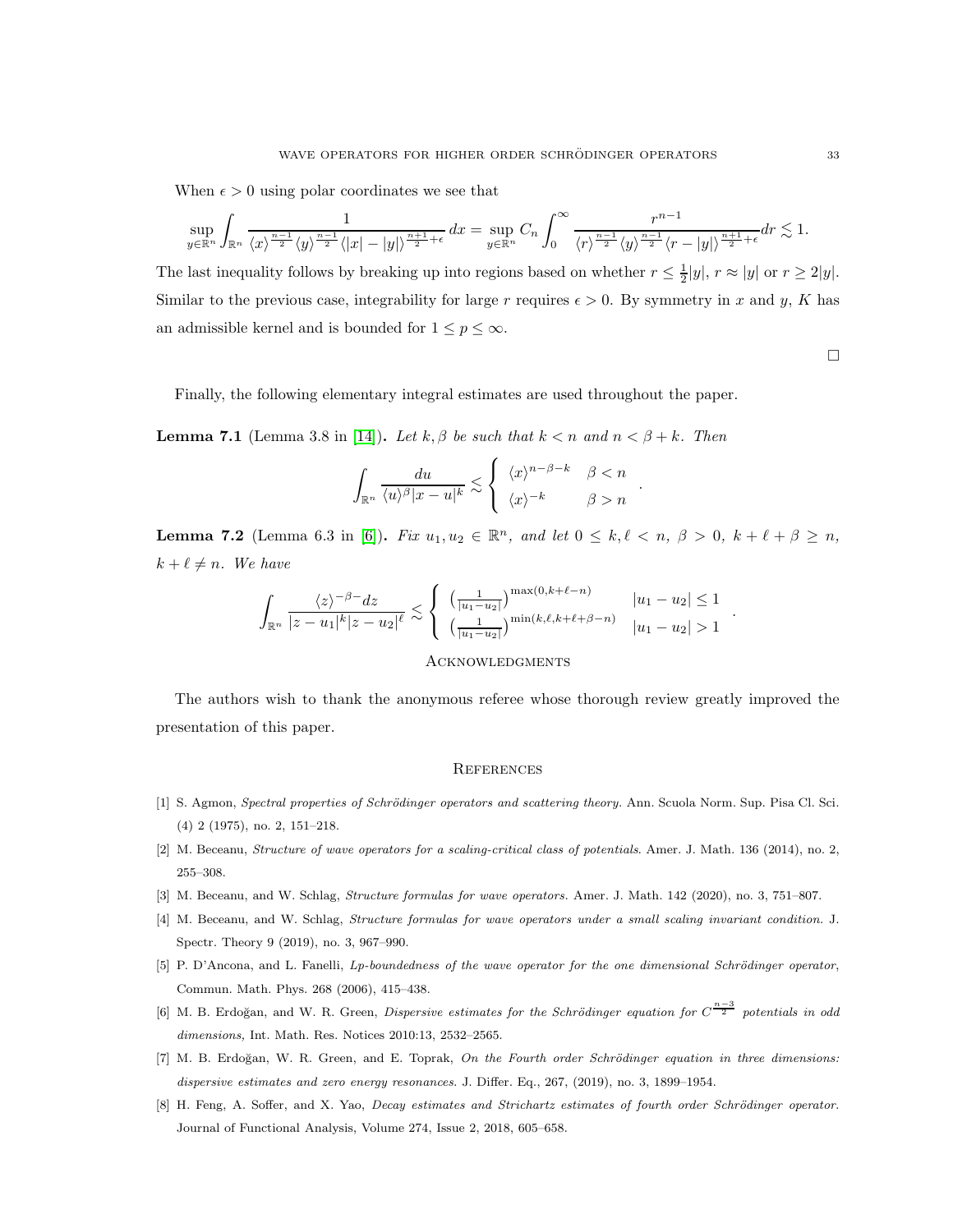When  $\epsilon > 0$  using polar coordinates we see that

$$
\sup_{y\in\mathbb{R}^n}\int_{\mathbb{R}^n}\frac{1}{\langle x\rangle^{\frac{n-1}{2}}\langle y\rangle^{\frac{n-1}{2}}\langle |x|-|y|\rangle^{\frac{n+1}{2}+\epsilon}}\,dx=\sup_{y\in\mathbb{R}^n}C_n\int_0^\infty\frac{r^{n-1}}{\langle r\rangle^{\frac{n-1}{2}}\langle y\rangle^{\frac{n-1}{2}}\langle r-|y|\rangle^{\frac{n+1}{2}+\epsilon}}dr\lesssim 1.
$$

The last inequality follows by breaking up into regions based on whether  $r \leq \frac{1}{2}|y|, r \approx |y|$  or  $r \geq 2|y|$ . Similar to the previous case, integrability for large r requires  $\epsilon > 0$ . By symmetry in x and y, K has an admissible kernel and is bounded for  $1 \le p \le \infty$ .

 $\Box$ 

Finally, the following elementary integral estimates are used throughout the paper.

<span id="page-32-7"></span>**Lemma 7.1** (Lemma 3.8 in [\[14\]](#page-33-15)). Let k,  $\beta$  be such that  $k < n$  and  $n < \beta + k$ . Then

$$
\int_{\mathbb{R}^n} \frac{du}{\langle u \rangle^{\beta} |x - u|^k} \lesssim \left\{ \begin{array}{cc} \langle x \rangle^{n - \beta - k} & \beta < n \\ \langle x \rangle^{-k} & \beta > n \end{array} \right.
$$

.

.

<span id="page-32-6"></span>**Lemma 7.2** (Lemma 6.3 in [\[6\]](#page-32-8)). Fix  $u_1, u_2 \in \mathbb{R}^n$ , and let  $0 \leq k, \ell < n, \beta > 0$ ,  $k + \ell + \beta \geq n$ ,  $k + \ell \neq n$ . We have

$$
\int_{\mathbb{R}^n} \frac{\langle z \rangle^{-\beta-} dz}{|z - u_1|^k |z - u_2|^{\ell}} \lesssim \left\{ \begin{array}{ll} \left(\frac{1}{|u_1 - u_2|}\right)^{\max(0, k + \ell - n)} & |u_1 - u_2| \le 1\\ \left(\frac{1}{|u_1 - u_2|}\right)^{\min(k, \ell, k + \ell + \beta - n)} & |u_1 - u_2| > 1 \end{array} \right.
$$

### **ACKNOWLEDGMENTS**

The authors wish to thank the anonymous referee whose thorough review greatly improved the presentation of this paper.

### **REFERENCES**

- <span id="page-32-2"></span><span id="page-32-0"></span>[1] S. Agmon, Spectral properties of Schrödinger operators and scattering theory. Ann. Scuola Norm. Sup. Pisa Cl. Sci. (4) 2 (1975), no. 2, 151–218.
- <span id="page-32-3"></span>[2] M. Beceanu, Structure of wave operators for a scaling-critical class of potentials. Amer. J. Math. 136 (2014), no. 2, 255–308.
- <span id="page-32-4"></span>[3] M. Beceanu, and W. Schlag, Structure formulas for wave operators. Amer. J. Math. 142 (2020), no. 3, 751–807.
- <span id="page-32-1"></span>[4] M. Beceanu, and W. Schlag, Structure formulas for wave operators under a small scaling invariant condition. J. Spectr. Theory 9 (2019), no. 3, 967–990.
- <span id="page-32-8"></span>[5] P. D'Ancona, and L. Fanelli, Lp-boundedness of the wave operator for the one dimensional Schrödinger operator, Commun. Math. Phys. 268 (2006), 415–438.
- <span id="page-32-5"></span>[6] M. B. Erdoğan, and W. R. Green, *Dispersive estimates for the Schrödinger equation for*  $C^{\frac{n-3}{2}}$  potentials in odd dimensions, Int. Math. Res. Notices 2010:13, 2532–2565.
- [7] M. B. Erdoğan, W. R. Green, and E. Toprak, On the Fourth order Schrödinger equation in three dimensions: dispersive estimates and zero energy resonances. J. Differ. Eq., 267, (2019), no. 3, 1899–1954.
- [8] H. Feng, A. Soffer, and X. Yao, Decay estimates and Strichartz estimates of fourth order Schrödinger operator. Journal of Functional Analysis, Volume 274, Issue 2, 2018, 605–658.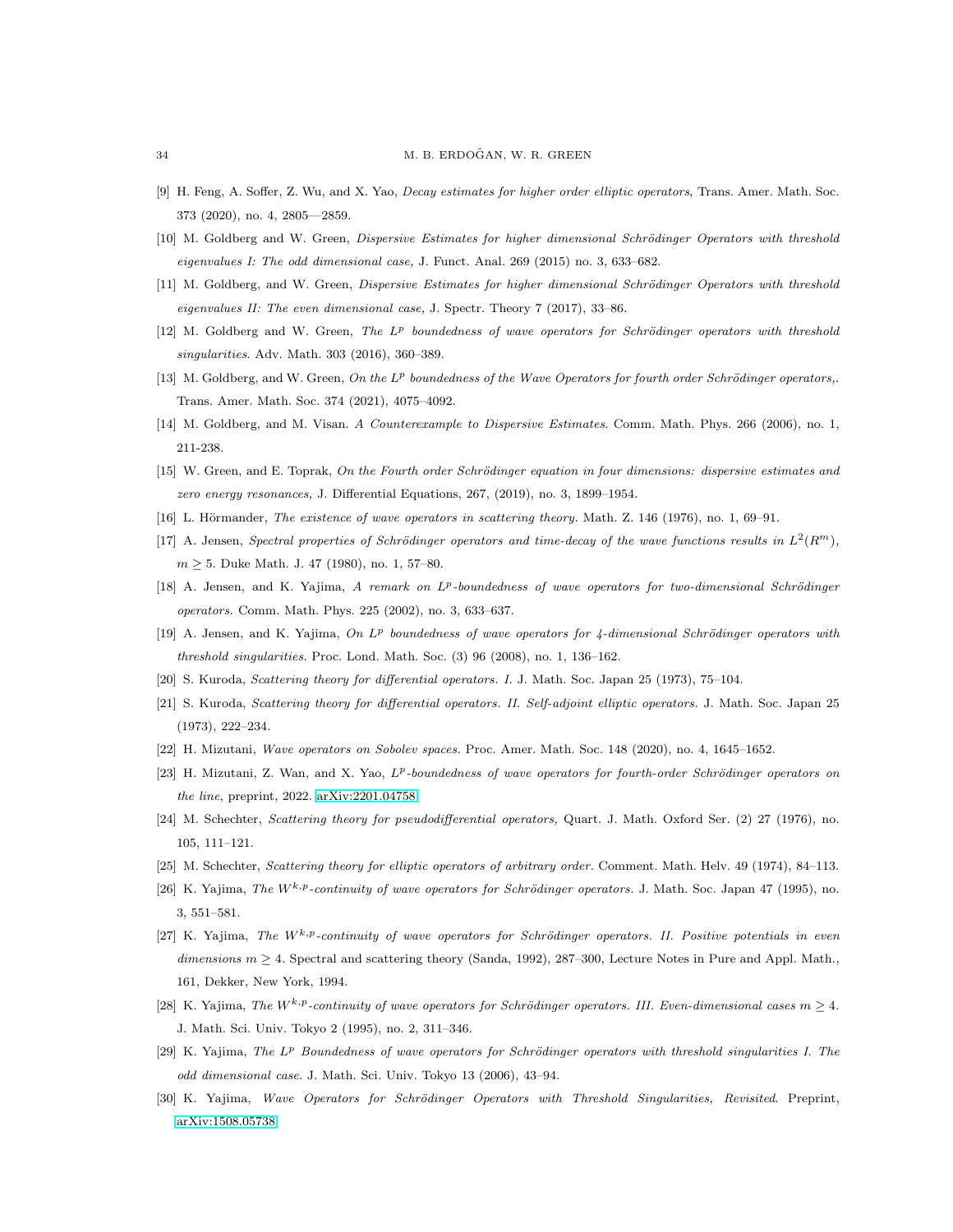#### <span id="page-33-3"></span>34 M. B. ERDOĞAN, W. R. GREEN

- <span id="page-33-20"></span>[9] H. Feng, A. Soffer, Z. Wu, and X. Yao, Decay estimates for higher order elliptic operators, Trans. Amer. Math. Soc. 373 (2020), no. 4, 2805—2859.
- <span id="page-33-21"></span>[10] M. Goldberg and W. Green, *Dispersive Estimates for higher dimensional Schrödinger Operators with threshold* eigenvalues I: The odd dimensional case, J. Funct. Anal. 269 (2015) no. 3, 633–682.
- <span id="page-33-18"></span>[11] M. Goldberg, and W. Green, Dispersive Estimates for higher dimensional Schrödinger Operators with threshold eigenvalues II: The even dimensional case, J. Spectr. Theory 7 (2017), 33–86.
- <span id="page-33-4"></span>[12] M. Goldberg and W. Green, The LP boundedness of wave operators for Schrödinger operators with threshold singularities. Adv. Math. 303 (2016), 360–389.
- <span id="page-33-15"></span>[13] M. Goldberg, and W. Green, On the  $L^p$  boundedness of the Wave Operators for fourth order Schrödinger operators,. Trans. Amer. Math. Soc. 374 (2021), 4075–4092.
- <span id="page-33-17"></span>[14] M. Goldberg, and M. Visan. A Counterexample to Dispersive Estimates. Comm. Math. Phys. 266 (2006), no. 1, 211-238.
- <span id="page-33-0"></span>[15] W. Green, and E. Toprak, On the Fourth order Schrödinger equation in four dimensions: dispersive estimates and zero energy resonances, J. Differential Equations, 267, (2019), no. 3, 1899–1954.
- <span id="page-33-19"></span>[16] L. Hörmander, The existence of wave operators in scattering theory. Math. Z. 146 (1976), no. 1, 69–91.
- <span id="page-33-10"></span>[17] A. Jensen, Spectral properties of Schrödinger operators and time-decay of the wave functions results in  $L^2(R^m)$ ,  $m \geq 5$ . Duke Math. J. 47 (1980), no. 1, 57–80.
- <span id="page-33-11"></span>[18] A. Jensen, and K. Yajima, A remark on  $L^p$ -boundedness of wave operators for two-dimensional Schrödinger operators. Comm. Math. Phys. 225 (2002), no. 3, 633–637.
- <span id="page-33-13"></span>[19] A. Jensen, and K. Yajima, On  $L^p$  boundedness of wave operators for 4-dimensional Schrödinger operators with threshold singularities. Proc. Lond. Math. Soc. (3) 96 (2008), no. 1, 136–162.
- <span id="page-33-14"></span>[20] S. Kuroda, Scattering theory for differential operators. I. J. Math. Soc. Japan 25 (1973), 75–104.
- <span id="page-33-12"></span>[21] S. Kuroda, Scattering theory for differential operators. II. Self-adjoint elliptic operators. J. Math. Soc. Japan 25 (1973), 222–234.
- <span id="page-33-16"></span>[22] H. Mizutani, Wave operators on Sobolev spaces. Proc. Amer. Math. Soc. 148 (2020), no. 4, 1645–1652.
- <span id="page-33-2"></span>[23] H. Mizutani, Z. Wan, and X. Yao,  $L^p$ -boundedness of wave operators for fourth-order Schrödinger operators on the line, preprint, 2022. [arXiv:2201.04758](http://arxiv.org/abs/2201.04758)
- <span id="page-33-1"></span>[24] M. Schechter, Scattering theory for pseudodifferential operators, Quart. J. Math. Oxford Ser. (2) 27 (1976), no. 105, 111–121.
- <span id="page-33-5"></span>[25] M. Schechter, Scattering theory for elliptic operators of arbitrary order. Comment. Math. Helv. 49 (1974), 84–113.
- <span id="page-33-6"></span>[26] K. Yajima, The  $W^{k,p}$ -continuity of wave operators for Schrödinger operators. J. Math. Soc. Japan 47 (1995), no. 3, 551–581.
- [27] K. Yajima, The  $W^{k,p}$ -continuity of wave operators for Schrödinger operators. II. Positive potentials in even dimensions  $m \geq 4$ . Spectral and scattering theory (Sanda, 1992), 287–300, Lecture Notes in Pure and Appl. Math., 161, Dekker, New York, 1994.
- <span id="page-33-8"></span><span id="page-33-7"></span>[28] K. Yajima, The  $W^{k,p}$ -continuity of wave operators for Schrödinger operators. III. Even-dimensional cases  $m \geq 4$ . J. Math. Sci. Univ. Tokyo 2 (1995), no. 2, 311–346.
- <span id="page-33-9"></span>[29] K. Yajima, The L<sup>p</sup> Boundedness of wave operators for Schrödinger operators with threshold singularities I. The odd dimensional case. J. Math. Sci. Univ. Tokyo 13 (2006), 43–94.
- [30] K. Yajima, Wave Operators for Schrödinger Operators with Threshold Singularities, Revisited. Preprint, [arXiv:1508.05738.](http://arxiv.org/abs/1508.05738)